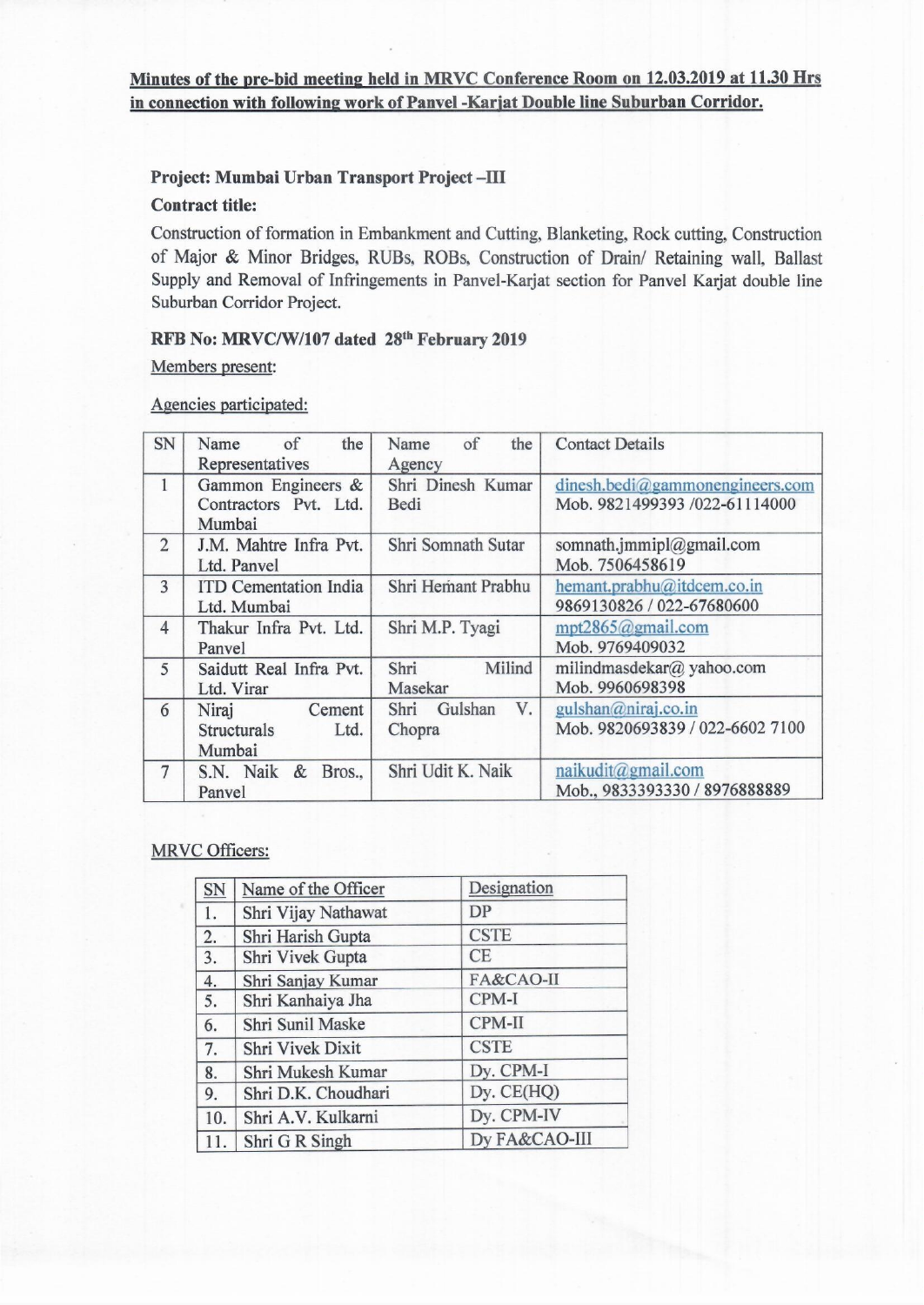## Project: Mumbai Urban Transport Project-III

### **Contract title:**

Construction of formation in Embankment and Cutting, Blanketing, Rock cutting, Construction of Major & Minor Bridges, RUBs, ROBs, Construction of Drain/ Retaining wall, Ballast Supply and Removal of Infringements in Panvel-Karjat section for Panvel Karjat double line Suburban Corridor Project.

## RFB No: MRVC/W/107 dated 28th February 2019

Members present:

Agencies participated:

| SN             | the<br>$\circ$ of<br>Name<br>Representatives            | of<br>the<br>Name<br>Agency     | <b>Contact Details</b>                                             |
|----------------|---------------------------------------------------------|---------------------------------|--------------------------------------------------------------------|
| $\mathbf{1}$   | Gammon Engineers &<br>Contractors Pvt. Ltd.<br>Mumbai   | Shri Dinesh Kumar<br>Bedi       | dinesh. bedi@gammaonengineers.com<br>Mob. 9821499393 /022-61114000 |
| $\overline{2}$ | J.M. Mahtre Infra Pvt.<br>Ltd. Panvel                   | Shri Somnath Sutar              | somnath.jmmipl@gmail.com<br>Mob. 7506458619                        |
| 3              | <b>ITD Cementation India</b><br>Ltd. Mumbai             | Shri Hemant Prabhu              | hemant.prabhu@itdcem.co.in<br>9869130826 / 022-67680600            |
| $\overline{4}$ | Thakur Infra Pvt. Ltd.<br>Panvel                        | Shri M.P. Tyagi                 | mpt2865@gmail.com<br>Mob. 9769409032                               |
| 5              | Saidutt Real Infra Pvt.<br>Ltd. Virar                   | Milind<br>Shri<br>Masekar       | milindmasdekar@ yahoo.com<br>Mob. 9960698398                       |
| 6              | Niraj<br>Cement<br><b>Structurals</b><br>Ltd.<br>Mumbai | V.<br>Gulshan<br>Shri<br>Chopra | gulshan@niraj.co.in<br>Mob. 9820693839 / 022-6602 7100             |
| $\overline{7}$ | S.N. Naik & Bros.,<br>Panvel                            | Shri Udit K. Naik               | naikudit@gmail.com<br>Mob., 9833393330 / 8976888889                |

### **MRVC Officers:**

| SN  | Name of the Officer | Designation   |
|-----|---------------------|---------------|
| 1.  | Shri Vijay Nathawat | <b>DP</b>     |
| 2.  | Shri Harish Gupta   | <b>CSTE</b>   |
| 3.  | Shri Vivek Gupta    | CE            |
| 4.  | Shri Sanjay Kumar   | FA&CAO-II     |
| 5.  | Shri Kanhaiya Jha   | CPM-I         |
| 6.  | Shri Sunil Maske    | CPM-II        |
| 7.  | Shri Vivek Dixit    | <b>CSTE</b>   |
| 8.  | Shri Mukesh Kumar   | Dy. CPM-I     |
| 9.  | Shri D.K. Choudhari | Dy. CE(HQ)    |
| 10. | Shri A.V. Kulkarni  | Dy. CPM-IV    |
| 11. | Shri G R Singh      | Dy FA&CAO-III |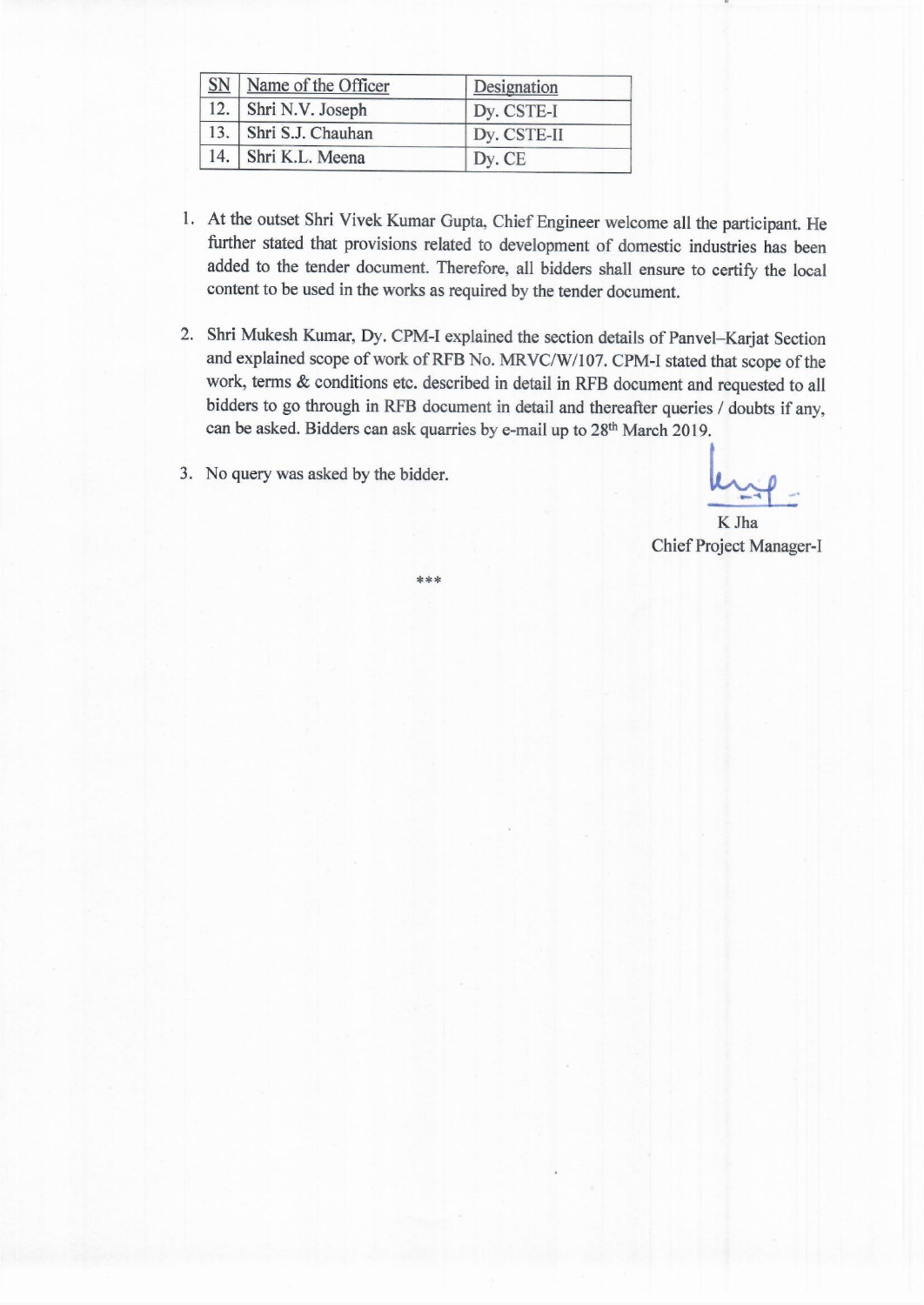| <b>SN</b> | Name of the Officer   | Designation |
|-----------|-----------------------|-------------|
|           | 12. Shri N.V. Joseph  | Dy. CSTE-I  |
|           | 13. Shri S.J. Chauhan | Dy. CSTE-II |
|           | 14. Shri K.L. Meena   | Dy. CE      |

\*\*\*

- 1. At the outset Shri Vivek Kumar Gupta, Chief Engineer welcome all the participant. He further stated that provisions related to development of domestic industries has been added to the tender document. Therefore, all bidders shall ensure to certify the local content to be used in the works as required by the tender document.
- 2. Shri Mukesh Kumar, Dy. CPM-I explained the section details of Panvel-Karjat Section and explained scope of work of RFB No. MRVC/W/107. CPM-I stated that scope of the work, terms & conditions etc. described in detail in RFB document and requested to all bidders to go through in RFB document in detail and thereafter queries / doubts if any, can be asked. Bidders can ask quarries by e-mail up to 28<sup>th</sup> March 2019.
- 3. No query was asked by the bidder.

K Jha **Chief Project Manager-I**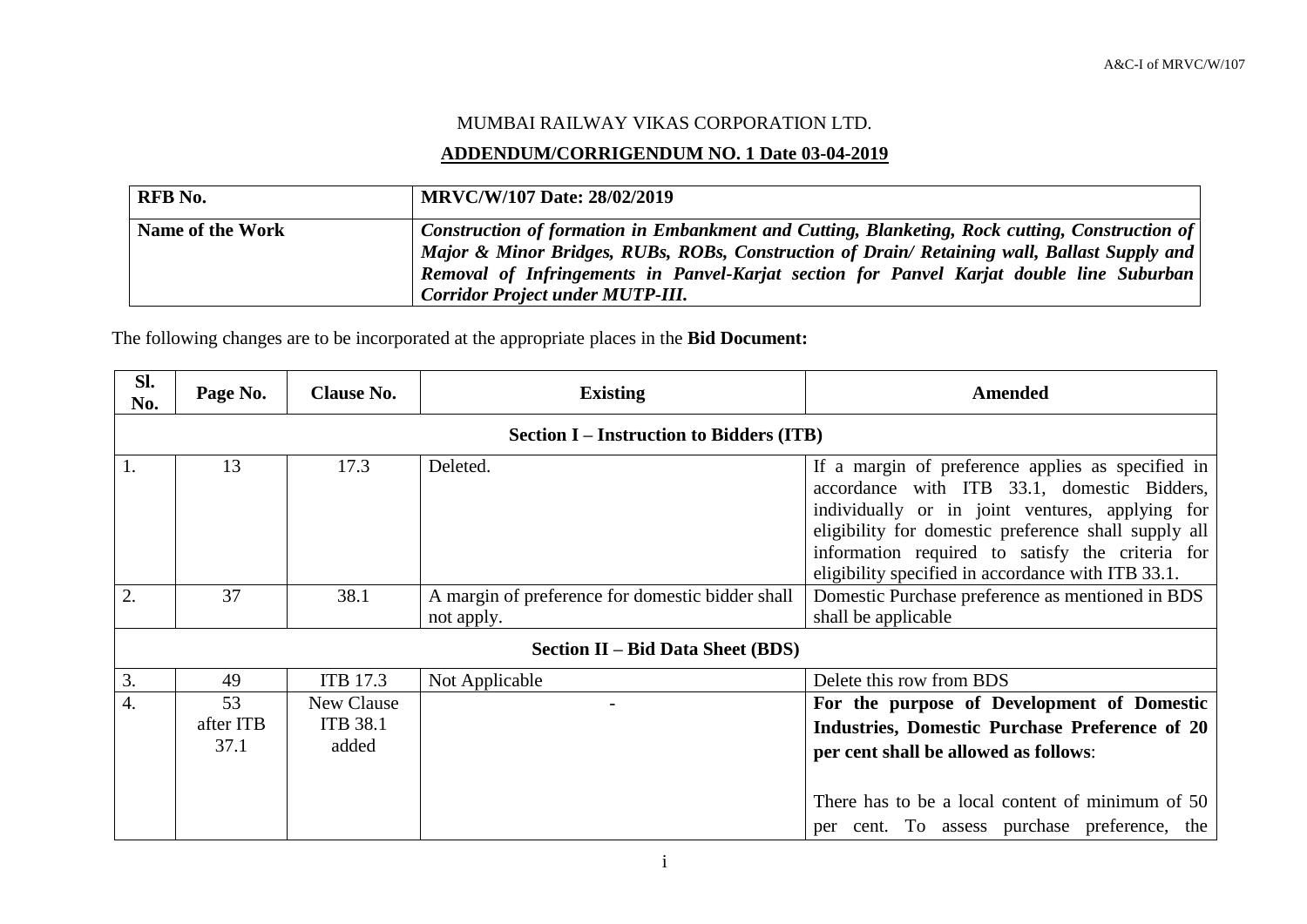# MUMBAI RAILWAY VIKAS CORPORATION LTD.

## **ADDENDUM/CORRIGENDUM NO. 1 Date 03-04-2019**

| <b>RFB</b> No.   | <b>MRVC/W/107 Date: 28/02/2019</b>                                                                                                                                                                                                                                                                                                    |
|------------------|---------------------------------------------------------------------------------------------------------------------------------------------------------------------------------------------------------------------------------------------------------------------------------------------------------------------------------------|
| Name of the Work | Construction of formation in Embankment and Cutting, Blanketing, Rock cutting, Construction of<br>Major & Minor Bridges, RUBs, ROBs, Construction of Drain/ Retaining wall, Ballast Supply and<br>Removal of Infringements in Panvel-Karjat section for Panvel Karjat double line Suburban<br><b>Corridor Project under MUTP-III.</b> |

The following changes are to be incorporated at the appropriate places in the **Bid Document:**

| Sl.<br>No. | Page No.                | <b>Clause No.</b>                      | <b>Existing</b>                                                | Amended                                                                                                                                                                                                                                                                                                               |
|------------|-------------------------|----------------------------------------|----------------------------------------------------------------|-----------------------------------------------------------------------------------------------------------------------------------------------------------------------------------------------------------------------------------------------------------------------------------------------------------------------|
|            |                         |                                        | <b>Section I – Instruction to Bidders (ITB)</b>                |                                                                                                                                                                                                                                                                                                                       |
|            | 13                      | 17.3                                   | Deleted.                                                       | If a margin of preference applies as specified in<br>accordance with ITB 33.1, domestic Bidders,<br>individually or in joint ventures, applying for<br>eligibility for domestic preference shall supply all<br>information required to satisfy the criteria for<br>eligibility specified in accordance with ITB 33.1. |
| 2.         | 37                      | 38.1                                   | A margin of preference for domestic bidder shall<br>not apply. | Domestic Purchase preference as mentioned in BDS<br>shall be applicable                                                                                                                                                                                                                                               |
|            |                         |                                        | <b>Section II – Bid Data Sheet (BDS)</b>                       |                                                                                                                                                                                                                                                                                                                       |
| 3.         | 49                      | <b>ITB 17.3</b>                        | Not Applicable                                                 | Delete this row from BDS                                                                                                                                                                                                                                                                                              |
| 4.         | 53<br>after ITB<br>37.1 | New Clause<br><b>ITB 38.1</b><br>added |                                                                | For the purpose of Development of Domestic<br>Industries, Domestic Purchase Preference of 20<br>per cent shall be allowed as follows:<br>There has to be a local content of minimum of 50                                                                                                                             |
|            |                         |                                        |                                                                | per cent. To assess purchase preference, the                                                                                                                                                                                                                                                                          |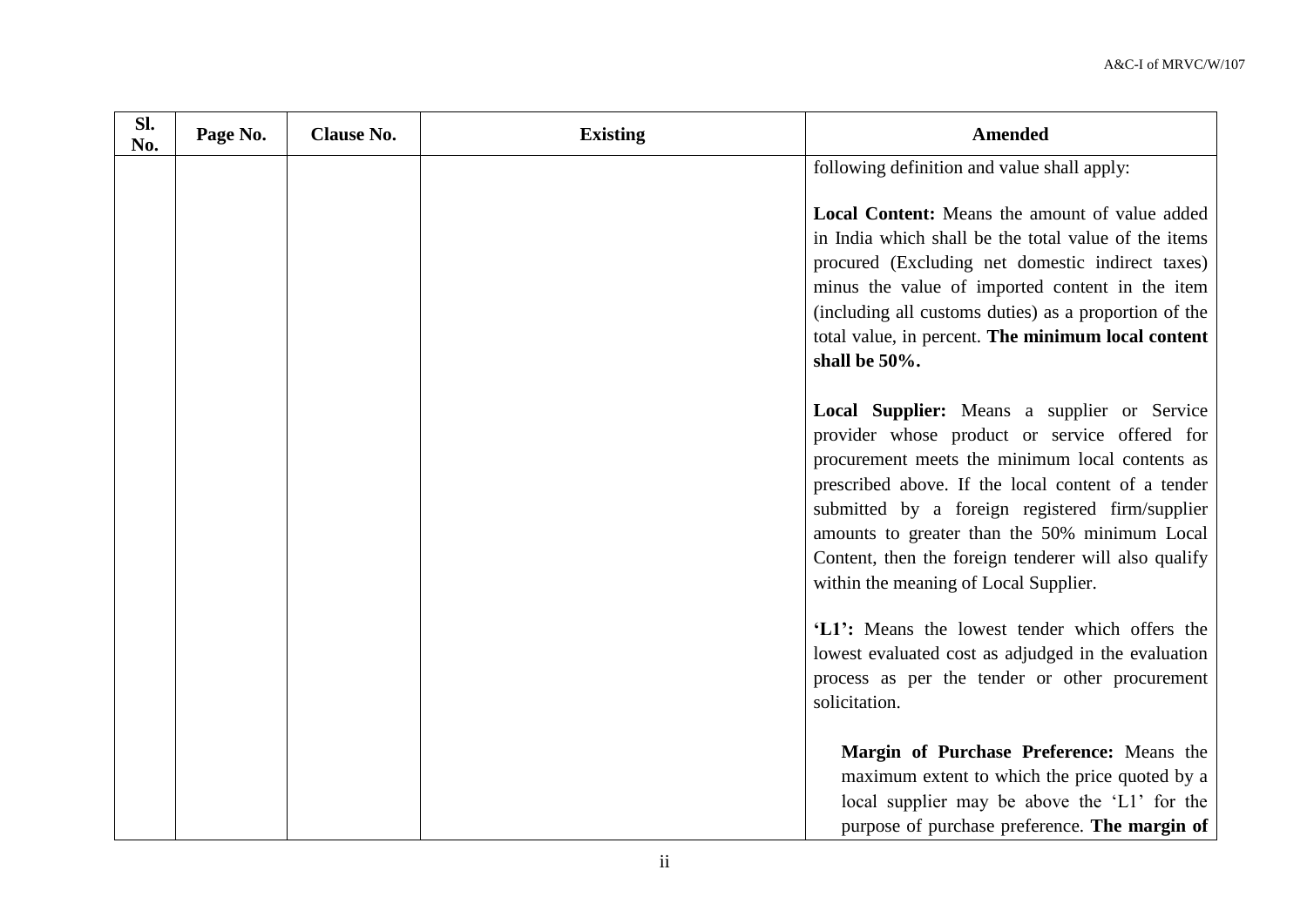| Sl.<br>No. | Page No. | <b>Clause No.</b> | <b>Existing</b> | <b>Amended</b>                                                                                                                                                                                                                                                                                                                                                                                             |
|------------|----------|-------------------|-----------------|------------------------------------------------------------------------------------------------------------------------------------------------------------------------------------------------------------------------------------------------------------------------------------------------------------------------------------------------------------------------------------------------------------|
|            |          |                   |                 | following definition and value shall apply:                                                                                                                                                                                                                                                                                                                                                                |
|            |          |                   |                 | <b>Local Content:</b> Means the amount of value added<br>in India which shall be the total value of the items<br>procured (Excluding net domestic indirect taxes)<br>minus the value of imported content in the item<br>(including all customs duties) as a proportion of the<br>total value, in percent. The minimum local content<br>shall be 50%.                                                       |
|            |          |                   |                 | Local Supplier: Means a supplier or Service<br>provider whose product or service offered for<br>procurement meets the minimum local contents as<br>prescribed above. If the local content of a tender<br>submitted by a foreign registered firm/supplier<br>amounts to greater than the 50% minimum Local<br>Content, then the foreign tenderer will also qualify<br>within the meaning of Local Supplier. |
|            |          |                   |                 | 'L1': Means the lowest tender which offers the<br>lowest evaluated cost as adjudged in the evaluation<br>process as per the tender or other procurement<br>solicitation.                                                                                                                                                                                                                                   |
|            |          |                   |                 | Margin of Purchase Preference: Means the<br>maximum extent to which the price quoted by a<br>local supplier may be above the 'L1' for the<br>purpose of purchase preference. The margin of                                                                                                                                                                                                                 |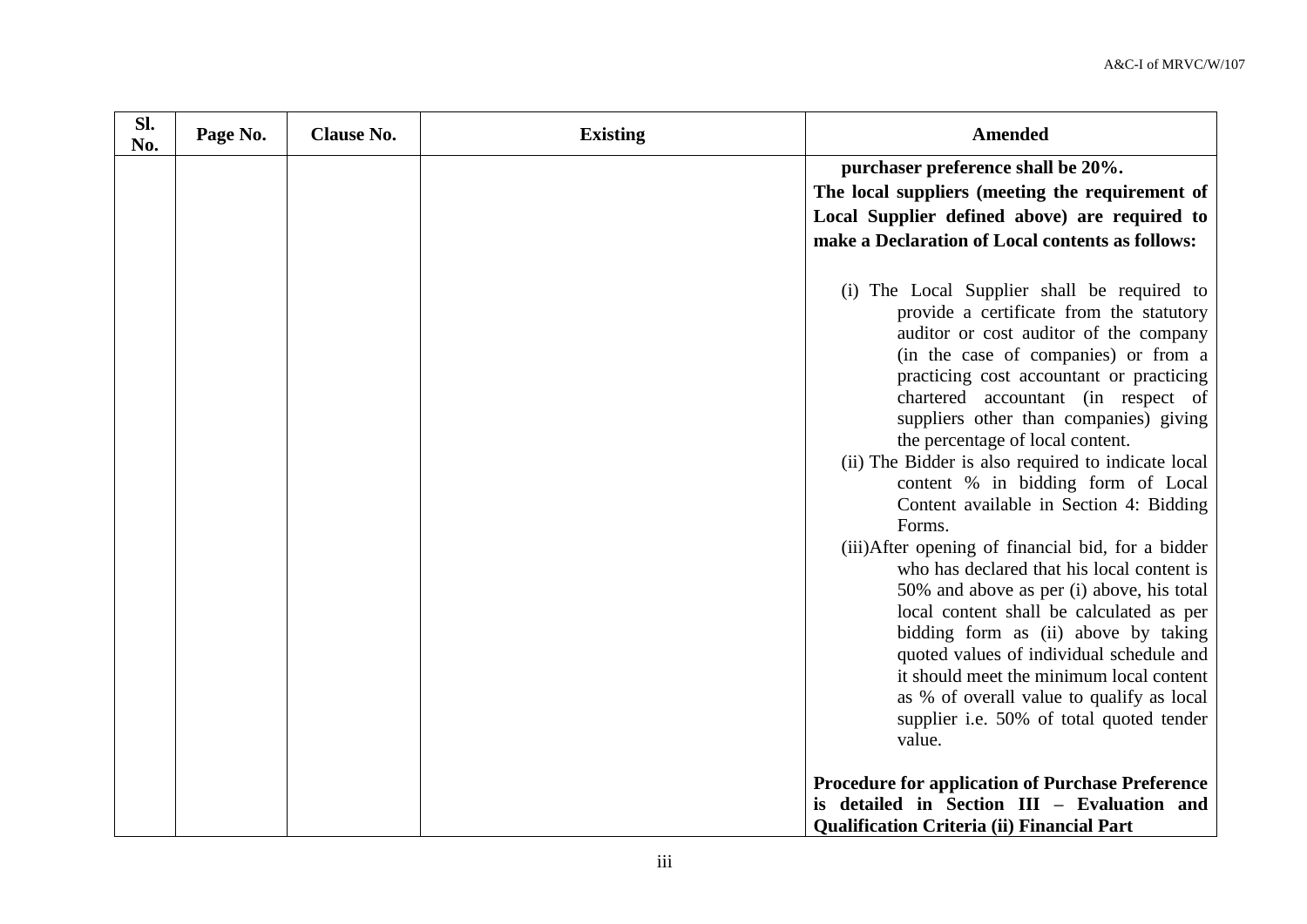| Sl.<br>No. | Page No. | <b>Clause No.</b> | <b>Existing</b> | <b>Amended</b>                                                                                                                                                                                                                                                                                                                                                                                                                                                                                                                                                                                                                                                                                                                                                                                                                                                                                                              |
|------------|----------|-------------------|-----------------|-----------------------------------------------------------------------------------------------------------------------------------------------------------------------------------------------------------------------------------------------------------------------------------------------------------------------------------------------------------------------------------------------------------------------------------------------------------------------------------------------------------------------------------------------------------------------------------------------------------------------------------------------------------------------------------------------------------------------------------------------------------------------------------------------------------------------------------------------------------------------------------------------------------------------------|
|            |          |                   |                 | purchaser preference shall be 20%.<br>The local suppliers (meeting the requirement of<br>Local Supplier defined above) are required to<br>make a Declaration of Local contents as follows:                                                                                                                                                                                                                                                                                                                                                                                                                                                                                                                                                                                                                                                                                                                                  |
|            |          |                   |                 | (i) The Local Supplier shall be required to<br>provide a certificate from the statutory<br>auditor or cost auditor of the company<br>(in the case of companies) or from a<br>practicing cost accountant or practicing<br>chartered accountant (in respect of<br>suppliers other than companies) giving<br>the percentage of local content.<br>(ii) The Bidder is also required to indicate local<br>content % in bidding form of Local<br>Content available in Section 4: Bidding<br>Forms.<br>(iii) After opening of financial bid, for a bidder<br>who has declared that his local content is<br>50% and above as per (i) above, his total<br>local content shall be calculated as per<br>bidding form as (ii) above by taking<br>quoted values of individual schedule and<br>it should meet the minimum local content<br>as % of overall value to qualify as local<br>supplier i.e. 50% of total quoted tender<br>value. |
|            |          |                   |                 | <b>Procedure for application of Purchase Preference</b><br>is detailed in Section III - Evaluation and<br><b>Qualification Criteria (ii) Financial Part</b>                                                                                                                                                                                                                                                                                                                                                                                                                                                                                                                                                                                                                                                                                                                                                                 |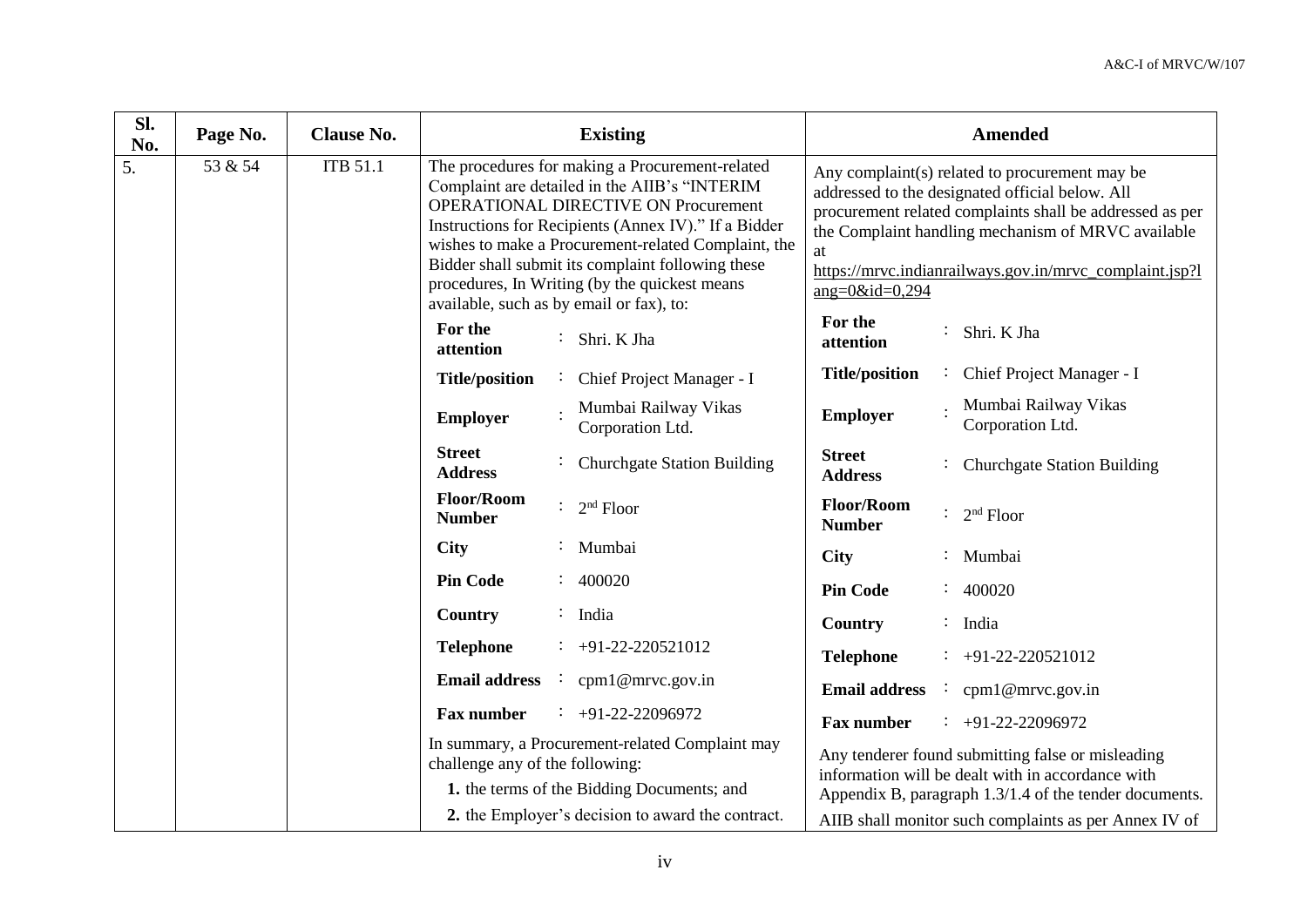| SI.<br>No. | Page No. | <b>Clause No.</b> |                                                                                                                                                                                                                                                                                                                                                                                                                  |  | <b>Existing</b>                                   | <b>Amended</b>                     |                                                                                                                                                                                                                                                                                |                                                                                                        |
|------------|----------|-------------------|------------------------------------------------------------------------------------------------------------------------------------------------------------------------------------------------------------------------------------------------------------------------------------------------------------------------------------------------------------------------------------------------------------------|--|---------------------------------------------------|------------------------------------|--------------------------------------------------------------------------------------------------------------------------------------------------------------------------------------------------------------------------------------------------------------------------------|--------------------------------------------------------------------------------------------------------|
| 5.         | 53 & 54  | <b>ITB 51.1</b>   | The procedures for making a Procurement-related<br>Complaint are detailed in the AIIB's "INTERIM<br><b>OPERATIONAL DIRECTIVE ON Procurement</b><br>Instructions for Recipients (Annex IV)." If a Bidder<br>wishes to make a Procurement-related Complaint, the<br>Bidder shall submit its complaint following these<br>procedures, In Writing (by the quickest means<br>available, such as by email or fax), to: |  | at<br>ang= $0$ &id= $0,294$                       |                                    | Any complaint(s) related to procurement may be<br>addressed to the designated official below. All<br>procurement related complaints shall be addressed as per<br>the Complaint handling mechanism of MRVC available<br>https://mrvc.indianrailways.gov.in/mrvc_complaint.jsp?l |                                                                                                        |
|            |          |                   | For the<br>attention                                                                                                                                                                                                                                                                                                                                                                                             |  | : Shri. K Jha                                     | For the<br>attention               |                                                                                                                                                                                                                                                                                | Shri. K Jha                                                                                            |
|            |          |                   | <b>Title/position</b>                                                                                                                                                                                                                                                                                                                                                                                            |  | Chief Project Manager - I                         | <b>Title/position</b>              |                                                                                                                                                                                                                                                                                | Chief Project Manager - I                                                                              |
|            |          |                   | <b>Employer</b>                                                                                                                                                                                                                                                                                                                                                                                                  |  | Mumbai Railway Vikas<br>Corporation Ltd.          | <b>Employer</b>                    |                                                                                                                                                                                                                                                                                | Mumbai Railway Vikas<br>Corporation Ltd.                                                               |
|            |          |                   | <b>Street</b><br><b>Address</b>                                                                                                                                                                                                                                                                                                                                                                                  |  | <b>Churchgate Station Building</b>                | <b>Street</b><br><b>Address</b>    |                                                                                                                                                                                                                                                                                | <b>Churchgate Station Building</b>                                                                     |
|            |          |                   | <b>Floor/Room</b><br><b>Number</b>                                                                                                                                                                                                                                                                                                                                                                               |  | $2nd$ Floor                                       | <b>Floor/Room</b><br><b>Number</b> |                                                                                                                                                                                                                                                                                | $2nd$ Floor                                                                                            |
|            |          |                   | <b>City</b>                                                                                                                                                                                                                                                                                                                                                                                                      |  | Mumbai                                            | <b>City</b>                        |                                                                                                                                                                                                                                                                                | Mumbai                                                                                                 |
|            |          |                   | <b>Pin Code</b>                                                                                                                                                                                                                                                                                                                                                                                                  |  | 400020                                            | <b>Pin Code</b>                    |                                                                                                                                                                                                                                                                                | 400020                                                                                                 |
|            |          |                   | Country                                                                                                                                                                                                                                                                                                                                                                                                          |  | India                                             | Country                            |                                                                                                                                                                                                                                                                                | : India                                                                                                |
|            |          |                   | <b>Telephone</b>                                                                                                                                                                                                                                                                                                                                                                                                 |  | $\div$ +91-22-220521012                           | <b>Telephone</b>                   |                                                                                                                                                                                                                                                                                | $\div$ +91-22-220521012                                                                                |
|            |          |                   | <b>Email address</b>                                                                                                                                                                                                                                                                                                                                                                                             |  | : $cpm1@mrvc.gov.in$                              | <b>Email address</b>               |                                                                                                                                                                                                                                                                                | cpm1@mrvc.gov.in                                                                                       |
|            |          |                   | <b>Fax number</b>                                                                                                                                                                                                                                                                                                                                                                                                |  | $\div$ +91-22-22096972                            | <b>Fax number</b>                  |                                                                                                                                                                                                                                                                                | $\div$ +91-22-22096972                                                                                 |
|            |          |                   | challenge any of the following:                                                                                                                                                                                                                                                                                                                                                                                  |  | In summary, a Procurement-related Complaint may   |                                    |                                                                                                                                                                                                                                                                                | Any tenderer found submitting false or misleading<br>information will be dealt with in accordance with |
|            |          |                   |                                                                                                                                                                                                                                                                                                                                                                                                                  |  | 1. the terms of the Bidding Documents; and        |                                    |                                                                                                                                                                                                                                                                                | Appendix B, paragraph 1.3/1.4 of the tender documents.                                                 |
|            |          |                   |                                                                                                                                                                                                                                                                                                                                                                                                                  |  | 2. the Employer's decision to award the contract. |                                    |                                                                                                                                                                                                                                                                                | AIIB shall monitor such complaints as per Annex IV of                                                  |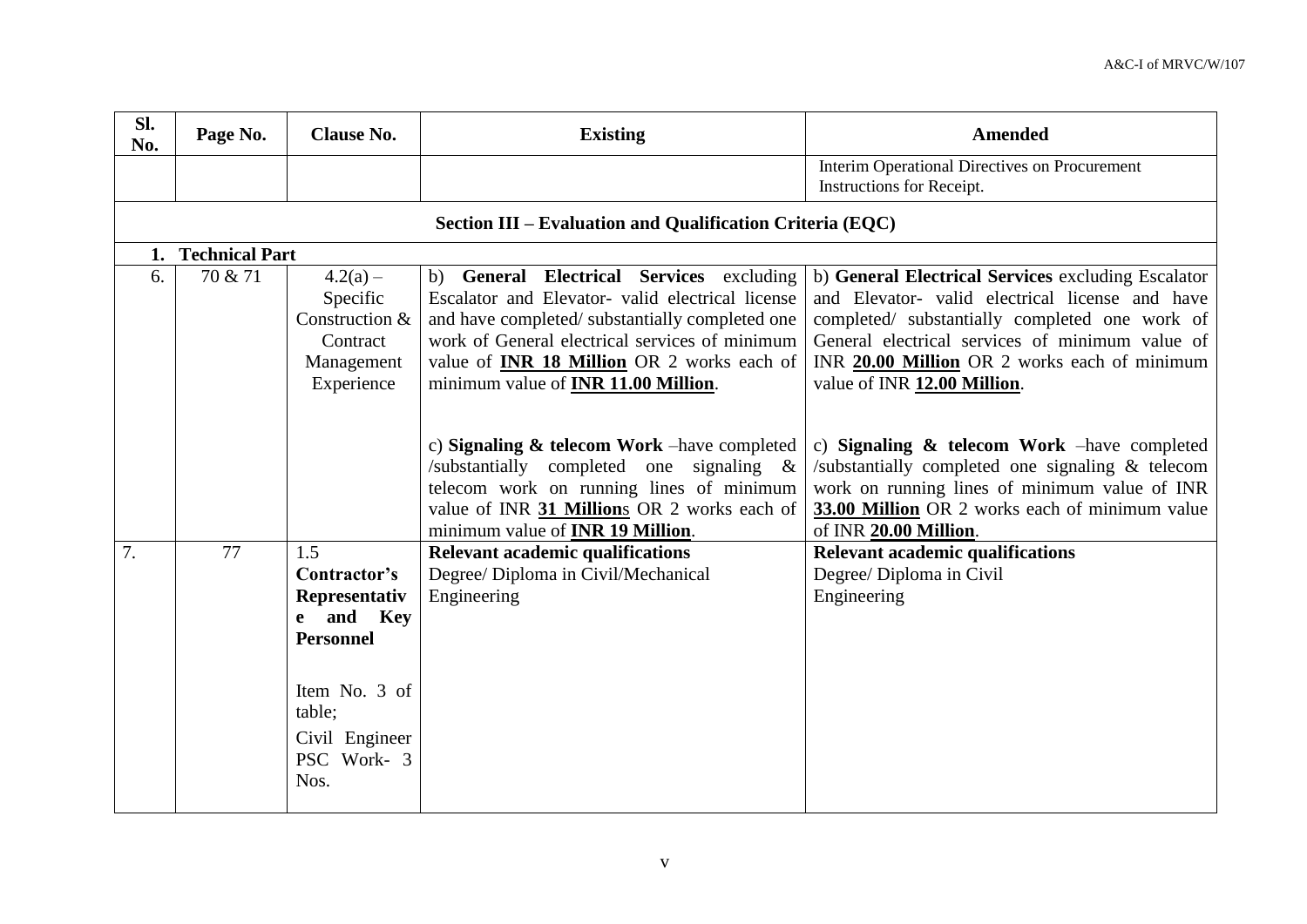| Sl.<br>No. | Page No.          | <b>Clause No.</b>                                                                                                                                      | <b>Existing</b>                                                                                                                                                                                                                                                                                                | <b>Amended</b>                                                                                                                                                                                                                                                                            |  |  |
|------------|-------------------|--------------------------------------------------------------------------------------------------------------------------------------------------------|----------------------------------------------------------------------------------------------------------------------------------------------------------------------------------------------------------------------------------------------------------------------------------------------------------------|-------------------------------------------------------------------------------------------------------------------------------------------------------------------------------------------------------------------------------------------------------------------------------------------|--|--|
|            |                   |                                                                                                                                                        |                                                                                                                                                                                                                                                                                                                | Interim Operational Directives on Procurement<br>Instructions for Receipt.                                                                                                                                                                                                                |  |  |
|            |                   |                                                                                                                                                        | Section III - Evaluation and Qualification Criteria (EQC)                                                                                                                                                                                                                                                      |                                                                                                                                                                                                                                                                                           |  |  |
|            | 1. Technical Part |                                                                                                                                                        |                                                                                                                                                                                                                                                                                                                |                                                                                                                                                                                                                                                                                           |  |  |
| 6.         | 70 & 71           | $4.2(a) -$<br>Specific<br>Construction $&$<br>Contract<br>Management<br>Experience                                                                     | <b>General Electrical Services</b> excluding<br>b)<br>Escalator and Elevator- valid electrical license<br>and have completed/substantially completed one<br>work of General electrical services of minimum<br>value of <b>INR 18 Million</b> OR 2 works each of<br>minimum value of <b>INR 11.00 Million</b> . | b) General Electrical Services excluding Escalator<br>and Elevator- valid electrical license and have<br>completed/ substantially completed one work of<br>General electrical services of minimum value of<br>INR 20.00 Million OR 2 works each of minimum<br>value of INR 12.00 Million. |  |  |
|            |                   |                                                                                                                                                        | c) Signaling $\&$ telecom Work – have completed<br>/substantially completed one<br>signaling $\&$<br>telecom work on running lines of minimum<br>value of INR 31 Millions OR 2 works each of<br>minimum value of <b>INR 19 Million</b> .                                                                       | c) Signaling $\&$ telecom Work – have completed<br>/substantially completed one signaling & telecom<br>work on running lines of minimum value of INR<br>33.00 Million OR 2 works each of minimum value<br>of INR 20.00 Million.                                                           |  |  |
| 7.         | 77                | 1.5<br>Contractor's<br>Representativ<br>and Key<br>$\mathbf{e}$<br><b>Personnel</b><br>Item No. 3 of<br>table;<br>Civil Engineer<br>PSC Work-3<br>Nos. | <b>Relevant academic qualifications</b><br>Degree/ Diploma in Civil/Mechanical<br>Engineering                                                                                                                                                                                                                  | <b>Relevant academic qualifications</b><br>Degree/ Diploma in Civil<br>Engineering                                                                                                                                                                                                        |  |  |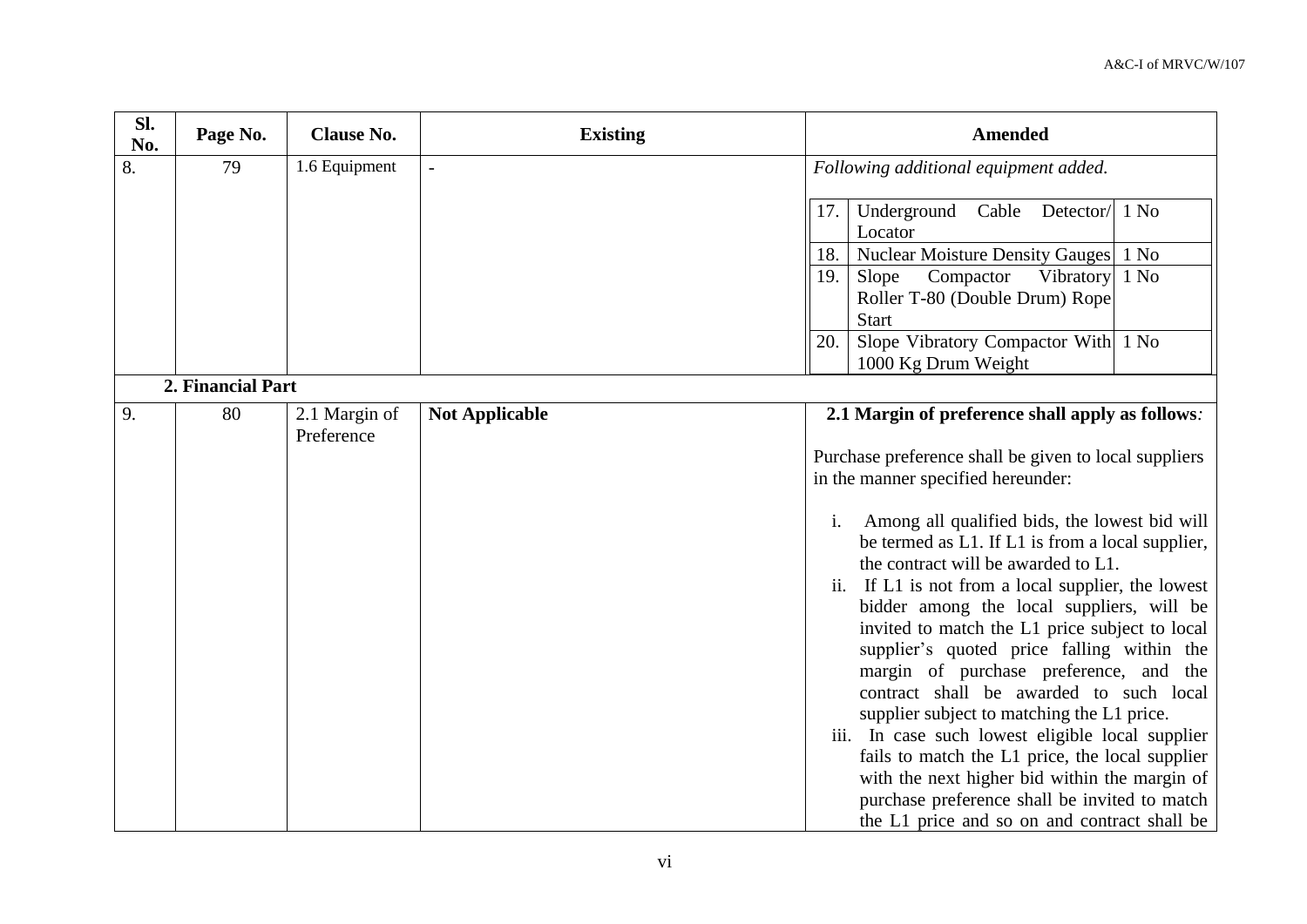| Sl.<br>No. | Page No.          | <b>Clause No.</b>           | <b>Existing</b>          |                | <b>Amended</b>                                                                                                                                                                                                                                                                                                                                                                                                                                                                                                                                                                                                                                                                                                                          |
|------------|-------------------|-----------------------------|--------------------------|----------------|-----------------------------------------------------------------------------------------------------------------------------------------------------------------------------------------------------------------------------------------------------------------------------------------------------------------------------------------------------------------------------------------------------------------------------------------------------------------------------------------------------------------------------------------------------------------------------------------------------------------------------------------------------------------------------------------------------------------------------------------|
| 8.         | 79                | 1.6 Equipment               | $\overline{\phantom{a}}$ |                | Following additional equipment added.                                                                                                                                                                                                                                                                                                                                                                                                                                                                                                                                                                                                                                                                                                   |
|            |                   |                             |                          | 17.            | Cable<br>Detector $/$ 1 No<br>Underground<br>Locator                                                                                                                                                                                                                                                                                                                                                                                                                                                                                                                                                                                                                                                                                    |
|            |                   |                             |                          | 18.            | <b>Nuclear Moisture Density Gauges</b><br>1 N <sub>0</sub>                                                                                                                                                                                                                                                                                                                                                                                                                                                                                                                                                                                                                                                                              |
|            |                   |                             |                          | 19.            | 1 N <sub>0</sub><br>Slope<br>Compactor<br>Vibratory<br>Roller T-80 (Double Drum) Rope                                                                                                                                                                                                                                                                                                                                                                                                                                                                                                                                                                                                                                                   |
|            |                   |                             |                          |                | <b>Start</b>                                                                                                                                                                                                                                                                                                                                                                                                                                                                                                                                                                                                                                                                                                                            |
|            |                   |                             |                          | 20.            | Slope Vibratory Compactor With 1 No<br>1000 Kg Drum Weight                                                                                                                                                                                                                                                                                                                                                                                                                                                                                                                                                                                                                                                                              |
|            | 2. Financial Part |                             |                          |                |                                                                                                                                                                                                                                                                                                                                                                                                                                                                                                                                                                                                                                                                                                                                         |
| 9.         | 80                | 2.1 Margin of<br>Preference | <b>Not Applicable</b>    |                | 2.1 Margin of preference shall apply as follows:                                                                                                                                                                                                                                                                                                                                                                                                                                                                                                                                                                                                                                                                                        |
|            |                   |                             |                          |                | Purchase preference shall be given to local suppliers                                                                                                                                                                                                                                                                                                                                                                                                                                                                                                                                                                                                                                                                                   |
|            |                   |                             |                          |                | in the manner specified hereunder:                                                                                                                                                                                                                                                                                                                                                                                                                                                                                                                                                                                                                                                                                                      |
|            |                   |                             |                          | $\mathbf{i}$ . | Among all qualified bids, the lowest bid will<br>be termed as L1. If L1 is from a local supplier,<br>the contract will be awarded to L1.<br>ii. If L1 is not from a local supplier, the lowest<br>bidder among the local suppliers, will be<br>invited to match the L1 price subject to local<br>supplier's quoted price falling within the<br>margin of purchase preference, and the<br>contract shall be awarded to such local<br>supplier subject to matching the L1 price.<br>iii. In case such lowest eligible local supplier<br>fails to match the L1 price, the local supplier<br>with the next higher bid within the margin of<br>purchase preference shall be invited to match<br>the L1 price and so on and contract shall be |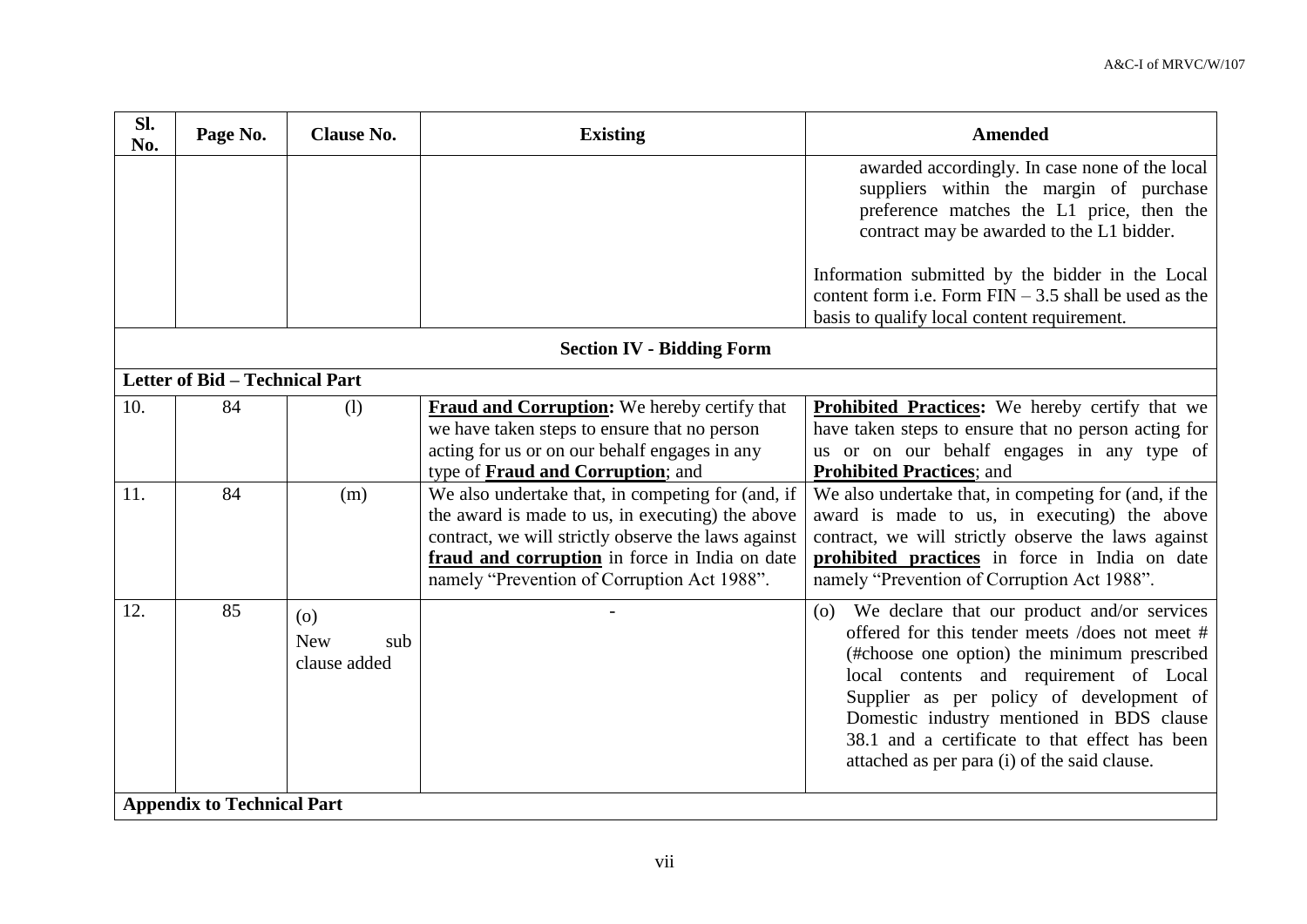| Sl.<br>No.                       | Page No.                          | <b>Clause No.</b>                        | <b>Existing</b>                                                                                                                                                                                                                                               | <b>Amended</b>                                                                                                                                                                                                                                                                                                                                                                            |  |  |  |
|----------------------------------|-----------------------------------|------------------------------------------|---------------------------------------------------------------------------------------------------------------------------------------------------------------------------------------------------------------------------------------------------------------|-------------------------------------------------------------------------------------------------------------------------------------------------------------------------------------------------------------------------------------------------------------------------------------------------------------------------------------------------------------------------------------------|--|--|--|
|                                  |                                   |                                          |                                                                                                                                                                                                                                                               | awarded accordingly. In case none of the local<br>suppliers within the margin of purchase<br>preference matches the L1 price, then the<br>contract may be awarded to the L1 bidder.<br>Information submitted by the bidder in the Local<br>content form i.e. Form $FIN - 3.5$ shall be used as the                                                                                        |  |  |  |
|                                  |                                   |                                          |                                                                                                                                                                                                                                                               | basis to qualify local content requirement.                                                                                                                                                                                                                                                                                                                                               |  |  |  |
| <b>Section IV - Bidding Form</b> |                                   |                                          |                                                                                                                                                                                                                                                               |                                                                                                                                                                                                                                                                                                                                                                                           |  |  |  |
|                                  | Letter of Bid - Technical Part    |                                          |                                                                                                                                                                                                                                                               |                                                                                                                                                                                                                                                                                                                                                                                           |  |  |  |
| 10.                              | 84                                | (1)                                      | <b>Fraud and Corruption:</b> We hereby certify that<br>we have taken steps to ensure that no person<br>acting for us or on our behalf engages in any<br>type of Fraud and Corruption; and                                                                     | <b>Prohibited Practices:</b> We hereby certify that we<br>have taken steps to ensure that no person acting for<br>us or on our behalf engages in any type of<br><b>Prohibited Practices</b> ; and                                                                                                                                                                                         |  |  |  |
| 11.                              | 84                                | (m)                                      | We also undertake that, in competing for (and, if<br>the award is made to us, in executing) the above<br>contract, we will strictly observe the laws against<br>fraud and corruption in force in India on date<br>namely "Prevention of Corruption Act 1988". | We also undertake that, in competing for (and, if the<br>award is made to us, in executing) the above<br>contract, we will strictly observe the laws against<br>prohibited practices in force in India on date<br>namely "Prevention of Corruption Act 1988".                                                                                                                             |  |  |  |
| 12.                              | 85                                | (0)<br><b>New</b><br>sub<br>clause added |                                                                                                                                                                                                                                                               | We declare that our product and/or services<br>(0)<br>offered for this tender meets /does not meet #<br>(#choose one option) the minimum prescribed<br>local contents and requirement of Local<br>Supplier as per policy of development of<br>Domestic industry mentioned in BDS clause<br>38.1 and a certificate to that effect has been<br>attached as per para (i) of the said clause. |  |  |  |
|                                  | <b>Appendix to Technical Part</b> |                                          |                                                                                                                                                                                                                                                               |                                                                                                                                                                                                                                                                                                                                                                                           |  |  |  |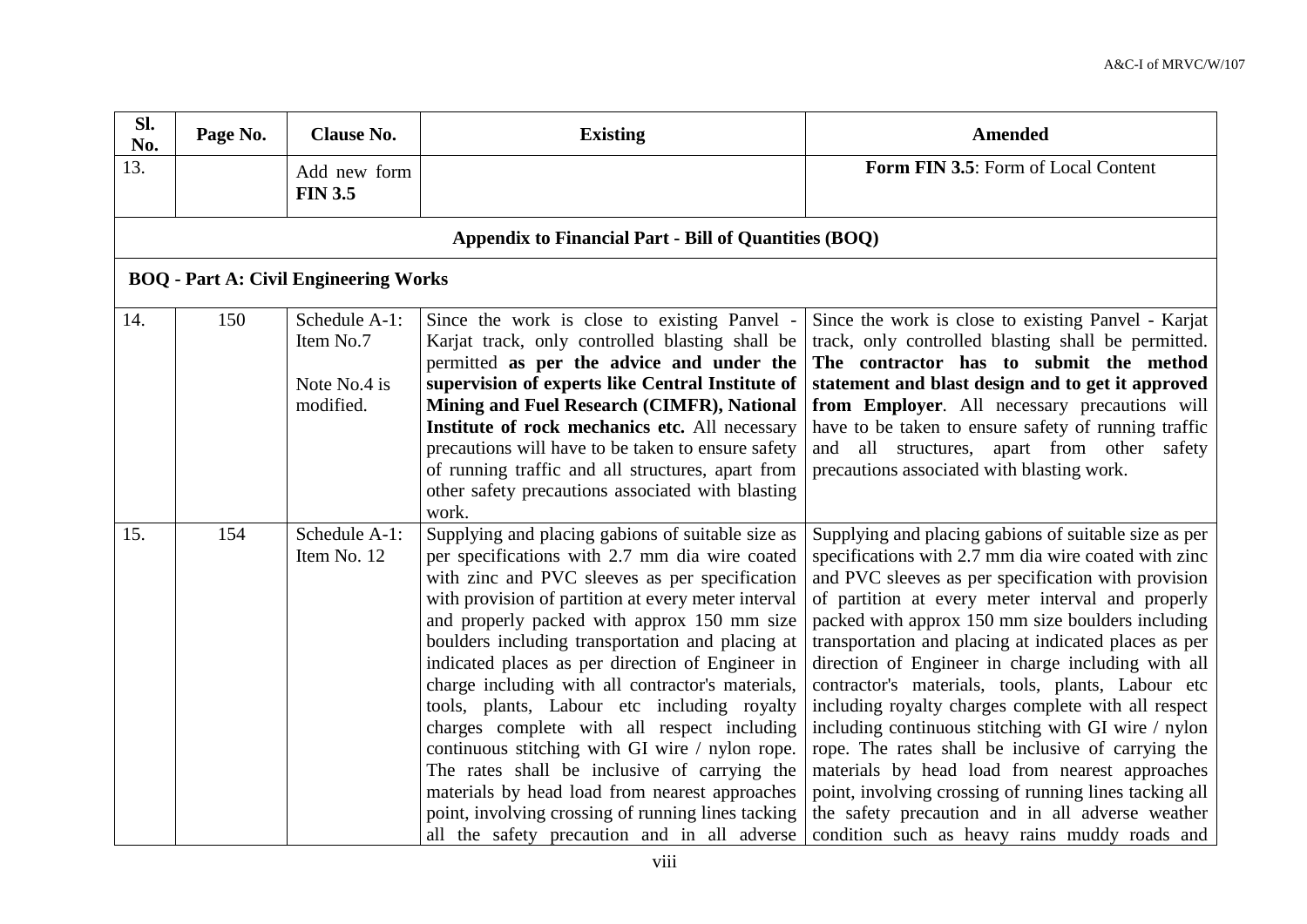| Sl.<br>No. | Page No.                                              | <b>Clause No.</b>                                       | <b>Existing</b>                                                                                                                                                                                                                                                                                                                                                                                                                                                                                                                                                                                                                                                                                                                                                                   | <b>Amended</b>                                                                                                                                                                                                                                                                                                                                                                                                                                                                                                                                                                                                                                                                                                                                                                                                                          |  |  |  |  |  |
|------------|-------------------------------------------------------|---------------------------------------------------------|-----------------------------------------------------------------------------------------------------------------------------------------------------------------------------------------------------------------------------------------------------------------------------------------------------------------------------------------------------------------------------------------------------------------------------------------------------------------------------------------------------------------------------------------------------------------------------------------------------------------------------------------------------------------------------------------------------------------------------------------------------------------------------------|-----------------------------------------------------------------------------------------------------------------------------------------------------------------------------------------------------------------------------------------------------------------------------------------------------------------------------------------------------------------------------------------------------------------------------------------------------------------------------------------------------------------------------------------------------------------------------------------------------------------------------------------------------------------------------------------------------------------------------------------------------------------------------------------------------------------------------------------|--|--|--|--|--|
| 13.        |                                                       | Add new form<br><b>FIN 3.5</b>                          |                                                                                                                                                                                                                                                                                                                                                                                                                                                                                                                                                                                                                                                                                                                                                                                   | Form FIN 3.5: Form of Local Content                                                                                                                                                                                                                                                                                                                                                                                                                                                                                                                                                                                                                                                                                                                                                                                                     |  |  |  |  |  |
|            | Appendix to Financial Part - Bill of Quantities (BOQ) |                                                         |                                                                                                                                                                                                                                                                                                                                                                                                                                                                                                                                                                                                                                                                                                                                                                                   |                                                                                                                                                                                                                                                                                                                                                                                                                                                                                                                                                                                                                                                                                                                                                                                                                                         |  |  |  |  |  |
|            |                                                       | <b>BOQ</b> - Part A: Civil Engineering Works            |                                                                                                                                                                                                                                                                                                                                                                                                                                                                                                                                                                                                                                                                                                                                                                                   |                                                                                                                                                                                                                                                                                                                                                                                                                                                                                                                                                                                                                                                                                                                                                                                                                                         |  |  |  |  |  |
| 14.        | 150                                                   | Schedule A-1:<br>Item No.7<br>Note No.4 is<br>modified. | Since the work is close to existing Panvel -<br>Karjat track, only controlled blasting shall be<br>permitted as per the advice and under the<br>supervision of experts like Central Institute of<br>Mining and Fuel Research (CIMFR), National<br>Institute of rock mechanics etc. All necessary<br>precautions will have to be taken to ensure safety<br>of running traffic and all structures, apart from<br>other safety precautions associated with blasting<br>work.                                                                                                                                                                                                                                                                                                         | Since the work is close to existing Panvel - Karjat<br>track, only controlled blasting shall be permitted.<br>The contractor has to submit the method<br>statement and blast design and to get it approved<br>from Employer. All necessary precautions will<br>have to be taken to ensure safety of running traffic<br>and all structures, apart from other safety<br>precautions associated with blasting work.                                                                                                                                                                                                                                                                                                                                                                                                                        |  |  |  |  |  |
| 15.        | 154                                                   | Schedule A-1:<br>Item No. 12                            | Supplying and placing gabions of suitable size as<br>per specifications with 2.7 mm dia wire coated<br>with zinc and PVC sleeves as per specification<br>with provision of partition at every meter interval<br>and properly packed with approx 150 mm size<br>boulders including transportation and placing at<br>indicated places as per direction of Engineer in<br>charge including with all contractor's materials,<br>tools, plants, Labour etc including royalty<br>charges complete with all respect including<br>continuous stitching with GI wire / nylon rope.<br>The rates shall be inclusive of carrying the<br>materials by head load from nearest approaches<br>point, involving crossing of running lines tacking<br>all the safety precaution and in all adverse | Supplying and placing gabions of suitable size as per<br>specifications with 2.7 mm dia wire coated with zinc<br>and PVC sleeves as per specification with provision<br>of partition at every meter interval and properly<br>packed with approx 150 mm size boulders including<br>transportation and placing at indicated places as per<br>direction of Engineer in charge including with all<br>contractor's materials, tools, plants, Labour etc<br>including royalty charges complete with all respect<br>including continuous stitching with GI wire / nylon<br>rope. The rates shall be inclusive of carrying the<br>materials by head load from nearest approaches<br>point, involving crossing of running lines tacking all<br>the safety precaution and in all adverse weather<br>condition such as heavy rains muddy roads and |  |  |  |  |  |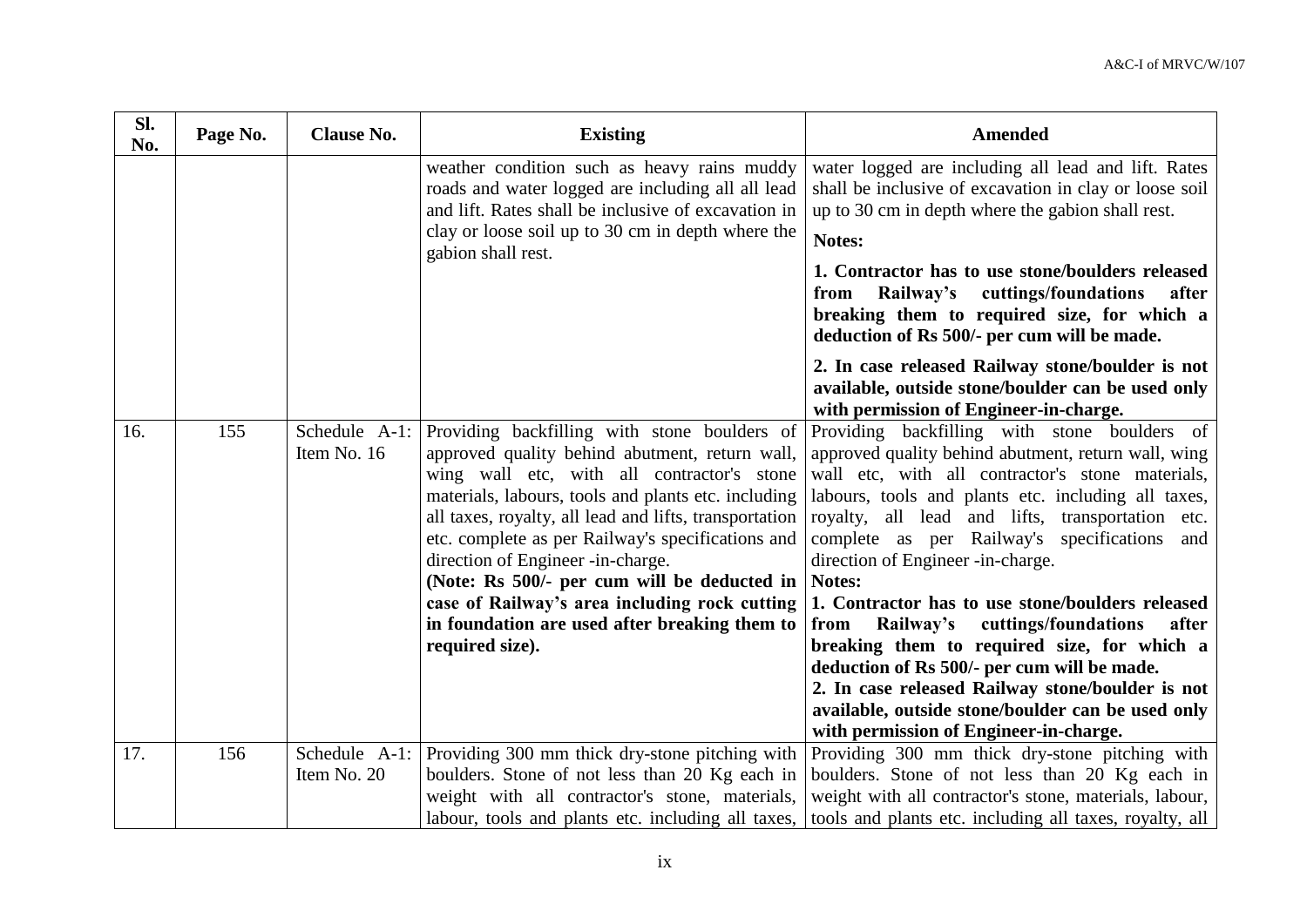| Sl.<br>No. | Page No. | <b>Clause No.</b> | <b>Existing</b>                                                                                                                                                                                                                                                                                                                                                                                                                                                                                                                           | <b>Amended</b>                                                                                                                                                                                                                                                                                                                                                                                                                                                                                                                                                                                                                                                                                                                  |
|------------|----------|-------------------|-------------------------------------------------------------------------------------------------------------------------------------------------------------------------------------------------------------------------------------------------------------------------------------------------------------------------------------------------------------------------------------------------------------------------------------------------------------------------------------------------------------------------------------------|---------------------------------------------------------------------------------------------------------------------------------------------------------------------------------------------------------------------------------------------------------------------------------------------------------------------------------------------------------------------------------------------------------------------------------------------------------------------------------------------------------------------------------------------------------------------------------------------------------------------------------------------------------------------------------------------------------------------------------|
|            |          |                   | weather condition such as heavy rains muddy<br>roads and water logged are including all all lead<br>and lift. Rates shall be inclusive of excavation in<br>clay or loose soil up to 30 cm in depth where the<br>gabion shall rest.                                                                                                                                                                                                                                                                                                        | water logged are including all lead and lift. Rates<br>shall be inclusive of excavation in clay or loose soil<br>up to 30 cm in depth where the gabion shall rest.<br>Notes:<br>1. Contractor has to use stone/boulders released<br>Railway's cuttings/foundations<br>from<br>after<br>breaking them to required size, for which a<br>deduction of Rs 500/- per cum will be made.<br>2. In case released Railway stone/boulder is not<br>available, outside stone/boulder can be used only<br>with permission of Engineer-in-charge.                                                                                                                                                                                            |
| 16.        | 155      | Item No. 16       | Schedule A-1: Providing backfilling with stone boulders of<br>approved quality behind abutment, return wall,<br>wing wall etc, with all contractor's stone<br>materials, labours, tools and plants etc. including<br>all taxes, royalty, all lead and lifts, transportation<br>etc. complete as per Railway's specifications and<br>direction of Engineer -in-charge.<br>(Note: Rs 500/- per cum will be deducted in<br>case of Railway's area including rock cutting<br>in foundation are used after breaking them to<br>required size). | Providing backfilling with stone boulders of<br>approved quality behind abutment, return wall, wing<br>wall etc, with all contractor's stone materials,<br>labours, tools and plants etc. including all taxes,<br>royalty, all lead and lifts, transportation etc.<br>complete as per Railway's specifications<br>and<br>direction of Engineer -in-charge.<br>Notes:<br>1. Contractor has to use stone/boulders released<br>Railway's<br>cuttings/foundations<br>from<br>after<br>breaking them to required size, for which a<br>deduction of Rs 500/- per cum will be made.<br>2. In case released Railway stone/boulder is not<br>available, outside stone/boulder can be used only<br>with permission of Engineer-in-charge. |
| 17.        | 156      | Item No. 20       | Schedule A-1: Providing 300 mm thick dry-stone pitching with<br>boulders. Stone of not less than 20 Kg each in                                                                                                                                                                                                                                                                                                                                                                                                                            | Providing 300 mm thick dry-stone pitching with<br>boulders. Stone of not less than 20 Kg each in                                                                                                                                                                                                                                                                                                                                                                                                                                                                                                                                                                                                                                |
|            |          |                   | weight with all contractor's stone, materials,                                                                                                                                                                                                                                                                                                                                                                                                                                                                                            | weight with all contractor's stone, materials, labour,                                                                                                                                                                                                                                                                                                                                                                                                                                                                                                                                                                                                                                                                          |
|            |          |                   | labour, tools and plants etc. including all taxes,                                                                                                                                                                                                                                                                                                                                                                                                                                                                                        | tools and plants etc. including all taxes, royalty, all                                                                                                                                                                                                                                                                                                                                                                                                                                                                                                                                                                                                                                                                         |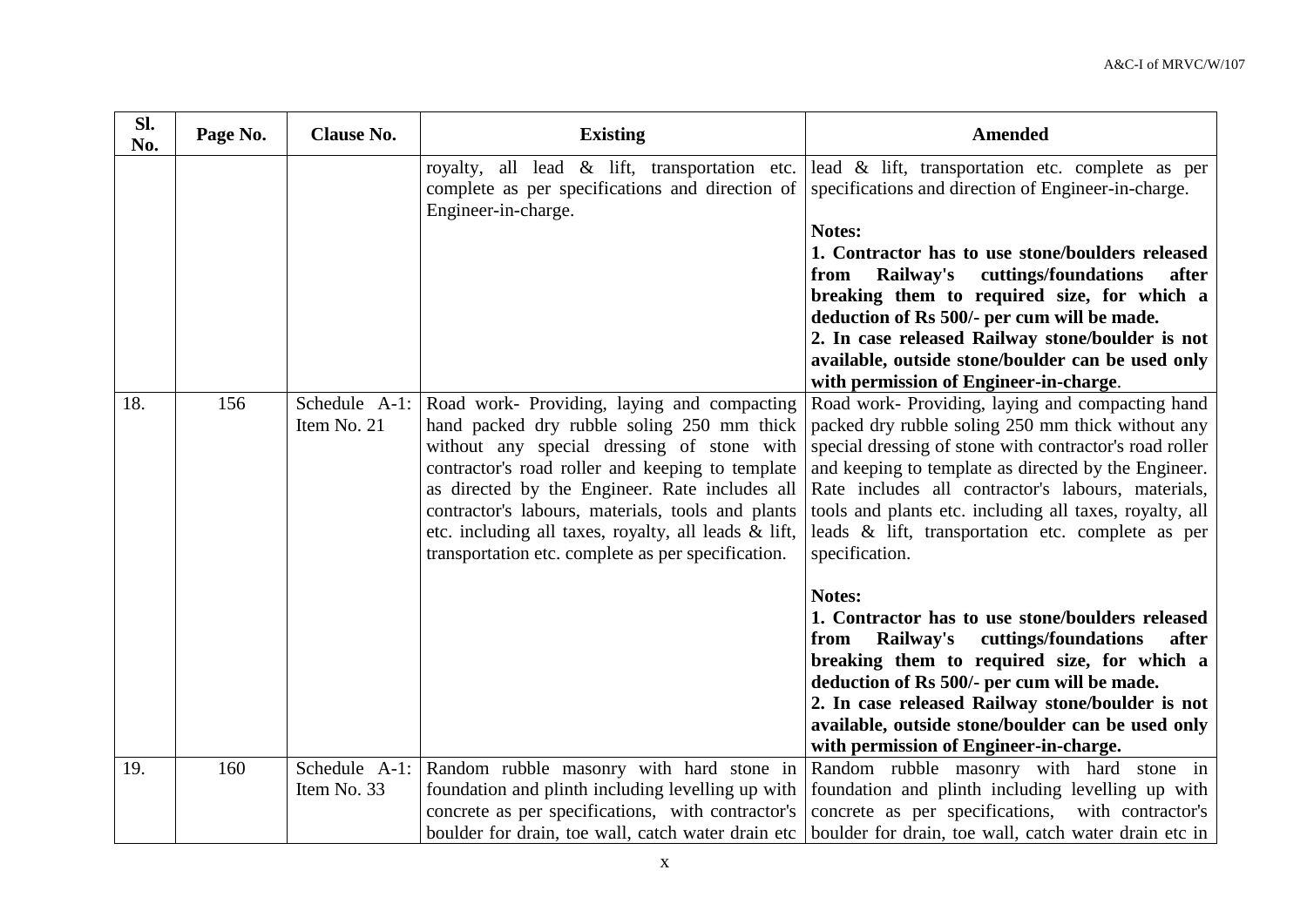| Sl.<br>No. | Page No. | <b>Clause No.</b> | <b>Existing</b>                                                                                                                                                                                                                                                                                                                                                                                                                | <b>Amended</b>                                                                                                                                                                                                                                                                                                                                                                                                                                                               |
|------------|----------|-------------------|--------------------------------------------------------------------------------------------------------------------------------------------------------------------------------------------------------------------------------------------------------------------------------------------------------------------------------------------------------------------------------------------------------------------------------|------------------------------------------------------------------------------------------------------------------------------------------------------------------------------------------------------------------------------------------------------------------------------------------------------------------------------------------------------------------------------------------------------------------------------------------------------------------------------|
|            |          |                   | royalty, all lead & lift, transportation etc.<br>complete as per specifications and direction of<br>Engineer-in-charge.                                                                                                                                                                                                                                                                                                        | lead & lift, transportation etc. complete as per<br>specifications and direction of Engineer-in-charge.<br>Notes:<br>1. Contractor has to use stone/boulders released<br>cuttings/foundations<br>Railway's<br>from<br>after<br>breaking them to required size, for which a<br>deduction of Rs 500/- per cum will be made.<br>2. In case released Railway stone/boulder is not<br>available, outside stone/boulder can be used only<br>with permission of Engineer-in-charge. |
| 18.        | 156      | Item No. 21       | Schedule A-1: Road work- Providing, laying and compacting<br>hand packed dry rubble soling 250 mm thick<br>without any special dressing of stone with<br>contractor's road roller and keeping to template<br>as directed by the Engineer. Rate includes all<br>contractor's labours, materials, tools and plants<br>etc. including all taxes, royalty, all leads & lift,<br>transportation etc. complete as per specification. | Road work- Providing, laying and compacting hand<br>packed dry rubble soling 250 mm thick without any<br>special dressing of stone with contractor's road roller<br>and keeping to template as directed by the Engineer.<br>Rate includes all contractor's labours, materials,<br>tools and plants etc. including all taxes, royalty, all<br>leads & lift, transportation etc. complete as per<br>specification.                                                             |
|            |          |                   |                                                                                                                                                                                                                                                                                                                                                                                                                                | Notes:<br>1. Contractor has to use stone/boulders released<br>cuttings/foundations<br>Railway's<br>after<br>from<br>breaking them to required size, for which a<br>deduction of Rs 500/- per cum will be made.<br>2. In case released Railway stone/boulder is not<br>available, outside stone/boulder can be used only<br>with permission of Engineer-in-charge.                                                                                                            |
| 19.        | 160      | Item No. 33       | Schedule A-1: Random rubble masonry with hard stone in<br>foundation and plinth including levelling up with<br>concrete as per specifications, with contractor's<br>boulder for drain, toe wall, catch water drain etc                                                                                                                                                                                                         | Random rubble masonry with hard stone in<br>foundation and plinth including levelling up with<br>concrete as per specifications, with contractor's<br>boulder for drain, toe wall, catch water drain etc in                                                                                                                                                                                                                                                                  |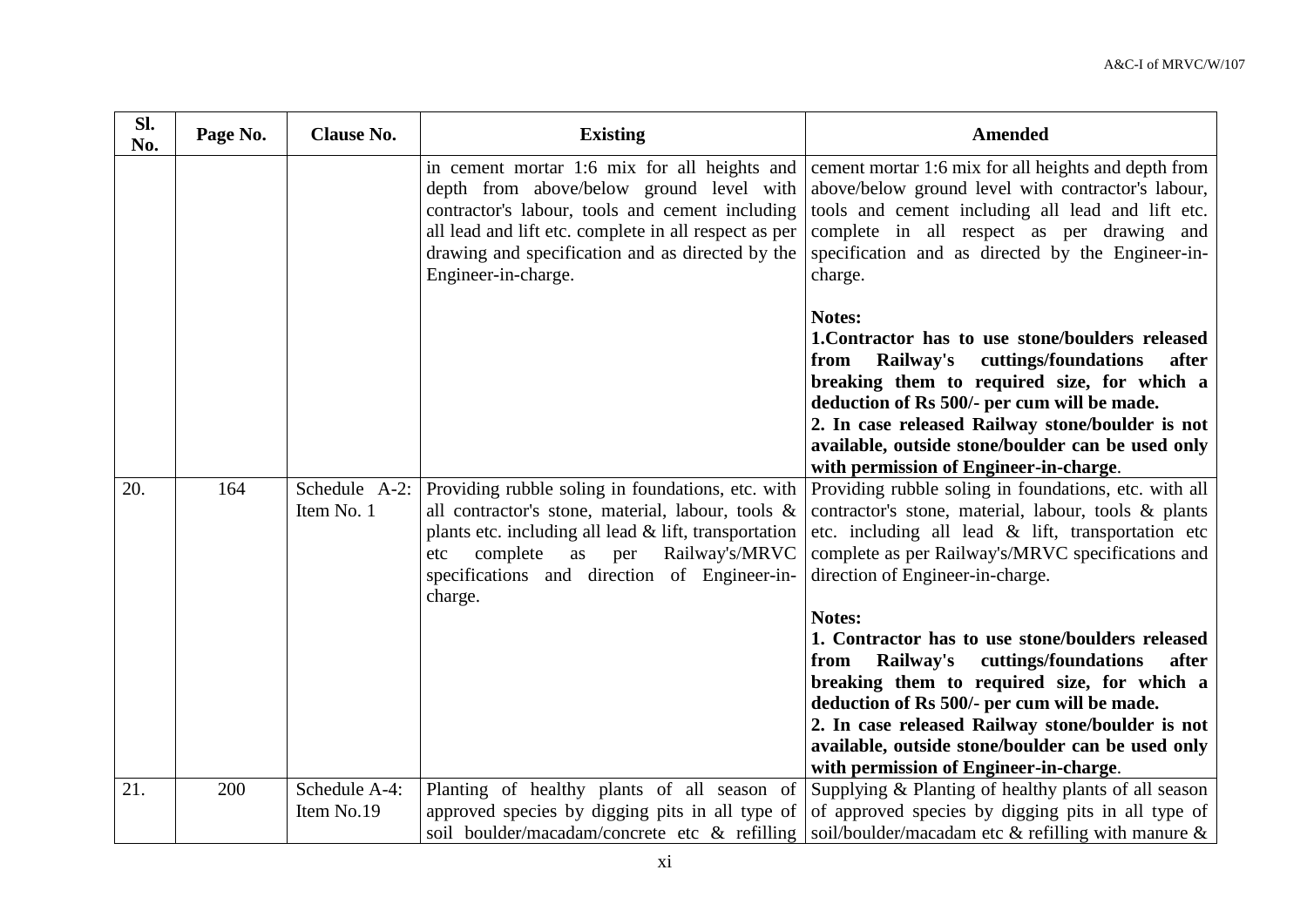| SI.<br>No. | Page No. | <b>Clause No.</b>           | <b>Existing</b>                                                                                                                                                                                                                                                                              | <b>Amended</b>                                                                                                                                                                                                                                                                                                                                                                                                                                                                                                                                                                             |
|------------|----------|-----------------------------|----------------------------------------------------------------------------------------------------------------------------------------------------------------------------------------------------------------------------------------------------------------------------------------------|--------------------------------------------------------------------------------------------------------------------------------------------------------------------------------------------------------------------------------------------------------------------------------------------------------------------------------------------------------------------------------------------------------------------------------------------------------------------------------------------------------------------------------------------------------------------------------------------|
|            |          |                             | in cement mortar 1:6 mix for all heights and<br>depth from above/below ground level with<br>contractor's labour, tools and cement including<br>all lead and lift etc. complete in all respect as per<br>drawing and specification and as directed by the<br>Engineer-in-charge.              | cement mortar 1:6 mix for all heights and depth from<br>above/below ground level with contractor's labour,<br>tools and cement including all lead and lift etc.<br>complete in all respect as per drawing and<br>specification and as directed by the Engineer-in-<br>charge.                                                                                                                                                                                                                                                                                                              |
|            |          |                             |                                                                                                                                                                                                                                                                                              | Notes:<br>1. Contractor has to use stone/boulders released<br>cuttings/foundations<br>Railway's<br>after<br>from<br>breaking them to required size, for which a<br>deduction of Rs 500/- per cum will be made.<br>2. In case released Railway stone/boulder is not<br>available, outside stone/boulder can be used only<br>with permission of Engineer-in-charge.                                                                                                                                                                                                                          |
| 20.        | 164      | Item No. 1                  | Schedule A-2: Providing rubble soling in foundations, etc. with<br>all contractor's stone, material, labour, tools &<br>plants etc. including all lead $&$ lift, transportation<br>complete<br>as<br>per<br>Railway's/MRVC<br>etc<br>specifications and direction of Engineer-in-<br>charge. | Providing rubble soling in foundations, etc. with all<br>contractor's stone, material, labour, tools & plants<br>etc. including all lead $\&$ lift, transportation etc<br>complete as per Railway's/MRVC specifications and<br>direction of Engineer-in-charge.<br>Notes:<br>1. Contractor has to use stone/boulders released<br>cuttings/foundations<br>Railway's<br>after<br>from<br>breaking them to required size, for which a<br>deduction of Rs 500/- per cum will be made.<br>2. In case released Railway stone/boulder is not<br>available, outside stone/boulder can be used only |
|            |          |                             |                                                                                                                                                                                                                                                                                              | with permission of Engineer-in-charge.                                                                                                                                                                                                                                                                                                                                                                                                                                                                                                                                                     |
| 21.        | 200      | Schedule A-4:<br>Item No.19 | Planting of healthy plants of all season of<br>approved species by digging pits in all type of<br>soil boulder/macadam/concrete etc & refilling                                                                                                                                              | Supplying & Planting of healthy plants of all season<br>of approved species by digging pits in all type of<br>soil/boulder/macadam etc $\&$ refilling with manure $\&$                                                                                                                                                                                                                                                                                                                                                                                                                     |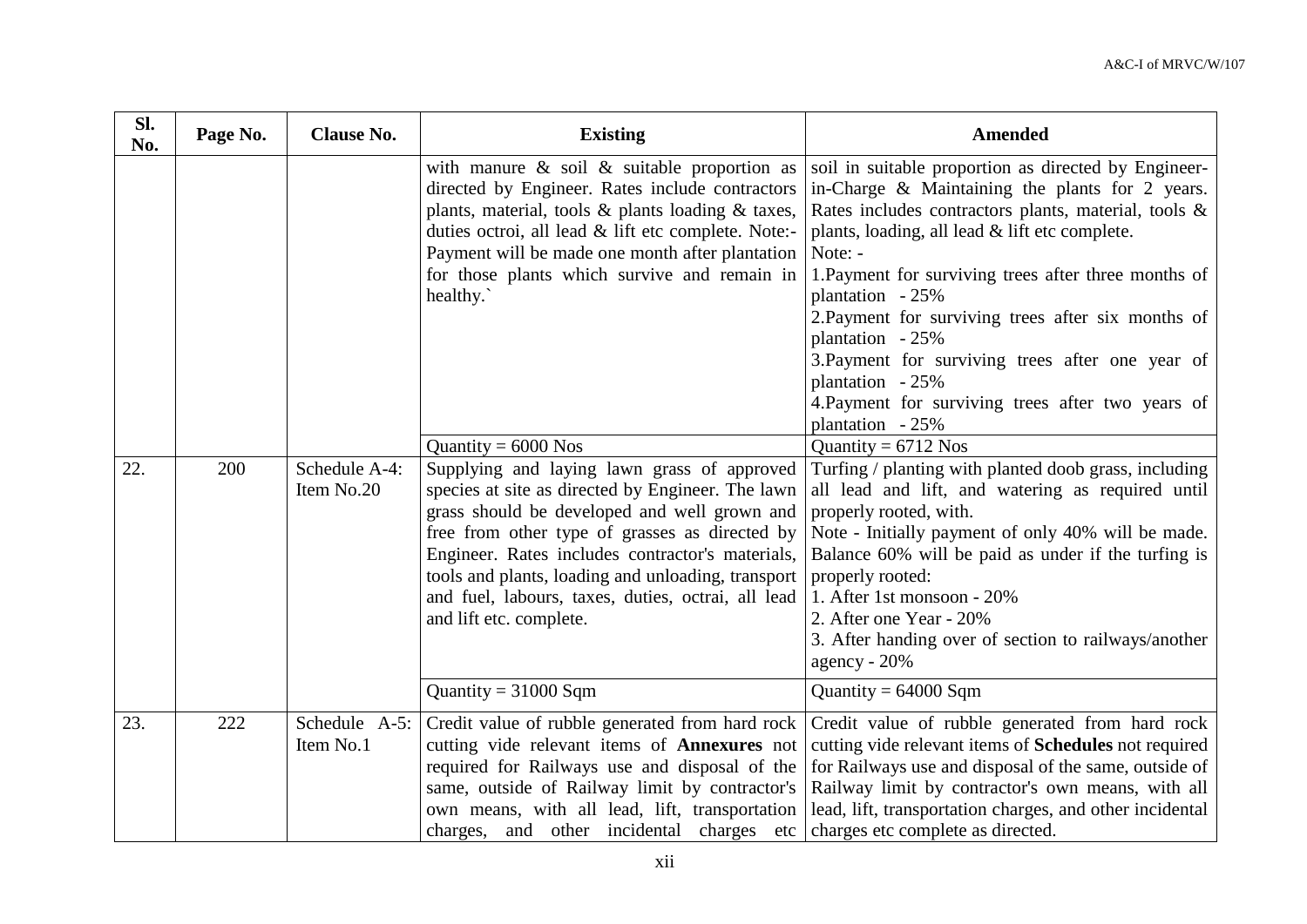| Sl.<br>No. | Page No. | <b>Clause No.</b>           | <b>Existing</b>                                                                                                                                                                                                                                                                                                                                                                               | <b>Amended</b>                                                                                                                                                                                                                                                                                                                                                                                                                                                                                                                          |
|------------|----------|-----------------------------|-----------------------------------------------------------------------------------------------------------------------------------------------------------------------------------------------------------------------------------------------------------------------------------------------------------------------------------------------------------------------------------------------|-----------------------------------------------------------------------------------------------------------------------------------------------------------------------------------------------------------------------------------------------------------------------------------------------------------------------------------------------------------------------------------------------------------------------------------------------------------------------------------------------------------------------------------------|
|            |          |                             | with manure $\&$ soil $\&$ suitable proportion as<br>directed by Engineer. Rates include contractors<br>plants, material, tools & plants loading & taxes,<br>duties octroi, all lead & lift etc complete. Note:-<br>Payment will be made one month after plantation<br>for those plants which survive and remain in<br>healthy.                                                               | soil in suitable proportion as directed by Engineer-<br>in-Charge $\&$ Maintaining the plants for 2 years.<br>Rates includes contractors plants, material, tools &<br>plants, loading, all lead & lift etc complete.<br>Note: -<br>1. Payment for surviving trees after three months of<br>plantation - 25%<br>2. Payment for surviving trees after six months of<br>plantation - 25%<br>3. Payment for surviving trees after one year of<br>plantation - 25%<br>4. Payment for surviving trees after two years of<br>plantation $-25%$ |
|            |          |                             | Quantity = $6000$ Nos                                                                                                                                                                                                                                                                                                                                                                         | Quantity = $6712$ Nos                                                                                                                                                                                                                                                                                                                                                                                                                                                                                                                   |
| 22.        | 200      | Schedule A-4:<br>Item No.20 | Supplying and laying lawn grass of approved<br>species at site as directed by Engineer. The lawn<br>grass should be developed and well grown and<br>free from other type of grasses as directed by<br>Engineer. Rates includes contractor's materials,<br>tools and plants, loading and unloading, transport<br>and fuel, labours, taxes, duties, octrai, all lead<br>and lift etc. complete. | Turfing / planting with planted doob grass, including<br>all lead and lift, and watering as required until<br>properly rooted, with.<br>Note - Initially payment of only 40% will be made.<br>Balance 60% will be paid as under if the turfing is<br>properly rooted:<br>1. After 1st monsoon - 20%<br>2. After one Year - 20%<br>3. After handing over of section to railways/another<br>agency - $20%$                                                                                                                                |
|            |          |                             | Quantity = $31000$ Sqm                                                                                                                                                                                                                                                                                                                                                                        | Quantity = $64000$ Sqm                                                                                                                                                                                                                                                                                                                                                                                                                                                                                                                  |
| 23.        | 222      | Schedule A-5:<br>Item No.1  | Credit value of rubble generated from hard rock<br>cutting vide relevant items of <b>Annexures</b> not<br>required for Railways use and disposal of the<br>same, outside of Railway limit by contractor's<br>own means, with all lead, lift, transportation<br>charges, and other incidental charges etc                                                                                      | Credit value of rubble generated from hard rock<br>cutting vide relevant items of Schedules not required<br>for Railways use and disposal of the same, outside of<br>Railway limit by contractor's own means, with all<br>lead, lift, transportation charges, and other incidental<br>charges etc complete as directed.                                                                                                                                                                                                                 |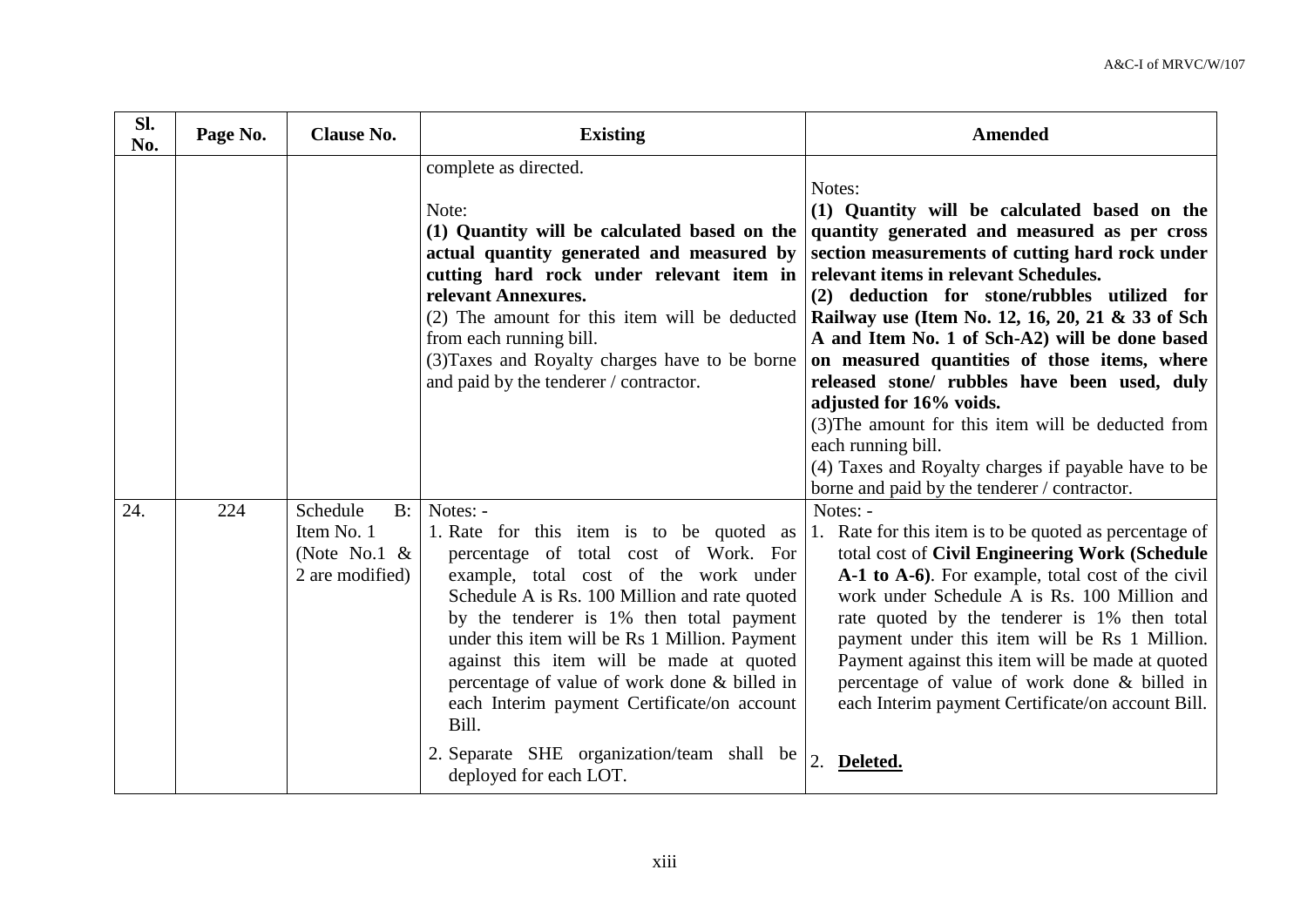| Sl.<br>No. | Page No. | <b>Clause No.</b>                                                     | <b>Existing</b>                                                                                                                                                                                                                                                                                                                                                                                                                                                                                                                      | <b>Amended</b>                                                                                                                                                                                                                                                                                                                                                                                                                                                                                                                                                                                                                                                         |
|------------|----------|-----------------------------------------------------------------------|--------------------------------------------------------------------------------------------------------------------------------------------------------------------------------------------------------------------------------------------------------------------------------------------------------------------------------------------------------------------------------------------------------------------------------------------------------------------------------------------------------------------------------------|------------------------------------------------------------------------------------------------------------------------------------------------------------------------------------------------------------------------------------------------------------------------------------------------------------------------------------------------------------------------------------------------------------------------------------------------------------------------------------------------------------------------------------------------------------------------------------------------------------------------------------------------------------------------|
|            |          |                                                                       | complete as directed.<br>Note:<br>(1) Quantity will be calculated based on the<br>actual quantity generated and measured by<br>cutting hard rock under relevant item in<br>relevant Annexures.<br>$(2)$ The amount for this item will be deducted<br>from each running bill.<br>(3) Taxes and Royalty charges have to be borne<br>and paid by the tenderer / contractor.                                                                                                                                                             | Notes:<br>(1) Quantity will be calculated based on the<br>quantity generated and measured as per cross<br>section measurements of cutting hard rock under<br>relevant items in relevant Schedules.<br>(2) deduction for stone/rubbles utilized for<br>Railway use (Item No. 12, 16, 20, 21 & 33 of Sch<br>A and Item No. 1 of Sch-A2) will be done based<br>on measured quantities of those items, where<br>released stone/ rubbles have been used, duly<br>adjusted for 16% voids.<br>(3) The amount for this item will be deducted from<br>each running bill.<br>(4) Taxes and Royalty charges if payable have to be<br>borne and paid by the tenderer / contractor. |
| 24.        | 224      | Schedule<br>$B$ :<br>Item No. 1<br>(Note No.1 $\&$<br>2 are modified) | Notes: -<br>1. Rate for this item is to be quoted as<br>percentage of total cost of Work. For<br>example, total cost of the work under<br>Schedule A is Rs. 100 Million and rate quoted<br>by the tenderer is 1% then total payment<br>under this item will be Rs 1 Million. Payment<br>against this item will be made at quoted<br>percentage of value of work done & billed in<br>each Interim payment Certificate/on account<br>Bill.<br>2. Separate SHE organization/team shall be $\vert$ 2. Deleted.<br>deployed for each LOT. | Notes: -<br>1. Rate for this item is to be quoted as percentage of<br>total cost of Civil Engineering Work (Schedule<br>A-1 to A-6). For example, total cost of the civil<br>work under Schedule A is Rs. 100 Million and<br>rate quoted by the tenderer is 1% then total<br>payment under this item will be Rs 1 Million.<br>Payment against this item will be made at quoted<br>percentage of value of work done & billed in<br>each Interim payment Certificate/on account Bill.                                                                                                                                                                                    |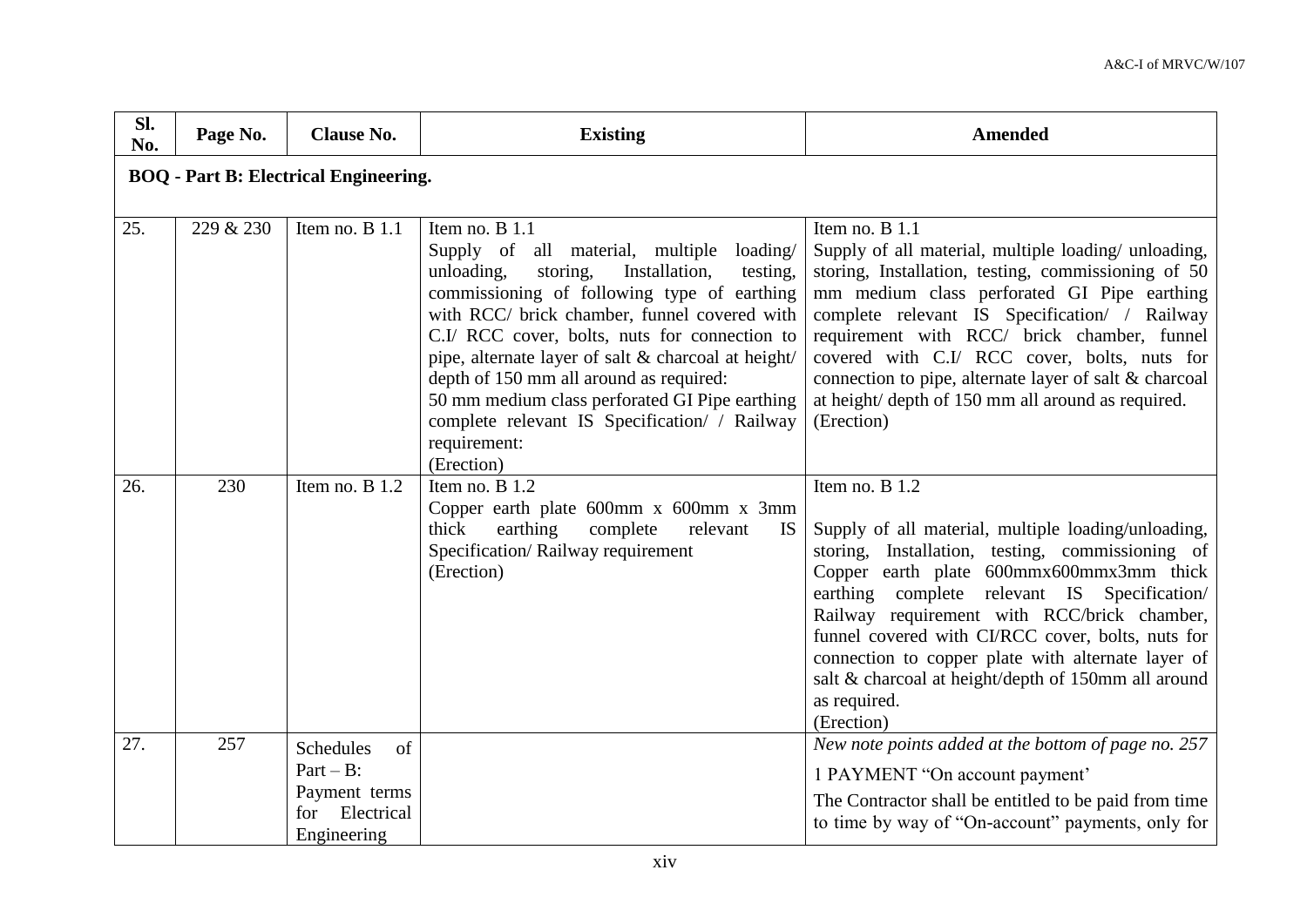| Sl.<br>No. | Page No.                                     | <b>Clause No.</b>                                                                           | <b>Existing</b>                                                                                                                                                                                                                                                                                                                                                                                                                                                                                            | <b>Amended</b>                                                                                                                                                                                                                                                                                                                                                                                                                                                       |  |  |  |
|------------|----------------------------------------------|---------------------------------------------------------------------------------------------|------------------------------------------------------------------------------------------------------------------------------------------------------------------------------------------------------------------------------------------------------------------------------------------------------------------------------------------------------------------------------------------------------------------------------------------------------------------------------------------------------------|----------------------------------------------------------------------------------------------------------------------------------------------------------------------------------------------------------------------------------------------------------------------------------------------------------------------------------------------------------------------------------------------------------------------------------------------------------------------|--|--|--|
|            | <b>BOQ</b> - Part B: Electrical Engineering. |                                                                                             |                                                                                                                                                                                                                                                                                                                                                                                                                                                                                                            |                                                                                                                                                                                                                                                                                                                                                                                                                                                                      |  |  |  |
| 25.        | 229 & 230                                    | Item no. B 1.1                                                                              | Item no. $B$ 1.1<br>Supply of all material, multiple<br>loading/<br>unloading,<br>Installation,<br>storing,<br>testing,<br>commissioning of following type of earthing<br>with RCC/ brick chamber, funnel covered with<br>C.I/ RCC cover, bolts, nuts for connection to<br>pipe, alternate layer of salt & charcoal at height/<br>depth of 150 mm all around as required:<br>50 mm medium class perforated GI Pipe earthing<br>complete relevant IS Specification/ / Railway<br>requirement:<br>(Erection) | Item no. B 1.1<br>Supply of all material, multiple loading/ unloading,<br>storing, Installation, testing, commissioning of 50<br>mm medium class perforated GI Pipe earthing<br>complete relevant IS Specification/ / Railway<br>requirement with RCC/ brick chamber, funnel<br>covered with C.I/ RCC cover, bolts, nuts for<br>connection to pipe, alternate layer of salt & charcoal<br>at height/ depth of 150 mm all around as required.<br>(Erection)           |  |  |  |
| 26.        | 230                                          | Item no. $B$ 1.2                                                                            | Item no. $B$ 1.2<br>Copper earth plate 600mm x 600mm x 3mm<br>thick<br>earthing<br>complete<br>relevant<br>IS.<br>Specification/Railway requirement<br>(Erection)                                                                                                                                                                                                                                                                                                                                          | Item no. B 1.2<br>Supply of all material, multiple loading/unloading,<br>storing, Installation, testing, commissioning of<br>Copper earth plate 600mmx600mmx3mm thick<br>earthing complete relevant IS Specification/<br>Railway requirement with RCC/brick chamber,<br>funnel covered with CI/RCC cover, bolts, nuts for<br>connection to copper plate with alternate layer of<br>salt & charcoal at height/depth of 150mm all around<br>as required.<br>(Erection) |  |  |  |
| 27.        | 257                                          | <b>Schedules</b><br>of<br>$Part - B$ :<br>Payment terms<br>Electrical<br>for<br>Engineering |                                                                                                                                                                                                                                                                                                                                                                                                                                                                                                            | New note points added at the bottom of page no. 257<br>1 PAYMENT "On account payment"<br>The Contractor shall be entitled to be paid from time<br>to time by way of "On-account" payments, only for                                                                                                                                                                                                                                                                  |  |  |  |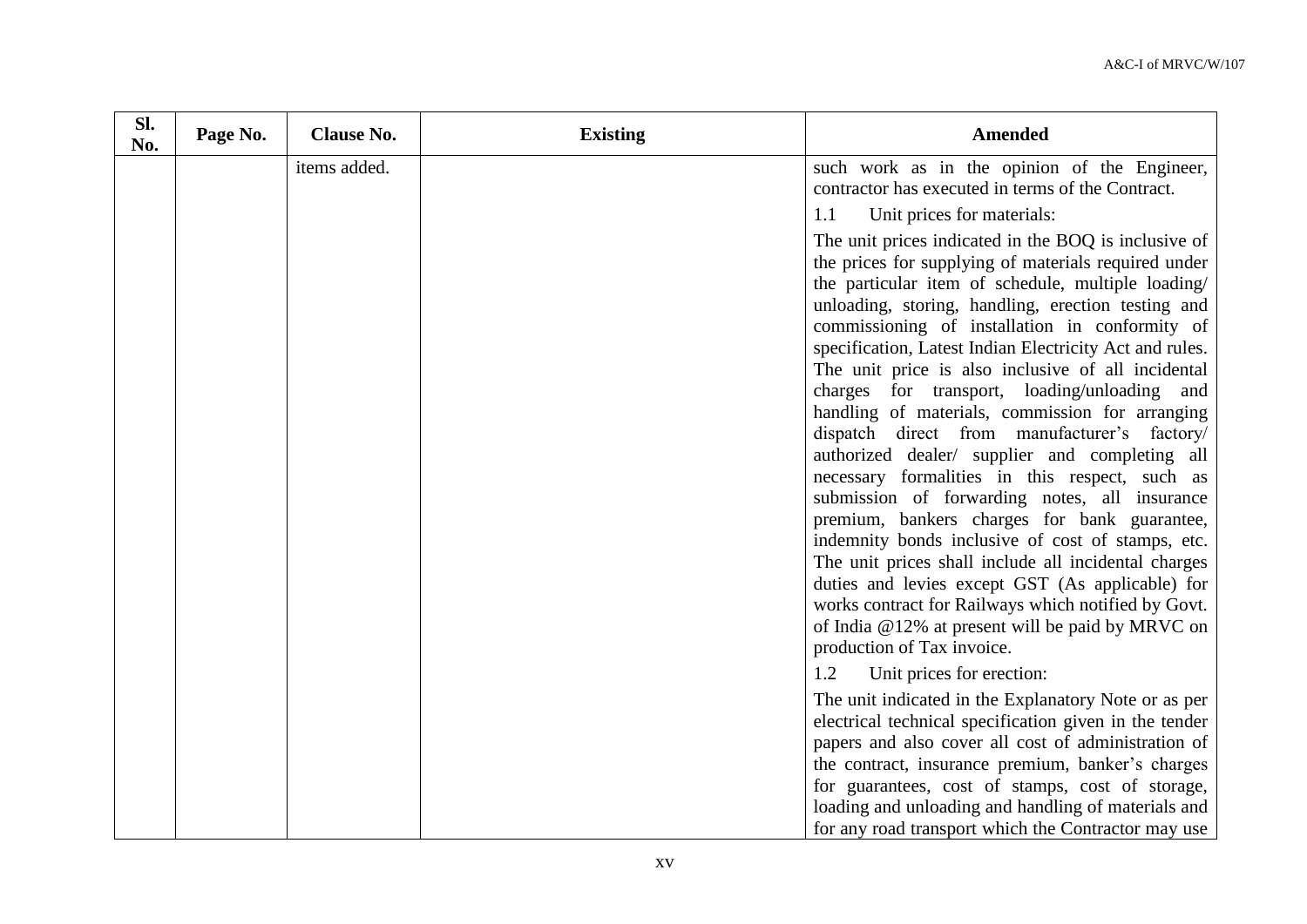| Sl.<br>No. | Page No. | <b>Clause No.</b> | <b>Existing</b> | <b>Amended</b>                                                                                                                                                                                                                                                                                                                                                                                                                                                                                                                                 |
|------------|----------|-------------------|-----------------|------------------------------------------------------------------------------------------------------------------------------------------------------------------------------------------------------------------------------------------------------------------------------------------------------------------------------------------------------------------------------------------------------------------------------------------------------------------------------------------------------------------------------------------------|
|            |          | items added.      |                 | such work as in the opinion of the Engineer,                                                                                                                                                                                                                                                                                                                                                                                                                                                                                                   |
|            |          |                   |                 | contractor has executed in terms of the Contract.                                                                                                                                                                                                                                                                                                                                                                                                                                                                                              |
|            |          |                   |                 | Unit prices for materials:<br>1.1                                                                                                                                                                                                                                                                                                                                                                                                                                                                                                              |
|            |          |                   |                 | The unit prices indicated in the BOQ is inclusive of<br>the prices for supplying of materials required under<br>the particular item of schedule, multiple loading/<br>unloading, storing, handling, erection testing and<br>commissioning of installation in conformity of<br>specification, Latest Indian Electricity Act and rules.<br>The unit price is also inclusive of all incidental<br>charges for transport, loading/unloading and<br>handling of materials, commission for arranging<br>dispatch direct from manufacturer's factory/ |
|            |          |                   |                 | authorized dealer/ supplier and completing all<br>necessary formalities in this respect, such as<br>submission of forwarding notes, all insurance<br>premium, bankers charges for bank guarantee,<br>indemnity bonds inclusive of cost of stamps, etc.<br>The unit prices shall include all incidental charges<br>duties and levies except GST (As applicable) for<br>works contract for Railways which notified by Govt.<br>of India @12% at present will be paid by MRVC on<br>production of Tax invoice.                                    |
|            |          |                   |                 | Unit prices for erection:<br>1.2<br>The unit indicated in the Explanatory Note or as per<br>electrical technical specification given in the tender<br>papers and also cover all cost of administration of<br>the contract, insurance premium, banker's charges<br>for guarantees, cost of stamps, cost of storage,<br>loading and unloading and handling of materials and<br>for any road transport which the Contractor may use                                                                                                               |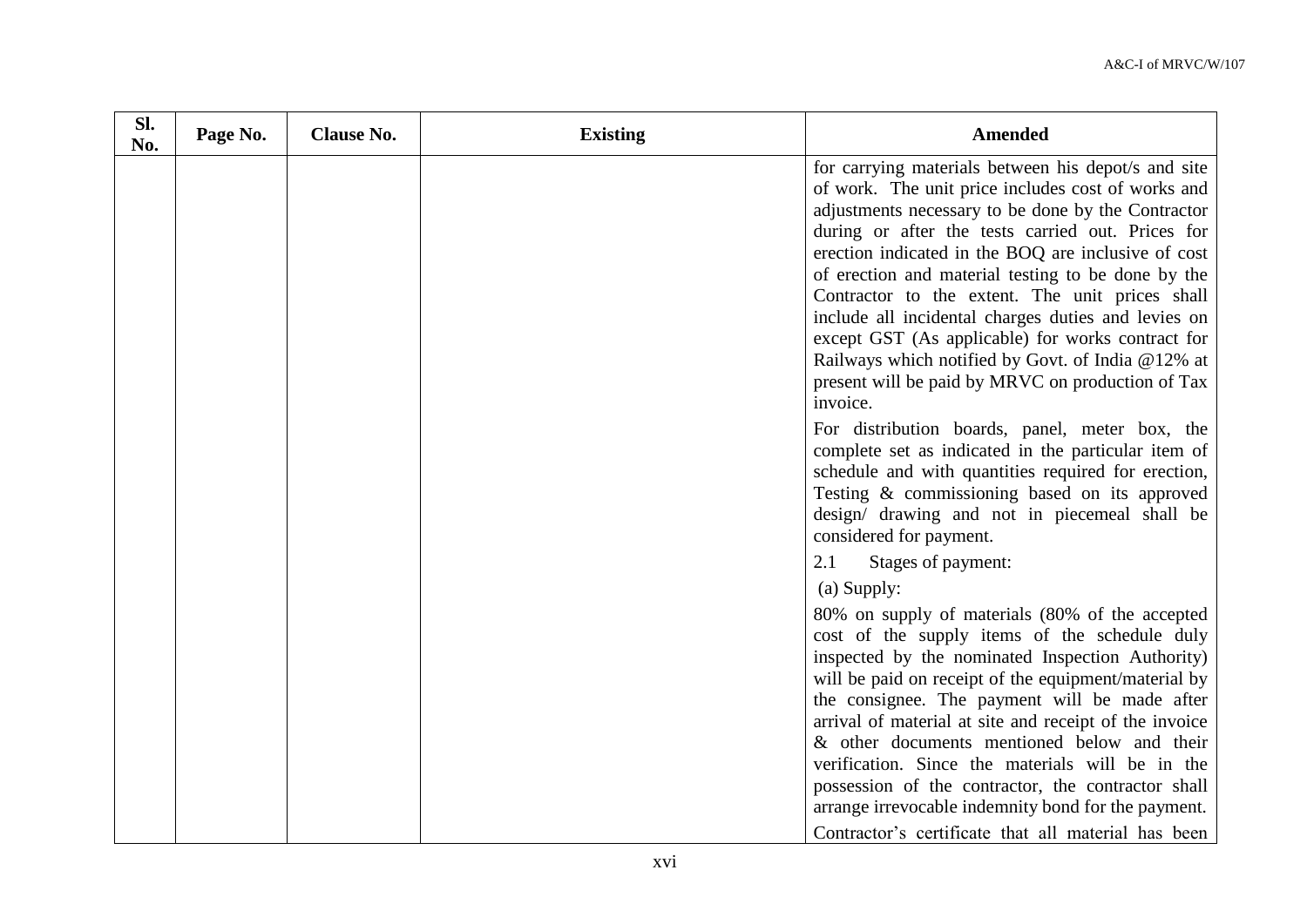| Sl.<br>No. | Page No. | <b>Clause No.</b> | <b>Existing</b> | Amended                                                                                                                                                                                                                                                                                                                                                                                                                                                                                                                                                                                                                                                                                                                                                                                                                                                                                  |
|------------|----------|-------------------|-----------------|------------------------------------------------------------------------------------------------------------------------------------------------------------------------------------------------------------------------------------------------------------------------------------------------------------------------------------------------------------------------------------------------------------------------------------------------------------------------------------------------------------------------------------------------------------------------------------------------------------------------------------------------------------------------------------------------------------------------------------------------------------------------------------------------------------------------------------------------------------------------------------------|
|            |          |                   |                 | for carrying materials between his depot/s and site<br>of work. The unit price includes cost of works and<br>adjustments necessary to be done by the Contractor<br>during or after the tests carried out. Prices for<br>erection indicated in the BOQ are inclusive of cost<br>of erection and material testing to be done by the<br>Contractor to the extent. The unit prices shall<br>include all incidental charges duties and levies on<br>except GST (As applicable) for works contract for<br>Railways which notified by Govt. of India @12% at<br>present will be paid by MRVC on production of Tax<br>invoice.<br>For distribution boards, panel, meter box, the<br>complete set as indicated in the particular item of<br>schedule and with quantities required for erection,<br>Testing & commissioning based on its approved<br>design/ drawing and not in piecemeal shall be |
|            |          |                   |                 | considered for payment.<br>2.1<br>Stages of payment:                                                                                                                                                                                                                                                                                                                                                                                                                                                                                                                                                                                                                                                                                                                                                                                                                                     |
|            |          |                   |                 | (a) Supply:<br>80% on supply of materials (80% of the accepted                                                                                                                                                                                                                                                                                                                                                                                                                                                                                                                                                                                                                                                                                                                                                                                                                           |
|            |          |                   |                 | cost of the supply items of the schedule duly<br>inspected by the nominated Inspection Authority)<br>will be paid on receipt of the equipment/material by<br>the consignee. The payment will be made after<br>arrival of material at site and receipt of the invoice<br>& other documents mentioned below and their<br>verification. Since the materials will be in the<br>possession of the contractor, the contractor shall<br>arrange irrevocable indemnity bond for the payment.                                                                                                                                                                                                                                                                                                                                                                                                     |
|            |          |                   |                 | Contractor's certificate that all material has been                                                                                                                                                                                                                                                                                                                                                                                                                                                                                                                                                                                                                                                                                                                                                                                                                                      |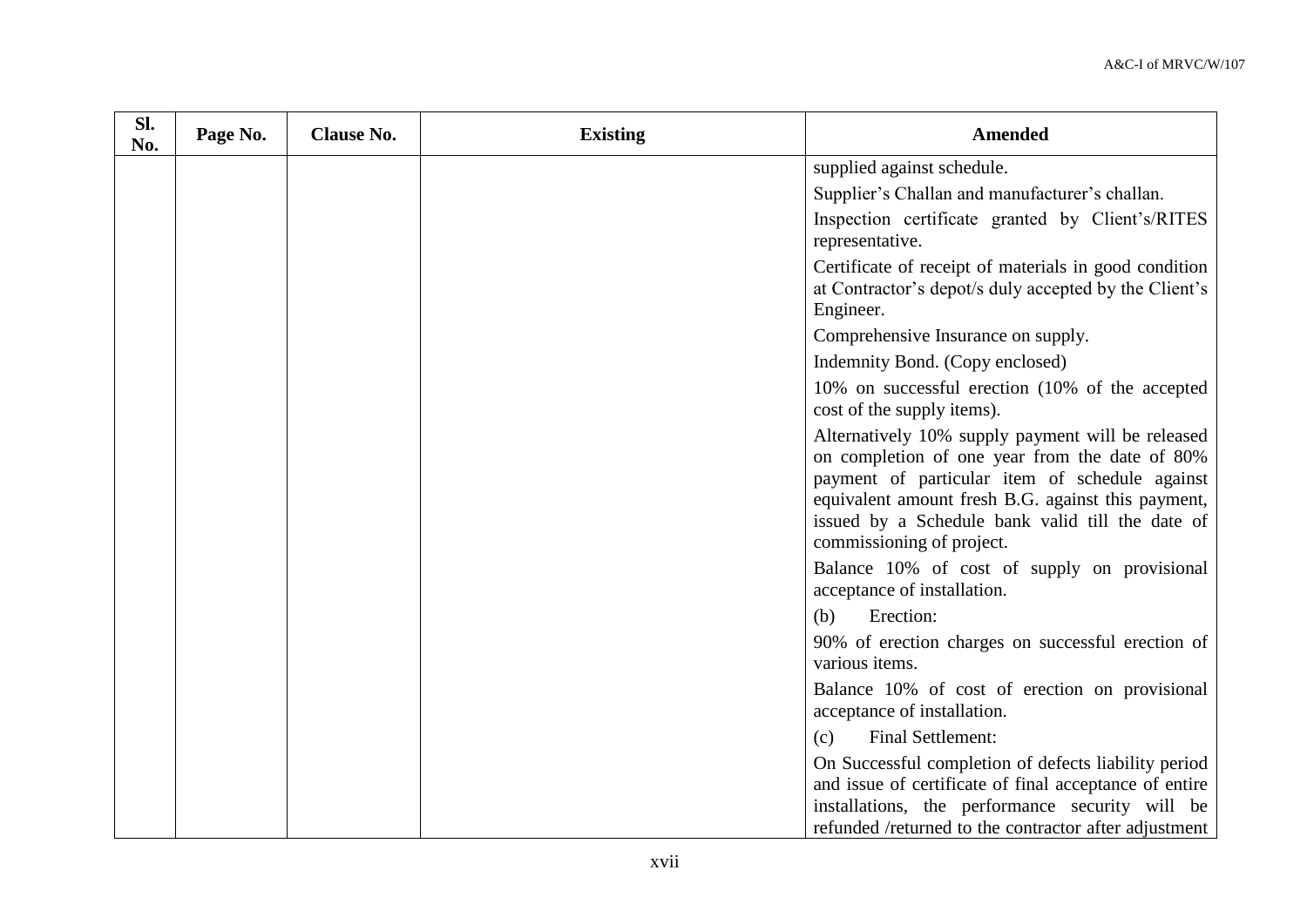| Sl.<br>No. | Page No. | <b>Clause No.</b> | <b>Existing</b> | <b>Amended</b>                                                                                                                                                                                                                                                                               |
|------------|----------|-------------------|-----------------|----------------------------------------------------------------------------------------------------------------------------------------------------------------------------------------------------------------------------------------------------------------------------------------------|
|            |          |                   |                 | supplied against schedule.                                                                                                                                                                                                                                                                   |
|            |          |                   |                 | Supplier's Challan and manufacturer's challan.                                                                                                                                                                                                                                               |
|            |          |                   |                 | Inspection certificate granted by Client's/RITES<br>representative.                                                                                                                                                                                                                          |
|            |          |                   |                 | Certificate of receipt of materials in good condition<br>at Contractor's depot/s duly accepted by the Client's<br>Engineer.                                                                                                                                                                  |
|            |          |                   |                 | Comprehensive Insurance on supply.                                                                                                                                                                                                                                                           |
|            |          |                   |                 | Indemnity Bond. (Copy enclosed)                                                                                                                                                                                                                                                              |
|            |          |                   |                 | 10% on successful erection (10% of the accepted<br>cost of the supply items).                                                                                                                                                                                                                |
|            |          |                   |                 | Alternatively 10% supply payment will be released<br>on completion of one year from the date of 80%<br>payment of particular item of schedule against<br>equivalent amount fresh B.G. against this payment,<br>issued by a Schedule bank valid till the date of<br>commissioning of project. |
|            |          |                   |                 | Balance 10% of cost of supply on provisional<br>acceptance of installation.                                                                                                                                                                                                                  |
|            |          |                   |                 | Erection:<br>(b)                                                                                                                                                                                                                                                                             |
|            |          |                   |                 | 90% of erection charges on successful erection of<br>various items.                                                                                                                                                                                                                          |
|            |          |                   |                 | Balance 10% of cost of erection on provisional<br>acceptance of installation.                                                                                                                                                                                                                |
|            |          |                   |                 | Final Settlement:<br>(c)                                                                                                                                                                                                                                                                     |
|            |          |                   |                 | On Successful completion of defects liability period<br>and issue of certificate of final acceptance of entire<br>installations, the performance security will be<br>refunded /returned to the contractor after adjustment                                                                   |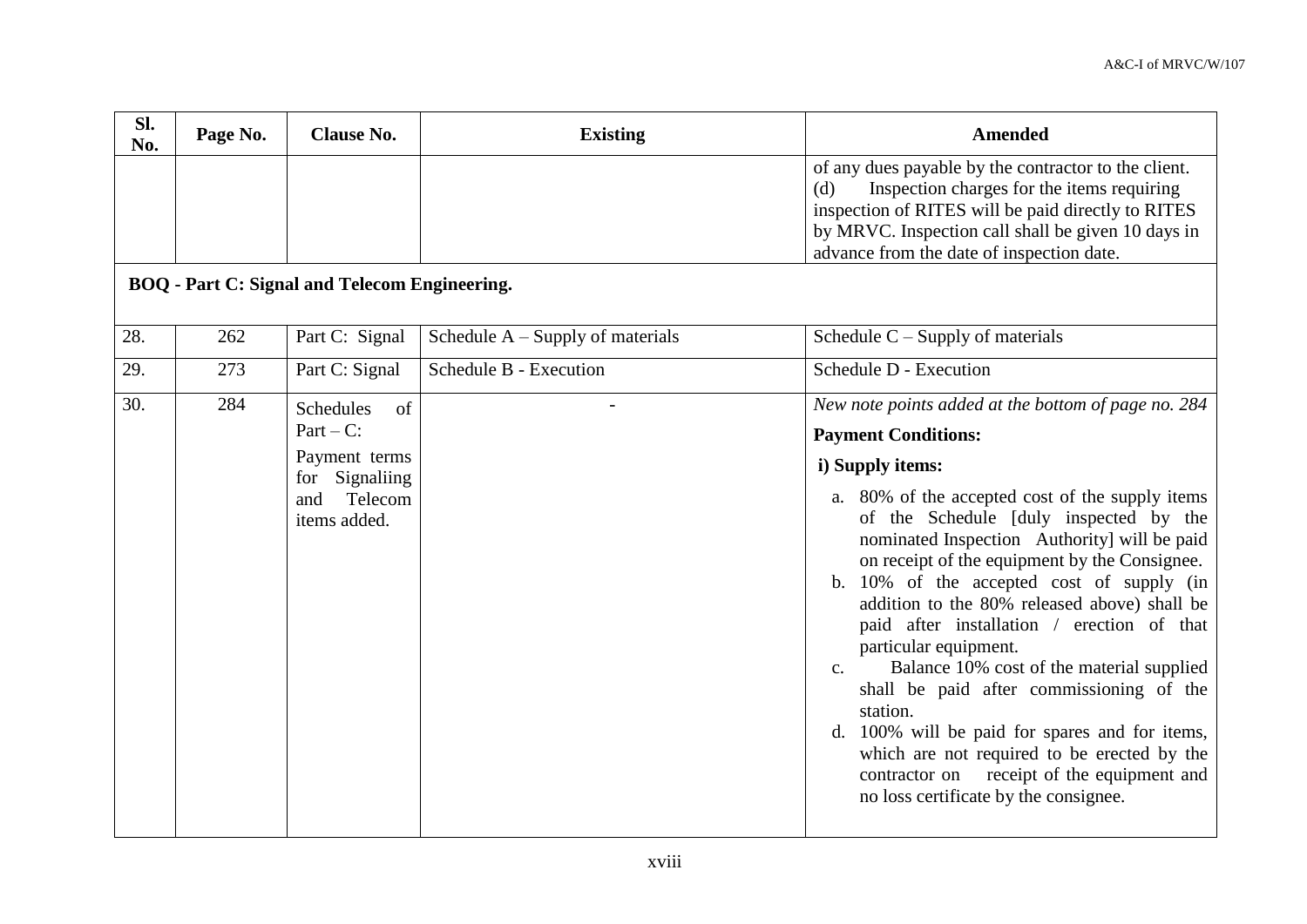| SI.<br>No. | Page No. | <b>Clause No.</b>                                                                                              | <b>Existing</b>                    | <b>Amended</b>                                                                                                                                                                                                                                                                                                                                                                                                                                                                                                                                                                                                                                                                                                                                                                         |
|------------|----------|----------------------------------------------------------------------------------------------------------------|------------------------------------|----------------------------------------------------------------------------------------------------------------------------------------------------------------------------------------------------------------------------------------------------------------------------------------------------------------------------------------------------------------------------------------------------------------------------------------------------------------------------------------------------------------------------------------------------------------------------------------------------------------------------------------------------------------------------------------------------------------------------------------------------------------------------------------|
|            |          |                                                                                                                |                                    | of any dues payable by the contractor to the client.<br>Inspection charges for the items requiring<br>(d)<br>inspection of RITES will be paid directly to RITES<br>by MRVC. Inspection call shall be given 10 days in<br>advance from the date of inspection date.                                                                                                                                                                                                                                                                                                                                                                                                                                                                                                                     |
|            |          | <b>BOQ</b> - Part C: Signal and Telecom Engineering.                                                           |                                    |                                                                                                                                                                                                                                                                                                                                                                                                                                                                                                                                                                                                                                                                                                                                                                                        |
| 28.        | 262      | Part C: Signal                                                                                                 | Schedule $A -$ Supply of materials | Schedule $C -$ Supply of materials                                                                                                                                                                                                                                                                                                                                                                                                                                                                                                                                                                                                                                                                                                                                                     |
| 29.        | 273      | Part C: Signal                                                                                                 | Schedule B - Execution             | Schedule D - Execution                                                                                                                                                                                                                                                                                                                                                                                                                                                                                                                                                                                                                                                                                                                                                                 |
| 30.        | 284      | <b>Schedules</b><br>of<br>$Part - C$ :<br>Payment terms<br>Signaliing<br>for<br>Telecom<br>and<br>items added. |                                    | New note points added at the bottom of page no. 284<br><b>Payment Conditions:</b><br>i) Supply items:<br>a. 80% of the accepted cost of the supply items<br>of the Schedule [duly inspected by the<br>nominated Inspection Authority] will be paid<br>on receipt of the equipment by the Consignee.<br>b. 10% of the accepted cost of supply (in<br>addition to the 80% released above) shall be<br>paid after installation / erection of that<br>particular equipment.<br>Balance 10% cost of the material supplied<br>C <sub>1</sub><br>shall be paid after commissioning of the<br>station.<br>d. 100% will be paid for spares and for items,<br>which are not required to be erected by the<br>contractor on receipt of the equipment and<br>no loss certificate by the consignee. |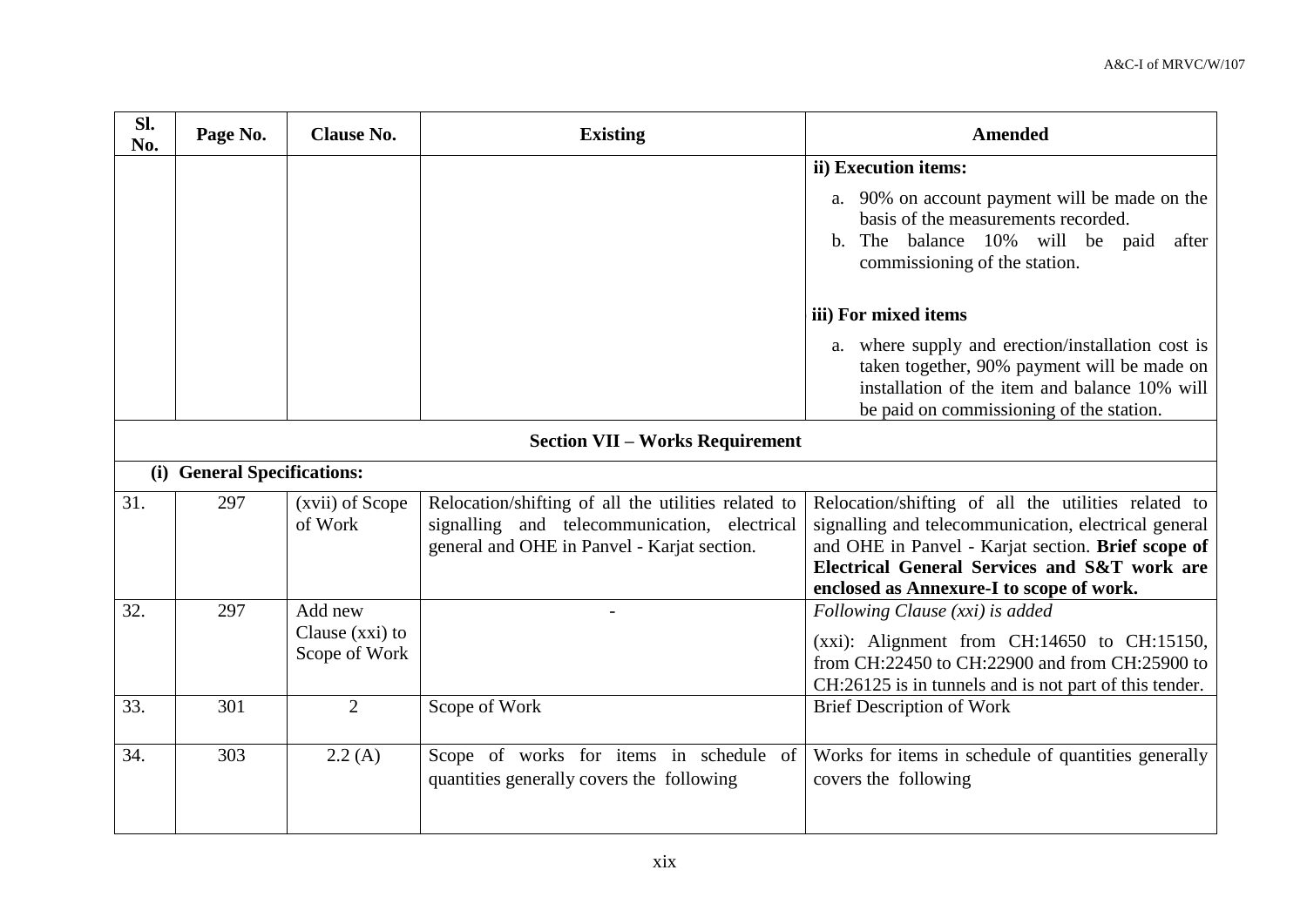| Sl.<br>No. | Page No.                               | <b>Clause No.</b>                           | <b>Existing</b>                                                                                                                                    | <b>Amended</b>                                                                                                                                                                                                                                                |  |  |
|------------|----------------------------------------|---------------------------------------------|----------------------------------------------------------------------------------------------------------------------------------------------------|---------------------------------------------------------------------------------------------------------------------------------------------------------------------------------------------------------------------------------------------------------------|--|--|
|            |                                        |                                             |                                                                                                                                                    | ii) Execution items:                                                                                                                                                                                                                                          |  |  |
|            |                                        |                                             |                                                                                                                                                    | a. 90% on account payment will be made on the<br>basis of the measurements recorded.<br>The balance 10% will be paid<br>after<br>b.<br>commissioning of the station.                                                                                          |  |  |
|            |                                        |                                             |                                                                                                                                                    | iii) For mixed items                                                                                                                                                                                                                                          |  |  |
|            |                                        |                                             |                                                                                                                                                    | a. where supply and erection/installation cost is<br>taken together, 90% payment will be made on<br>installation of the item and balance 10% will<br>be paid on commissioning of the station.                                                                 |  |  |
|            | <b>Section VII - Works Requirement</b> |                                             |                                                                                                                                                    |                                                                                                                                                                                                                                                               |  |  |
|            | (i) General Specifications:            |                                             |                                                                                                                                                    |                                                                                                                                                                                                                                                               |  |  |
| 31.        | 297                                    | (xvii) of Scope<br>of Work                  | Relocation/shifting of all the utilities related to<br>signalling and telecommunication, electrical<br>general and OHE in Panvel - Karjat section. | Relocation/shifting of all the utilities related to<br>signalling and telecommunication, electrical general<br>and OHE in Panvel - Karjat section. Brief scope of<br>Electrical General Services and S&T work are<br>enclosed as Annexure-I to scope of work. |  |  |
| 32.        | 297                                    | Add new<br>Clause (xxi) to<br>Scope of Work |                                                                                                                                                    | Following Clause (xxi) is added<br>$(xxi)$ : Alignment from CH:14650 to CH:15150,<br>from CH:22450 to CH:22900 and from CH:25900 to<br>CH:26125 is in tunnels and is not part of this tender.                                                                 |  |  |
| 33.        | 301                                    | $\overline{2}$                              | Scope of Work                                                                                                                                      | <b>Brief Description of Work</b>                                                                                                                                                                                                                              |  |  |
| 34.        | 303                                    | 2.2(A)                                      | Scope of works for items in schedule of<br>quantities generally covers the following                                                               | Works for items in schedule of quantities generally<br>covers the following                                                                                                                                                                                   |  |  |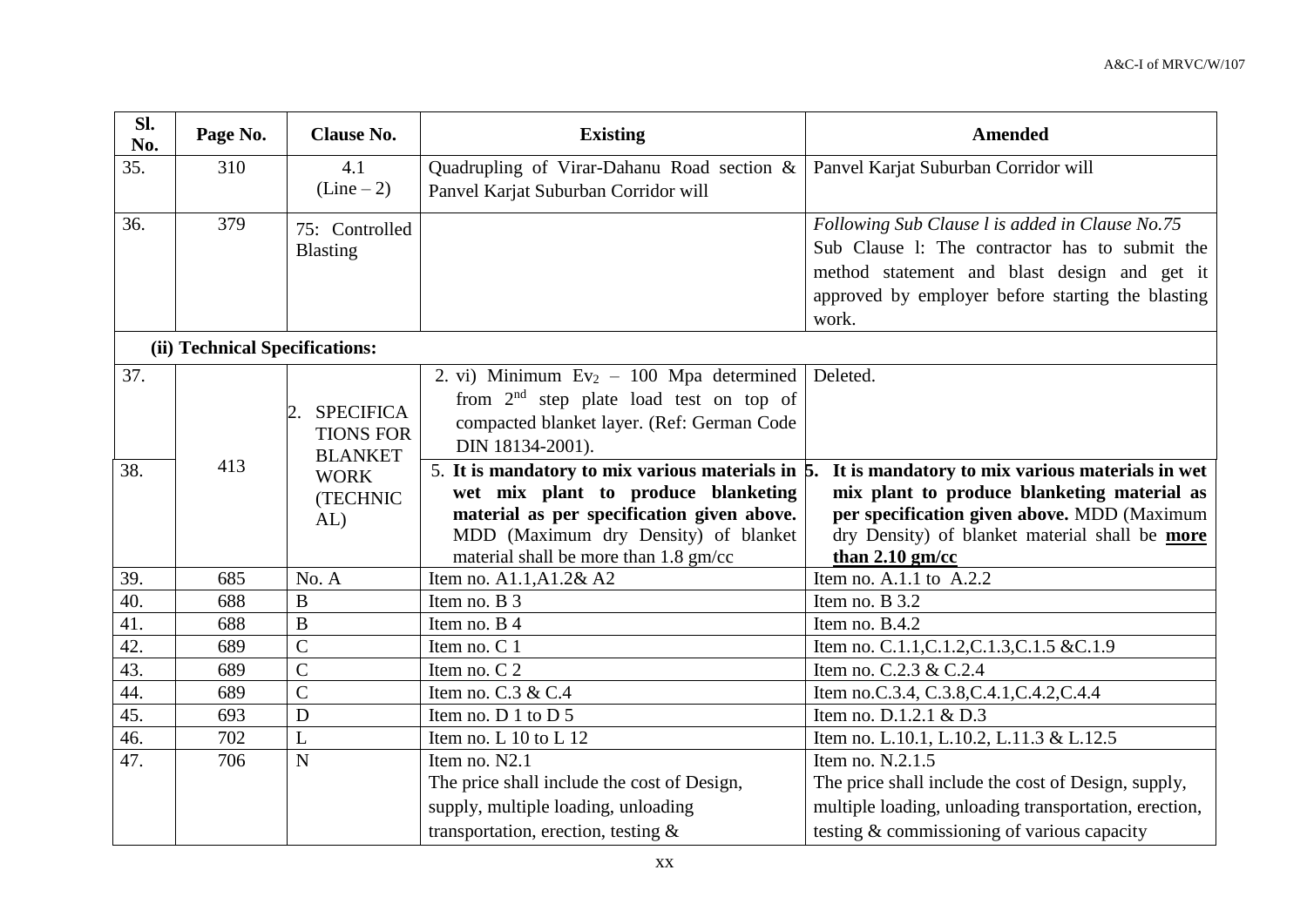| Sl.<br>No. | Page No.                       | <b>Clause No.</b>                  | <b>Existing</b>                                                 | <b>Amended</b>                                        |
|------------|--------------------------------|------------------------------------|-----------------------------------------------------------------|-------------------------------------------------------|
| 35.        | 310                            | 4.1                                | Quadrupling of Virar-Dahanu Road section &                      | Panvel Karjat Suburban Corridor will                  |
|            |                                | $(Line-2)$                         | Panvel Karjat Suburban Corridor will                            |                                                       |
| 36.        | 379                            | 75: Controlled                     |                                                                 | Following Sub Clause l is added in Clause No.75       |
|            |                                | <b>Blasting</b>                    |                                                                 | Sub Clause 1: The contractor has to submit the        |
|            |                                |                                    |                                                                 | method statement and blast design and get it          |
|            |                                |                                    |                                                                 | approved by employer before starting the blasting     |
|            |                                |                                    |                                                                 | work.                                                 |
|            | (ii) Technical Specifications: |                                    |                                                                 |                                                       |
| 37.        |                                |                                    | 2. vi) Minimum $Ev_2 - 100$ Mpa determined                      | Deleted.                                              |
|            |                                |                                    | from $2nd$ step plate load test on top of                       |                                                       |
|            |                                | <b>SPECIFICA</b><br>2.             | compacted blanket layer. (Ref: German Code                      |                                                       |
|            |                                | <b>TIONS FOR</b><br><b>BLANKET</b> | DIN 18134-2001).                                                |                                                       |
| 38.        | 413                            | <b>WORK</b>                        | 5. It is mandatory to mix various materials in $\overline{5}$ . | It is mandatory to mix various materials in wet       |
|            |                                | (TECHNIC                           | wet mix plant to produce blanketing                             | mix plant to produce blanketing material as           |
|            |                                | AL                                 | material as per specification given above.                      | per specification given above. MDD (Maximum           |
|            |                                |                                    | MDD (Maximum dry Density) of blanket                            | dry Density) of blanket material shall be more        |
|            |                                |                                    | material shall be more than 1.8 gm/cc                           | than $2.10$ gm/cc                                     |
| 39.        | 685                            | No. A                              | Item no. A1.1, A1.2& A2                                         | Item no. A.1.1 to $A.2.2$                             |
| 40.        | 688                            | $\bf{B}$                           | Item no. B 3                                                    | Item no. B 3.2                                        |
| 41.        | 688                            | $\bf{B}$                           | Item no. B 4                                                    | Item no. B.4.2                                        |
| 42.        | 689                            | $\overline{C}$                     | Item no. C 1                                                    | Item no. C.1.1, C.1.2, C.1.3, C.1.5 & C.1.9           |
| 43.        | 689                            | $\overline{C}$                     | Item no. C 2                                                    | Item no. C.2.3 & C.2.4                                |
| 44.        | 689                            | $\overline{C}$                     | Item no. $C.3 \& C.4$                                           | Item no.C.3.4, C.3.8, C.4.1, C.4.2, C.4.4             |
| 45.        | 693                            | D                                  | Item no. D 1 to D 5                                             | Item no. D.1.2.1 & D.3                                |
| 46.        | 702                            | $\mathbf{L}$                       | Item no. L 10 to L 12                                           | Item no. L.10.1, L.10.2, L.11.3 & L.12.5              |
| 47.        | 706                            | $\overline{N}$                     | Item no. N2.1                                                   | Item no. N.2.1.5                                      |
|            |                                |                                    | The price shall include the cost of Design,                     | The price shall include the cost of Design, supply,   |
|            |                                |                                    | supply, multiple loading, unloading                             | multiple loading, unloading transportation, erection, |
|            |                                |                                    | transportation, erection, testing $\&$                          | testing & commissioning of various capacity           |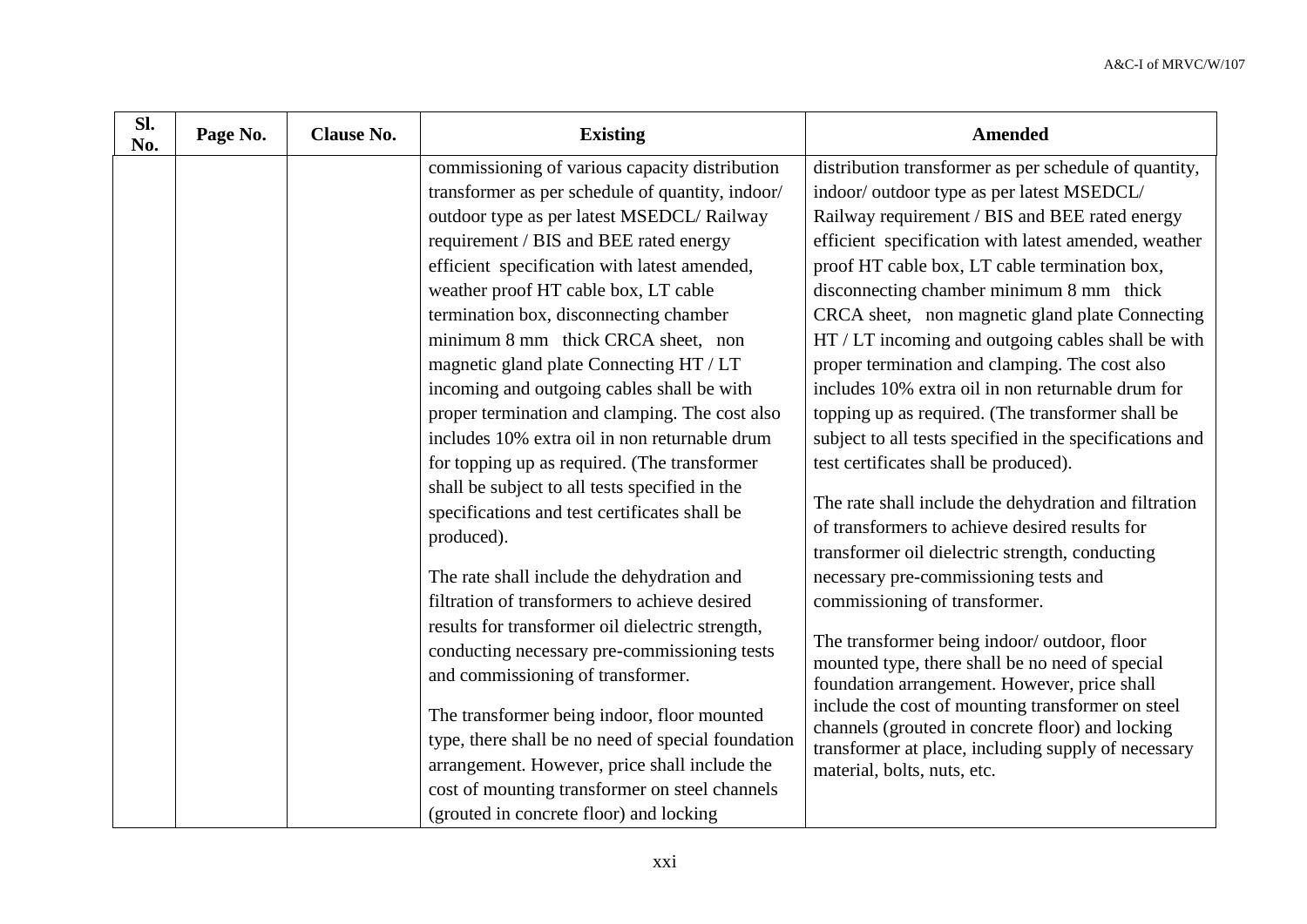| Sl.<br>No. | Page No. | <b>Clause No.</b> | <b>Existing</b>                                    | <b>Amended</b>                                                                                          |
|------------|----------|-------------------|----------------------------------------------------|---------------------------------------------------------------------------------------------------------|
|            |          |                   | commissioning of various capacity distribution     | distribution transformer as per schedule of quantity,                                                   |
|            |          |                   | transformer as per schedule of quantity, indoor/   | indoor/outdoor type as per latest MSEDCL/                                                               |
|            |          |                   | outdoor type as per latest MSEDCL/Railway          | Railway requirement / BIS and BEE rated energy                                                          |
|            |          |                   | requirement / BIS and BEE rated energy             | efficient specification with latest amended, weather                                                    |
|            |          |                   | efficient specification with latest amended,       | proof HT cable box, LT cable termination box,                                                           |
|            |          |                   | weather proof HT cable box, LT cable               | disconnecting chamber minimum 8 mm thick                                                                |
|            |          |                   | termination box, disconnecting chamber             | CRCA sheet, non magnetic gland plate Connecting                                                         |
|            |          |                   | minimum 8 mm thick CRCA sheet, non                 | HT / LT incoming and outgoing cables shall be with                                                      |
|            |          |                   | magnetic gland plate Connecting HT / LT            | proper termination and clamping. The cost also                                                          |
|            |          |                   | incoming and outgoing cables shall be with         | includes 10% extra oil in non returnable drum for                                                       |
|            |          |                   | proper termination and clamping. The cost also     | topping up as required. (The transformer shall be                                                       |
|            |          |                   | includes 10% extra oil in non returnable drum      | subject to all tests specified in the specifications and                                                |
|            |          |                   | for topping up as required. (The transformer       | test certificates shall be produced).                                                                   |
|            |          |                   | shall be subject to all tests specified in the     |                                                                                                         |
|            |          |                   | specifications and test certificates shall be      | The rate shall include the dehydration and filtration<br>of transformers to achieve desired results for |
|            |          |                   | produced).                                         | transformer oil dielectric strength, conducting                                                         |
|            |          |                   | The rate shall include the dehydration and         | necessary pre-commissioning tests and                                                                   |
|            |          |                   | filtration of transformers to achieve desired      | commissioning of transformer.                                                                           |
|            |          |                   | results for transformer oil dielectric strength,   |                                                                                                         |
|            |          |                   | conducting necessary pre-commissioning tests       | The transformer being indoor/outdoor, floor                                                             |
|            |          |                   | and commissioning of transformer.                  | mounted type, there shall be no need of special                                                         |
|            |          |                   |                                                    | foundation arrangement. However, price shall                                                            |
|            |          |                   | The transformer being indoor, floor mounted        | include the cost of mounting transformer on steel                                                       |
|            |          |                   | type, there shall be no need of special foundation | channels (grouted in concrete floor) and locking<br>transformer at place, including supply of necessary |
|            |          |                   | arrangement. However, price shall include the      | material, bolts, nuts, etc.                                                                             |
|            |          |                   | cost of mounting transformer on steel channels     |                                                                                                         |
|            |          |                   | (grouted in concrete floor) and locking            |                                                                                                         |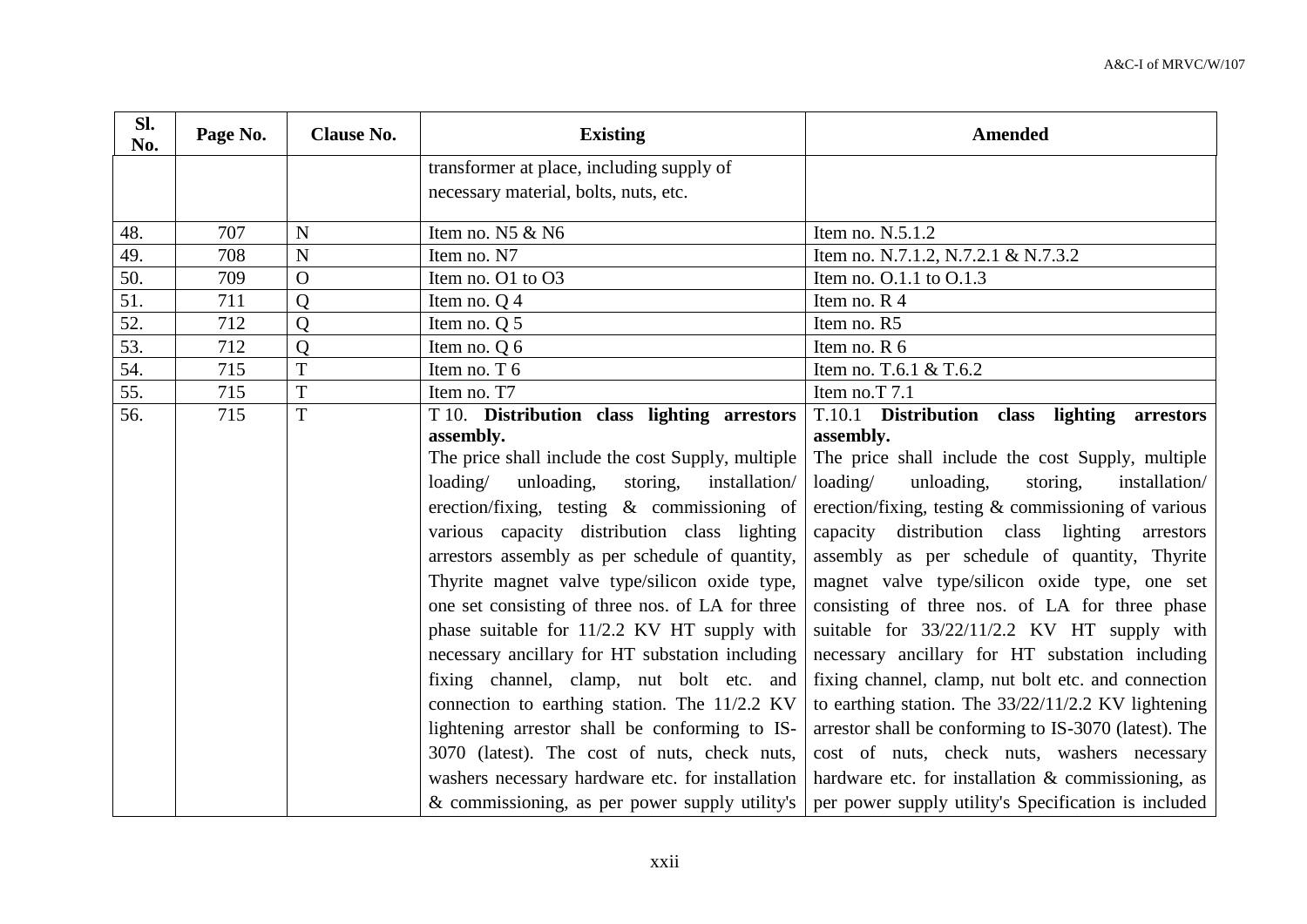| SI.<br>No. | Page No. | <b>Clause No.</b> | <b>Existing</b>                                     | <b>Amended</b>                                         |
|------------|----------|-------------------|-----------------------------------------------------|--------------------------------------------------------|
|            |          |                   | transformer at place, including supply of           |                                                        |
|            |          |                   | necessary material, bolts, nuts, etc.               |                                                        |
| 48.        | 707      | $\mathbf N$       | Item no. N5 & N6                                    | Item no. N.5.1.2                                       |
| 49.        | 708      | N                 | Item no. N7                                         | Item no. N.7.1.2, N.7.2.1 & N.7.3.2                    |
| 50.        | 709      | $\mathbf{O}$      | Item no. O1 to O3                                   | Item no. 0.1.1 to 0.1.3                                |
| 51.        | 711      | Q                 | Item no. Q 4                                        | Item no. R 4                                           |
| 52.        | 712      | Q                 | Item no. Q 5                                        | Item no. R5                                            |
| 53.        | 712      | Q                 | Item no. $Q_0$ 6                                    | Item no. R 6                                           |
| 54.        | 715      | T                 | Item no. T 6                                        | Item no. T.6.1 & T.6.2                                 |
| 55.        | 715      | T                 | Item no. T7                                         | Item no.T 7.1                                          |
| 56.        | 715      | $\overline{T}$    | T 10. Distribution class lighting arrestors         | T.10.1 Distribution class lighting arrestors           |
|            |          |                   | assembly.                                           | assembly.                                              |
|            |          |                   | The price shall include the cost Supply, multiple   | The price shall include the cost Supply, multiple      |
|            |          |                   | loading/<br>unloading,<br>storing,<br>installation/ | loading/<br>unloading,<br>storing,<br>installation/    |
|            |          |                   | erection/fixing, testing $\&$ commissioning of      | erection/fixing, testing $\&$ commissioning of various |
|            |          |                   | various capacity distribution class lighting        | distribution class lighting<br>capacity<br>arrestors   |
|            |          |                   | arrestors assembly as per schedule of quantity,     | assembly as per schedule of quantity, Thyrite          |
|            |          |                   | Thyrite magnet valve type/silicon oxide type,       | magnet valve type/silicon oxide type, one set          |
|            |          |                   | one set consisting of three nos. of LA for three    | consisting of three nos. of LA for three phase         |
|            |          |                   | phase suitable for 11/2.2 KV HT supply with         | suitable for 33/22/11/2.2 KV HT supply with            |
|            |          |                   | necessary ancillary for HT substation including     | necessary ancillary for HT substation including        |
|            |          |                   | fixing channel, clamp, nut bolt etc. and            | fixing channel, clamp, nut bolt etc. and connection    |
|            |          |                   | connection to earthing station. The 11/2.2 KV       | to earthing station. The $33/22/11/2.2$ KV lightening  |
|            |          |                   | lightening arrestor shall be conforming to IS-      | arrestor shall be conforming to IS-3070 (latest). The  |
|            |          |                   | 3070 (latest). The cost of nuts, check nuts,        | cost of nuts, check nuts, washers necessary            |
|            |          |                   | washers necessary hardware etc. for installation    | hardware etc. for installation $\&$ commissioning, as  |
|            |          |                   | & commissioning, as per power supply utility's      | per power supply utility's Specification is included   |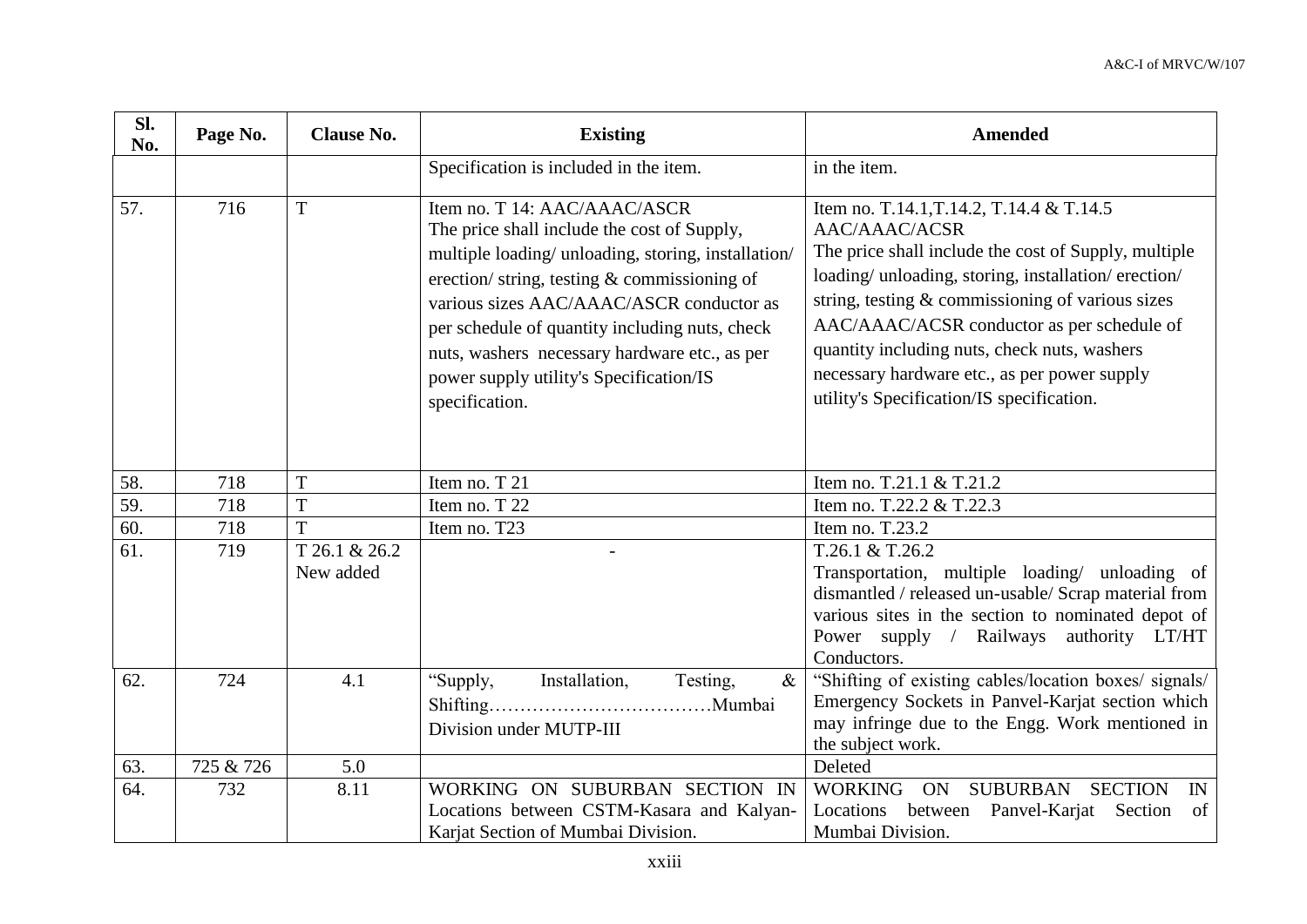| SI.<br>No. | Page No.  | <b>Clause No.</b>          | <b>Existing</b>                                                                                                                                                                                                                                                                                                                                                                                  | <b>Amended</b>                                                                                                                                                                                                                                                                                                                                                                                                             |
|------------|-----------|----------------------------|--------------------------------------------------------------------------------------------------------------------------------------------------------------------------------------------------------------------------------------------------------------------------------------------------------------------------------------------------------------------------------------------------|----------------------------------------------------------------------------------------------------------------------------------------------------------------------------------------------------------------------------------------------------------------------------------------------------------------------------------------------------------------------------------------------------------------------------|
|            |           |                            | Specification is included in the item.                                                                                                                                                                                                                                                                                                                                                           | in the item.                                                                                                                                                                                                                                                                                                                                                                                                               |
| 57.        | 716       | T                          | Item no. T 14: AAC/AAAC/ASCR<br>The price shall include the cost of Supply,<br>multiple loading/ unloading, storing, installation/<br>erection/string, testing $\&$ commissioning of<br>various sizes AAC/AAAC/ASCR conductor as<br>per schedule of quantity including nuts, check<br>nuts, washers necessary hardware etc., as per<br>power supply utility's Specification/IS<br>specification. | Item no. T.14.1, T.14.2, T.14.4 & T.14.5<br>AAC/AAAC/ACSR<br>The price shall include the cost of Supply, multiple<br>loading/ unloading, storing, installation/ erection/<br>string, testing $&$ commissioning of various sizes<br>AAC/AAAC/ACSR conductor as per schedule of<br>quantity including nuts, check nuts, washers<br>necessary hardware etc., as per power supply<br>utility's Specification/IS specification. |
| 58.        | 718       | T                          | Item no. T 21                                                                                                                                                                                                                                                                                                                                                                                    | Item no. T.21.1 & T.21.2                                                                                                                                                                                                                                                                                                                                                                                                   |
| 59.        | 718       | T                          | Item no. T 22                                                                                                                                                                                                                                                                                                                                                                                    | Item no. T.22.2 & T.22.3                                                                                                                                                                                                                                                                                                                                                                                                   |
| 60.        | 718       | T                          | Item no. T23                                                                                                                                                                                                                                                                                                                                                                                     | Item no. T.23.2                                                                                                                                                                                                                                                                                                                                                                                                            |
| 61.        | 719       | T 26.1 & 26.2<br>New added |                                                                                                                                                                                                                                                                                                                                                                                                  | T.26.1 & T.26.2<br>Transportation, multiple loading/ unloading of<br>dismantled / released un-usable/ Scrap material from<br>various sites in the section to nominated depot of<br>Power supply / Railways authority LT/HT<br>Conductors.                                                                                                                                                                                  |
| 62.        | 724       | 4.1                        | Installation,<br>Testing,<br>"Supply,<br>$\&$<br>Division under MUTP-III                                                                                                                                                                                                                                                                                                                         | "Shifting of existing cables/location boxes/ signals/<br>Emergency Sockets in Panvel-Karjat section which<br>may infringe due to the Engg. Work mentioned in<br>the subject work.                                                                                                                                                                                                                                          |
| 63.        | 725 & 726 | 5.0                        |                                                                                                                                                                                                                                                                                                                                                                                                  | Deleted                                                                                                                                                                                                                                                                                                                                                                                                                    |
| 64.        | 732       | 8.11                       | WORKING ON SUBURBAN SECTION IN<br>Locations between CSTM-Kasara and Kalyan-<br>Karjat Section of Mumbai Division.                                                                                                                                                                                                                                                                                | <b>WORKING</b><br><b>SUBURBAN</b><br><b>SECTION</b><br><b>ON</b><br>IN<br>Locations<br>between Panvel-Karjat Section<br>of<br>Mumbai Division.                                                                                                                                                                                                                                                                             |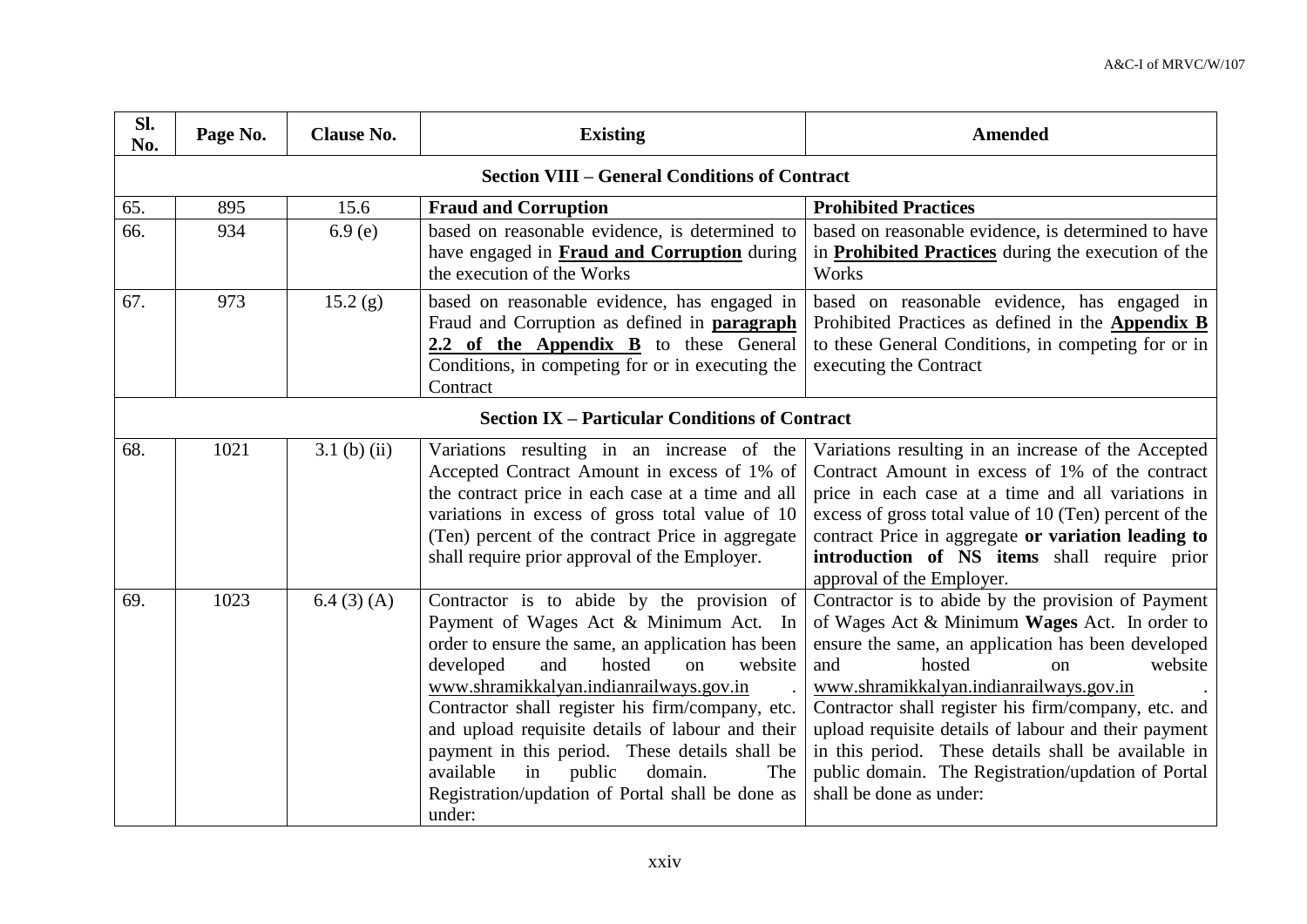| Sl.<br>No. | Page No. | <b>Clause No.</b> | <b>Existing</b>                                                                                                                                                                                                                                                                                                                                                                                                                                                                                                       | <b>Amended</b>                                                                                                                                                                                                                                                                                                                                                                                                                                                                                       |
|------------|----------|-------------------|-----------------------------------------------------------------------------------------------------------------------------------------------------------------------------------------------------------------------------------------------------------------------------------------------------------------------------------------------------------------------------------------------------------------------------------------------------------------------------------------------------------------------|------------------------------------------------------------------------------------------------------------------------------------------------------------------------------------------------------------------------------------------------------------------------------------------------------------------------------------------------------------------------------------------------------------------------------------------------------------------------------------------------------|
|            |          |                   | <b>Section VIII - General Conditions of Contract</b>                                                                                                                                                                                                                                                                                                                                                                                                                                                                  |                                                                                                                                                                                                                                                                                                                                                                                                                                                                                                      |
| 65.        | 895      | 15.6              | <b>Fraud and Corruption</b>                                                                                                                                                                                                                                                                                                                                                                                                                                                                                           | <b>Prohibited Practices</b>                                                                                                                                                                                                                                                                                                                                                                                                                                                                          |
| 66.        | 934      | 6.9(e)            | based on reasonable evidence, is determined to<br>have engaged in Fraud and Corruption during<br>the execution of the Works                                                                                                                                                                                                                                                                                                                                                                                           | based on reasonable evidence, is determined to have<br>in <b>Prohibited Practices</b> during the execution of the<br>Works                                                                                                                                                                                                                                                                                                                                                                           |
| 67.        | 973      | 15.2(g)           | based on reasonable evidence, has engaged in<br>Fraud and Corruption as defined in paragraph<br>2.2 of the Appendix B to these General<br>Conditions, in competing for or in executing the<br>Contract                                                                                                                                                                                                                                                                                                                | based on reasonable evidence, has engaged in<br>Prohibited Practices as defined in the <b>Appendix B</b><br>to these General Conditions, in competing for or in<br>executing the Contract                                                                                                                                                                                                                                                                                                            |
|            |          |                   | <b>Section IX – Particular Conditions of Contract</b>                                                                                                                                                                                                                                                                                                                                                                                                                                                                 |                                                                                                                                                                                                                                                                                                                                                                                                                                                                                                      |
| 68.        | 1021     | $3.1$ (b) (ii)    | Variations resulting in an increase of the<br>Accepted Contract Amount in excess of 1% of<br>the contract price in each case at a time and all<br>variations in excess of gross total value of 10<br>(Ten) percent of the contract Price in aggregate<br>shall require prior approval of the Employer.                                                                                                                                                                                                                | Variations resulting in an increase of the Accepted<br>Contract Amount in excess of 1% of the contract<br>price in each case at a time and all variations in<br>excess of gross total value of 10 (Ten) percent of the<br>contract Price in aggregate or variation leading to<br>introduction of NS items shall require prior<br>approval of the Employer.                                                                                                                                           |
| 69.        | 1023     | 6.4(3)(A)         | Contractor is to abide by the provision of<br>Payment of Wages Act & Minimum Act. In<br>order to ensure the same, an application has been<br>developed<br>and<br>hosted<br>website<br><sub>on</sub><br>www.shramikkalyan.indianrailways.gov.in<br>Contractor shall register his firm/company, etc.<br>and upload requisite details of labour and their<br>payment in this period. These details shall be<br>available<br>in<br>public<br>domain.<br>The<br>Registration/updation of Portal shall be done as<br>under: | Contractor is to abide by the provision of Payment<br>of Wages Act & Minimum Wages Act. In order to<br>ensure the same, an application has been developed<br>hosted<br>website<br>and<br>$\alpha$<br>www.shramikkalyan.indianrailways.gov.in<br>Contractor shall register his firm/company, etc. and<br>upload requisite details of labour and their payment<br>in this period. These details shall be available in<br>public domain. The Registration/updation of Portal<br>shall be done as under: |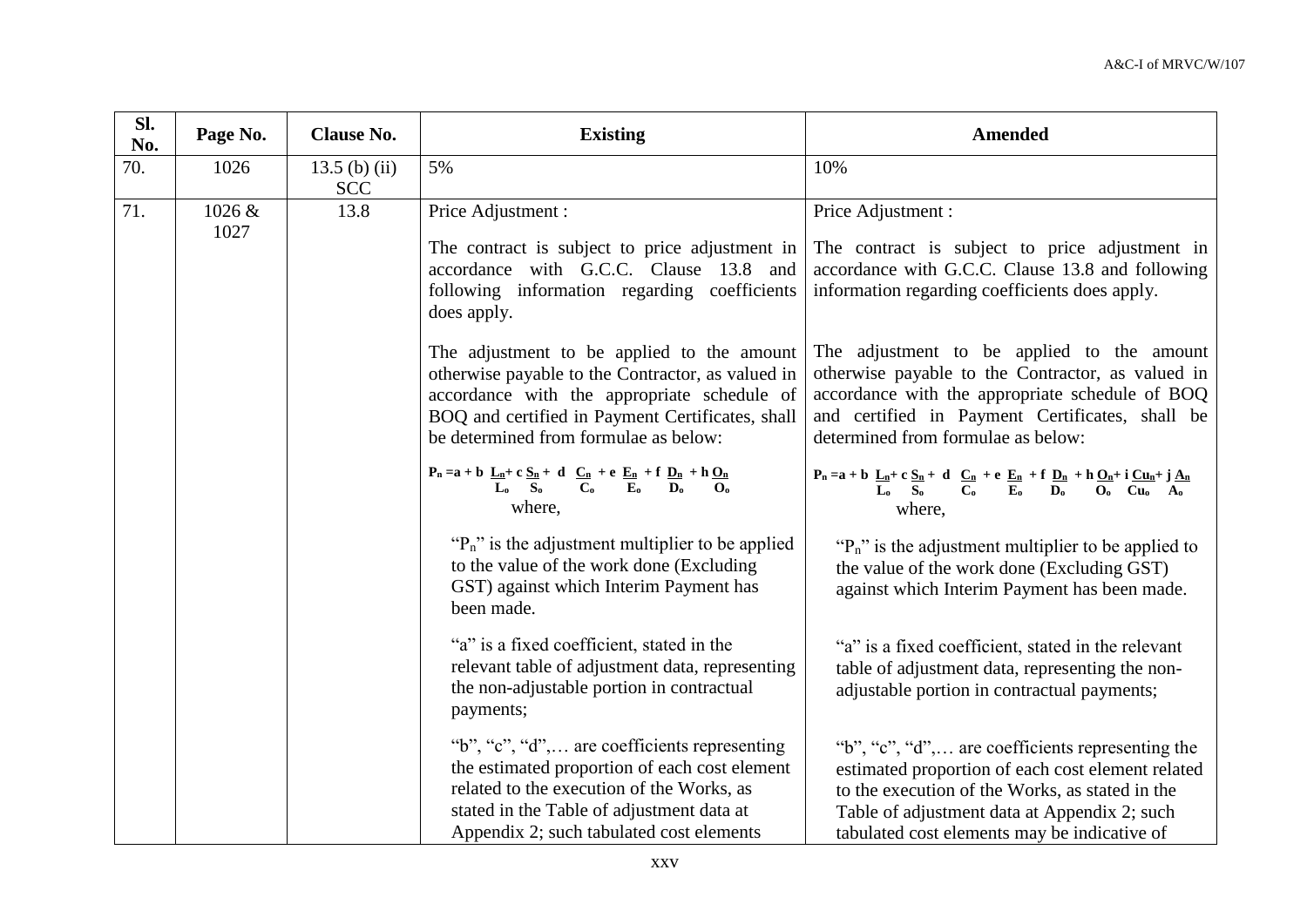| Sl.<br>No. | Page No.       | <b>Clause No.</b>           | <b>Existing</b>                                                                                                                                                                                                                                                                                                                                                                                                                                                                            | <b>Amended</b>                                                                                                                                                                                                                                           |  |
|------------|----------------|-----------------------------|--------------------------------------------------------------------------------------------------------------------------------------------------------------------------------------------------------------------------------------------------------------------------------------------------------------------------------------------------------------------------------------------------------------------------------------------------------------------------------------------|----------------------------------------------------------------------------------------------------------------------------------------------------------------------------------------------------------------------------------------------------------|--|
| 70.        | 1026           | 13.5 (b) (ii)<br><b>SCC</b> | 5%                                                                                                                                                                                                                                                                                                                                                                                                                                                                                         | 10%                                                                                                                                                                                                                                                      |  |
| 71.        | 1026 &<br>1027 | 13.8                        | Price Adjustment :                                                                                                                                                                                                                                                                                                                                                                                                                                                                         | Price Adjustment:                                                                                                                                                                                                                                        |  |
|            |                |                             | The contract is subject to price adjustment in<br>accordance with G.C.C. Clause 13.8 and<br>following information regarding coefficients<br>does apply.                                                                                                                                                                                                                                                                                                                                    | The contract is subject to price adjustment in<br>accordance with G.C.C. Clause 13.8 and following<br>information regarding coefficients does apply.                                                                                                     |  |
|            |                |                             | The adjustment to be applied to the amount<br>The adjustment to be applied to the amount<br>otherwise payable to the Contractor, as valued in<br>otherwise payable to the Contractor, as valued in<br>accordance with the appropriate schedule of BOQ<br>accordance with the appropriate schedule of<br>BOQ and certified in Payment Certificates, shall<br>and certified in Payment Certificates, shall be<br>determined from formulae as below:<br>be determined from formulae as below: |                                                                                                                                                                                                                                                          |  |
|            |                |                             | $P_n = a + b \underbrace{L_n}_{L_0} + c \underbrace{S_n}_{S_0} + d \underbrace{C_n}_{C_0} + e \underbrace{E_n}_{E_0} + f \underbrace{D_n}_{D_0} + h \underbrace{O_n}_{O_0}$<br>$P_n = a + b \underbrace{L_n}_{L_0} + c \underbrace{S_n}_{S_0} + d \underbrace{C_n}_{C_0} + e \underbrace{E_n}_{E_0} + f \underbrace{D_n}_{D_0} + h \underbrace{O_n}_{O_0} + i \underbrace{Cu_n}_{A_0} + j \underbrace{A_n}_{A_0}$<br>where,<br>where.                                                      |                                                                                                                                                                                                                                                          |  |
|            |                |                             | " $P_n$ " is the adjustment multiplier to be applied<br>to the value of the work done (Excluding)<br>GST) against which Interim Payment has<br>been made.                                                                                                                                                                                                                                                                                                                                  | " $P_n$ " is the adjustment multiplier to be applied to<br>the value of the work done (Excluding GST)<br>against which Interim Payment has been made.                                                                                                    |  |
|            |                |                             | "a" is a fixed coefficient, stated in the<br>relevant table of adjustment data, representing<br>the non-adjustable portion in contractual<br>payments;                                                                                                                                                                                                                                                                                                                                     | "a" is a fixed coefficient, stated in the relevant<br>table of adjustment data, representing the non-<br>adjustable portion in contractual payments;                                                                                                     |  |
|            |                |                             | "b", "c", "d", are coefficients representing<br>the estimated proportion of each cost element<br>related to the execution of the Works, as<br>stated in the Table of adjustment data at<br>Appendix 2; such tabulated cost elements                                                                                                                                                                                                                                                        | "b", "c", "d", are coefficients representing the<br>estimated proportion of each cost element related<br>to the execution of the Works, as stated in the<br>Table of adjustment data at Appendix 2; such<br>tabulated cost elements may be indicative of |  |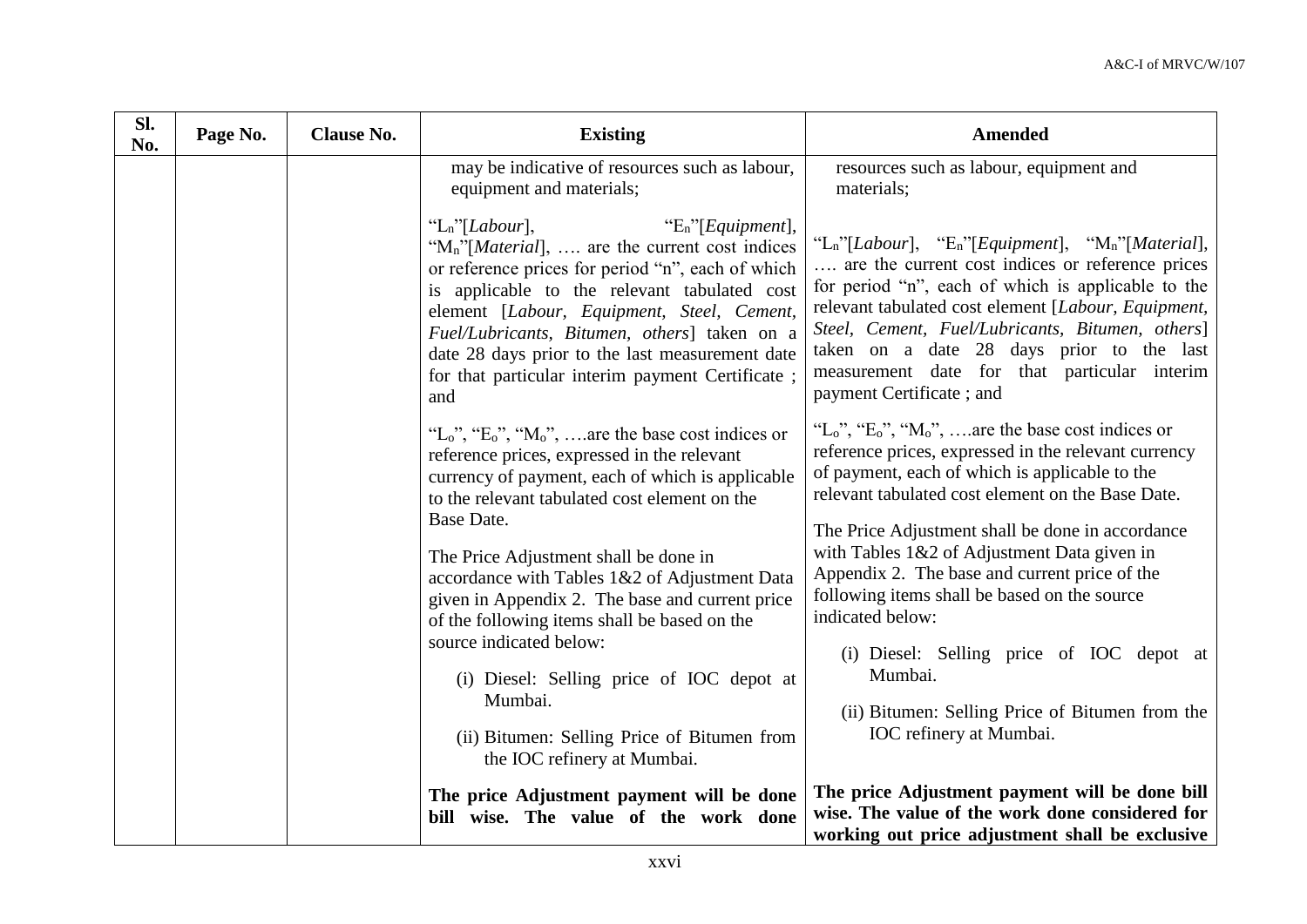| Sl.<br>No. | Page No. | <b>Clause No.</b> | <b>Existing</b>                                                                                                                                                                                                                                                                                                                                                                                                                                                                                                                                                                                                       | <b>Amended</b>                                                                                                                                                                                                                                                                                                                                                                                                                                                                                                                                                                                                     |
|------------|----------|-------------------|-----------------------------------------------------------------------------------------------------------------------------------------------------------------------------------------------------------------------------------------------------------------------------------------------------------------------------------------------------------------------------------------------------------------------------------------------------------------------------------------------------------------------------------------------------------------------------------------------------------------------|--------------------------------------------------------------------------------------------------------------------------------------------------------------------------------------------------------------------------------------------------------------------------------------------------------------------------------------------------------------------------------------------------------------------------------------------------------------------------------------------------------------------------------------------------------------------------------------------------------------------|
|            |          |                   | may be indicative of resources such as labour,<br>equipment and materials;                                                                                                                                                                                                                                                                                                                                                                                                                                                                                                                                            | resources such as labour, equipment and<br>materials;                                                                                                                                                                                                                                                                                                                                                                                                                                                                                                                                                              |
|            |          |                   | "E <sub>n</sub> "[ <i>Equipment</i> ],<br>" $L_n$ "[ <i>Labour</i> ],<br>"M <sub>n</sub> "[ <i>Material</i> ],  are the current cost indices<br>or reference prices for period "n", each of which<br>is applicable to the relevant tabulated cost<br>element [Labour, Equipment, Steel, Cement,<br>Fuel/Lubricants, Bitumen, others] taken on a<br>date 28 days prior to the last measurement date<br>for that particular interim payment Certificate;<br>and                                                                                                                                                         | "L <sub>n</sub> "[Labour], "E <sub>n</sub> "[Equipment], "M <sub>n</sub> "[Material],<br>are the current cost indices or reference prices<br>for period "n", each of which is applicable to the<br>relevant tabulated cost element [Labour, Equipment,<br>Steel, Cement, Fuel/Lubricants, Bitumen, others]<br>taken on a date 28 days prior to the last<br>measurement date for that particular interim<br>payment Certificate; and                                                                                                                                                                                |
|            |          |                   | "L <sub>o</sub> ", "E <sub>o</sub> ", "M <sub>o</sub> ", are the base cost indices or<br>reference prices, expressed in the relevant<br>currency of payment, each of which is applicable<br>to the relevant tabulated cost element on the<br>Base Date.<br>The Price Adjustment shall be done in<br>accordance with Tables 1&2 of Adjustment Data<br>given in Appendix 2. The base and current price<br>of the following items shall be based on the<br>source indicated below:<br>(i) Diesel: Selling price of IOC depot at<br>Mumbai.<br>(ii) Bitumen: Selling Price of Bitumen from<br>the IOC refinery at Mumbai. | "L <sub>o</sub> ", "E <sub>o</sub> ", "M <sub>o</sub> ", are the base cost indices or<br>reference prices, expressed in the relevant currency<br>of payment, each of which is applicable to the<br>relevant tabulated cost element on the Base Date.<br>The Price Adjustment shall be done in accordance<br>with Tables 1&2 of Adjustment Data given in<br>Appendix 2. The base and current price of the<br>following items shall be based on the source<br>indicated below:<br>(i) Diesel: Selling price of IOC depot at<br>Mumbai.<br>(ii) Bitumen: Selling Price of Bitumen from the<br>IOC refinery at Mumbai. |
|            |          |                   | The price Adjustment payment will be done<br>bill wise. The value of the work done                                                                                                                                                                                                                                                                                                                                                                                                                                                                                                                                    | The price Adjustment payment will be done bill<br>wise. The value of the work done considered for<br>working out price adjustment shall be exclusive                                                                                                                                                                                                                                                                                                                                                                                                                                                               |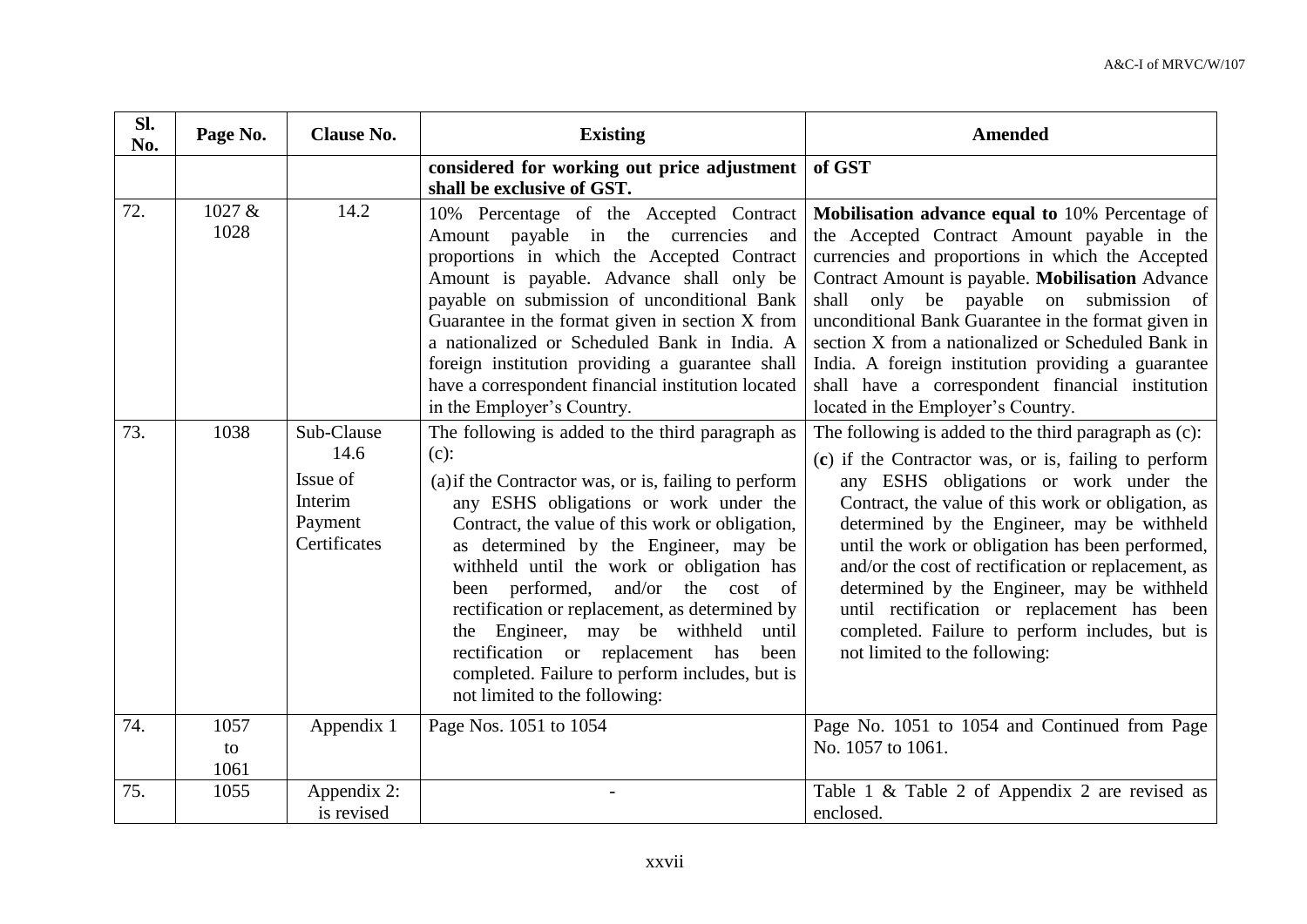| Sl.<br>No. | Page No.           | <b>Clause No.</b>                                                    | <b>Existing</b>                                                                                                                                                                                                                                                                                                                                                                                                                                                                                                                                                            | <b>Amended</b>                                                                                                                                                                                                                                                                                                                                                                                                                                                                                                                                           |
|------------|--------------------|----------------------------------------------------------------------|----------------------------------------------------------------------------------------------------------------------------------------------------------------------------------------------------------------------------------------------------------------------------------------------------------------------------------------------------------------------------------------------------------------------------------------------------------------------------------------------------------------------------------------------------------------------------|----------------------------------------------------------------------------------------------------------------------------------------------------------------------------------------------------------------------------------------------------------------------------------------------------------------------------------------------------------------------------------------------------------------------------------------------------------------------------------------------------------------------------------------------------------|
|            |                    |                                                                      | considered for working out price adjustment  <br>shall be exclusive of GST.                                                                                                                                                                                                                                                                                                                                                                                                                                                                                                | of GST                                                                                                                                                                                                                                                                                                                                                                                                                                                                                                                                                   |
| 72.        | 1027 &<br>1028     | 14.2                                                                 | 10% Percentage of the Accepted Contract<br>Amount payable in the currencies and<br>proportions in which the Accepted Contract<br>Amount is payable. Advance shall only be<br>payable on submission of unconditional Bank<br>Guarantee in the format given in section X from<br>a nationalized or Scheduled Bank in India. A<br>foreign institution providing a guarantee shall<br>have a correspondent financial institution located<br>in the Employer's Country.                                                                                                         | Mobilisation advance equal to 10% Percentage of<br>the Accepted Contract Amount payable in the<br>currencies and proportions in which the Accepted<br>Contract Amount is payable. Mobilisation Advance<br>only be payable on submission of<br>shall<br>unconditional Bank Guarantee in the format given in<br>section X from a nationalized or Scheduled Bank in<br>India. A foreign institution providing a guarantee<br>shall have a correspondent financial institution<br>located in the Employer's Country.                                         |
| 73.        | 1038               | Sub-Clause<br>14.6<br>Issue of<br>Interim<br>Payment<br>Certificates | The following is added to the third paragraph as<br>$(c)$ :<br>(a) if the Contractor was, or is, failing to perform<br>any ESHS obligations or work under the<br>Contract, the value of this work or obligation,<br>as determined by the Engineer, may be<br>withheld until the work or obligation has<br>been performed,<br>and/or the cost of<br>rectification or replacement, as determined by<br>the Engineer, may be withheld<br>until<br>rectification or replacement has<br>been<br>completed. Failure to perform includes, but is<br>not limited to the following: | The following is added to the third paragraph as (c):<br>(c) if the Contractor was, or is, failing to perform<br>any ESHS obligations or work under the<br>Contract, the value of this work or obligation, as<br>determined by the Engineer, may be withheld<br>until the work or obligation has been performed,<br>and/or the cost of rectification or replacement, as<br>determined by the Engineer, may be withheld<br>until rectification or replacement has been<br>completed. Failure to perform includes, but is<br>not limited to the following: |
| 74.        | 1057<br>to<br>1061 | Appendix 1                                                           | Page Nos. 1051 to 1054                                                                                                                                                                                                                                                                                                                                                                                                                                                                                                                                                     | Page No. 1051 to 1054 and Continued from Page<br>No. 1057 to 1061.                                                                                                                                                                                                                                                                                                                                                                                                                                                                                       |
| 75.        | 1055               | Appendix 2:<br>is revised                                            |                                                                                                                                                                                                                                                                                                                                                                                                                                                                                                                                                                            | Table 1 & Table 2 of Appendix 2 are revised as<br>enclosed.                                                                                                                                                                                                                                                                                                                                                                                                                                                                                              |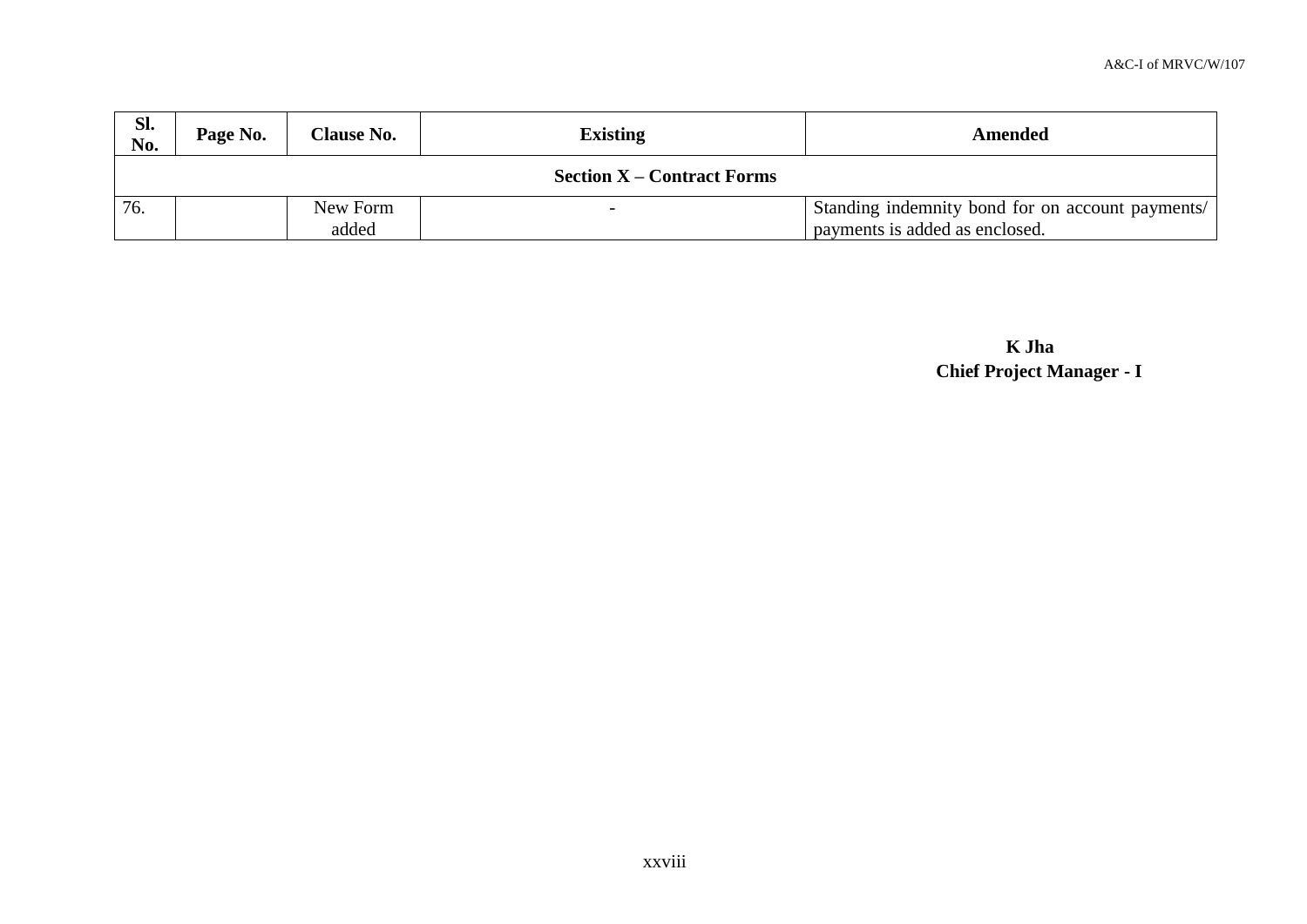| Sl.<br>No. | Page No.                          | <b>Clause No.</b> | <b>Existing</b>          | Amended                                                                            |  |  |  |
|------------|-----------------------------------|-------------------|--------------------------|------------------------------------------------------------------------------------|--|--|--|
|            | <b>Section X – Contract Forms</b> |                   |                          |                                                                                    |  |  |  |
| 76.        |                                   | New Form<br>added | $\overline{\phantom{0}}$ | Standing indemnity bond for on account payments/<br>payments is added as enclosed. |  |  |  |

**K Jha Chief Project Manager - I**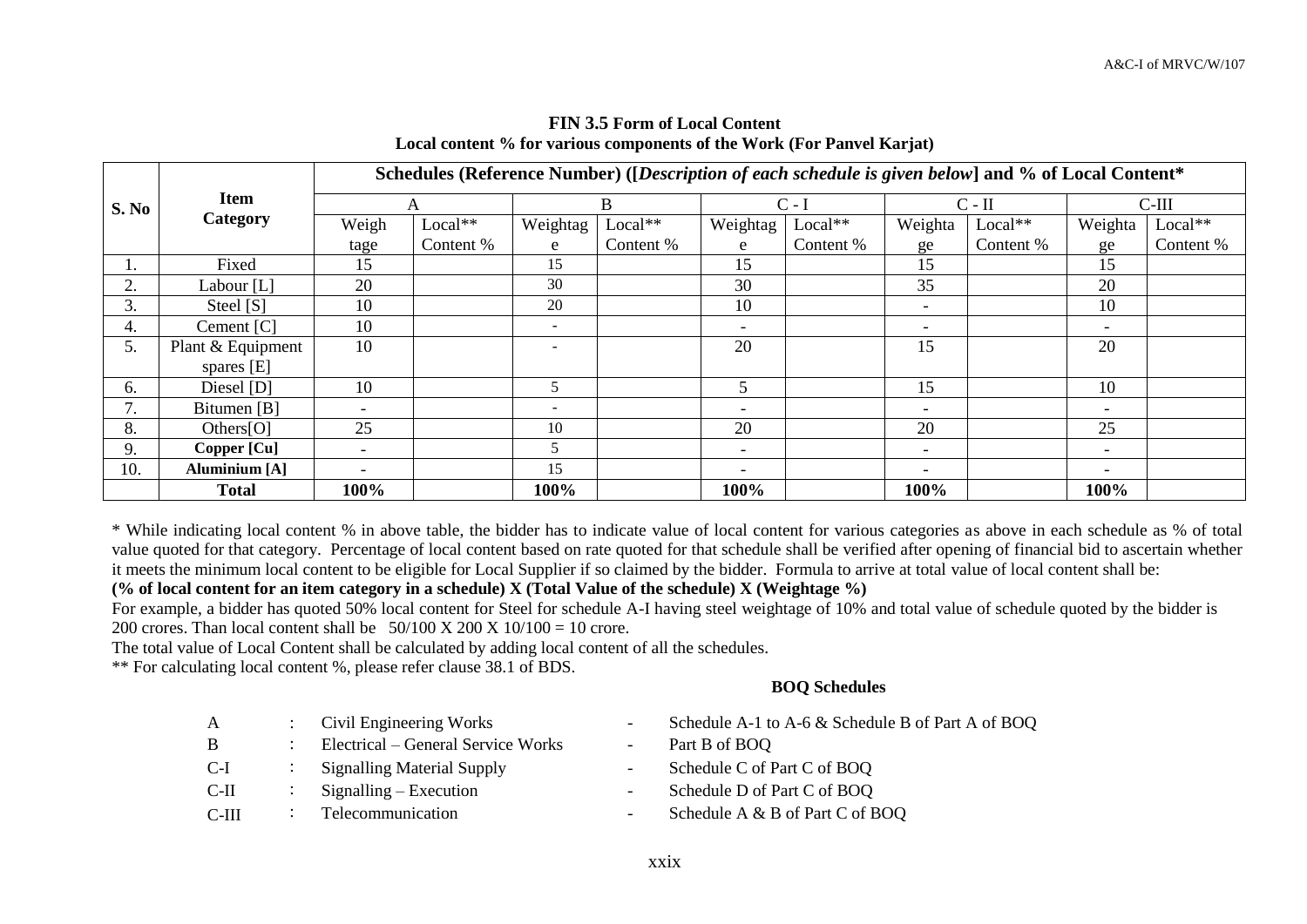|       |                      | Schedules (Reference Number) ([Description of each schedule is given below] and % of Local Content* |           |                          |           |                          |           |                          |           |                          |           |
|-------|----------------------|-----------------------------------------------------------------------------------------------------|-----------|--------------------------|-----------|--------------------------|-----------|--------------------------|-----------|--------------------------|-----------|
| S. No | <b>Item</b>          |                                                                                                     | А         |                          | B         | $C - I$                  |           | $C - II$                 |           | $C-III$                  |           |
|       | Category             | Weigh                                                                                               | $Local**$ | Weightag                 | $Local**$ | Weightag                 | $Local**$ | Weighta                  | $Local**$ | Weighta                  | Local**   |
|       |                      | tage                                                                                                | Content % | e                        | Content % | e                        | Content % | ge                       | Content % | ge                       | Content % |
| I.    | Fixed                | 15                                                                                                  |           | 15                       |           | 15                       |           | 15                       |           | 15                       |           |
| 2.    | Labour [L]           | 20                                                                                                  |           | 30                       |           | 30                       |           | 35                       |           | 20                       |           |
| 3.    | Steel [S]            | 10                                                                                                  |           | 20                       |           | 10                       |           | $\overline{\phantom{0}}$ |           | 10                       |           |
| 4.    | Cement [C]           | 10                                                                                                  |           | $\overline{\phantom{a}}$ |           | $\overline{\phantom{0}}$ |           | $\overline{\phantom{0}}$ |           | $\overline{\phantom{0}}$ |           |
| 5.    | Plant & Equipment    | 10                                                                                                  |           |                          |           | 20                       |           | 15                       |           | 20                       |           |
|       | spares [E]           |                                                                                                     |           |                          |           |                          |           |                          |           |                          |           |
| 6.    | Diesel [D]           | 10                                                                                                  |           | 5                        |           | 5                        |           | 15                       |           | 10                       |           |
|       | Bitumen [B]          | $\overline{\phantom{a}}$                                                                            |           | $\overline{\phantom{a}}$ |           | $\overline{\phantom{0}}$ |           | $\overline{\phantom{0}}$ |           | $\overline{\phantom{a}}$ |           |
| 8.    | Others $[O]$         | 25                                                                                                  |           | 10                       |           | 20                       |           | 20                       |           | 25                       |           |
| 9.    | Copper [Cu]          | $\overline{\phantom{a}}$                                                                            |           |                          |           | $\overline{\phantom{0}}$ |           | $\overline{\phantom{0}}$ |           | $\overline{\phantom{0}}$ |           |
| 10.   | <b>Aluminium</b> [A] | $\overline{\phantom{0}}$                                                                            |           | 15                       |           | $\overline{\phantom{0}}$ |           | $\overline{\phantom{0}}$ |           | $\overline{\phantom{a}}$ |           |
|       | <b>Total</b>         | 100%                                                                                                |           | 100%                     |           | 100%                     |           | 100%                     |           | 100%                     |           |

## **FIN 3.5 Form of Local Content Local content % for various components of the Work (For Panvel Karjat)**

\* While indicating local content % in above table, the bidder has to indicate value of local content for various categories as above in each schedule as % of total value quoted for that category. Percentage of local content based on rate quoted for that schedule shall be verified after opening of financial bid to ascertain whether it meets the minimum local content to be eligible for Local Supplier if so claimed by the bidder. Formula to arrive at total value of local content shall be:

## **(% of local content for an item category in a schedule) X (Total Value of the schedule) X (Weightage %)**

For example, a bidder has quoted 50% local content for Steel for schedule A-I having steel weightage of 10% and total value of schedule quoted by the bidder is 200 crores. Than local content shall be  $50/100 \text{ X } 200 \text{ X } 10/100 = 10$  crore.

The total value of Local Content shall be calculated by adding local content of all the schedules.

\*\* For calculating local content %, please refer clause 38.1 of BDS.

### **BOQ Schedules**

| A       | Civil Engineering Works            | $\overline{\phantom{a}}$ | Schedule A-1 to A-6 & Schedule B of Part A of BOQ |
|---------|------------------------------------|--------------------------|---------------------------------------------------|
| B       | Electrical – General Service Works | $\overline{\phantom{a}}$ | Part B of BOQ                                     |
| C-I     | <b>Signalling Material Supply</b>  | $\overline{\phantom{a}}$ | Schedule C of Part C of BOQ                       |
| C-II    | $Signalling - Execution$           | $\overline{\phantom{a}}$ | Schedule D of Part C of BOQ                       |
| $C-III$ | Telecommunication                  | $\overline{\phantom{a}}$ | Schedule A & B of Part C of BOQ                   |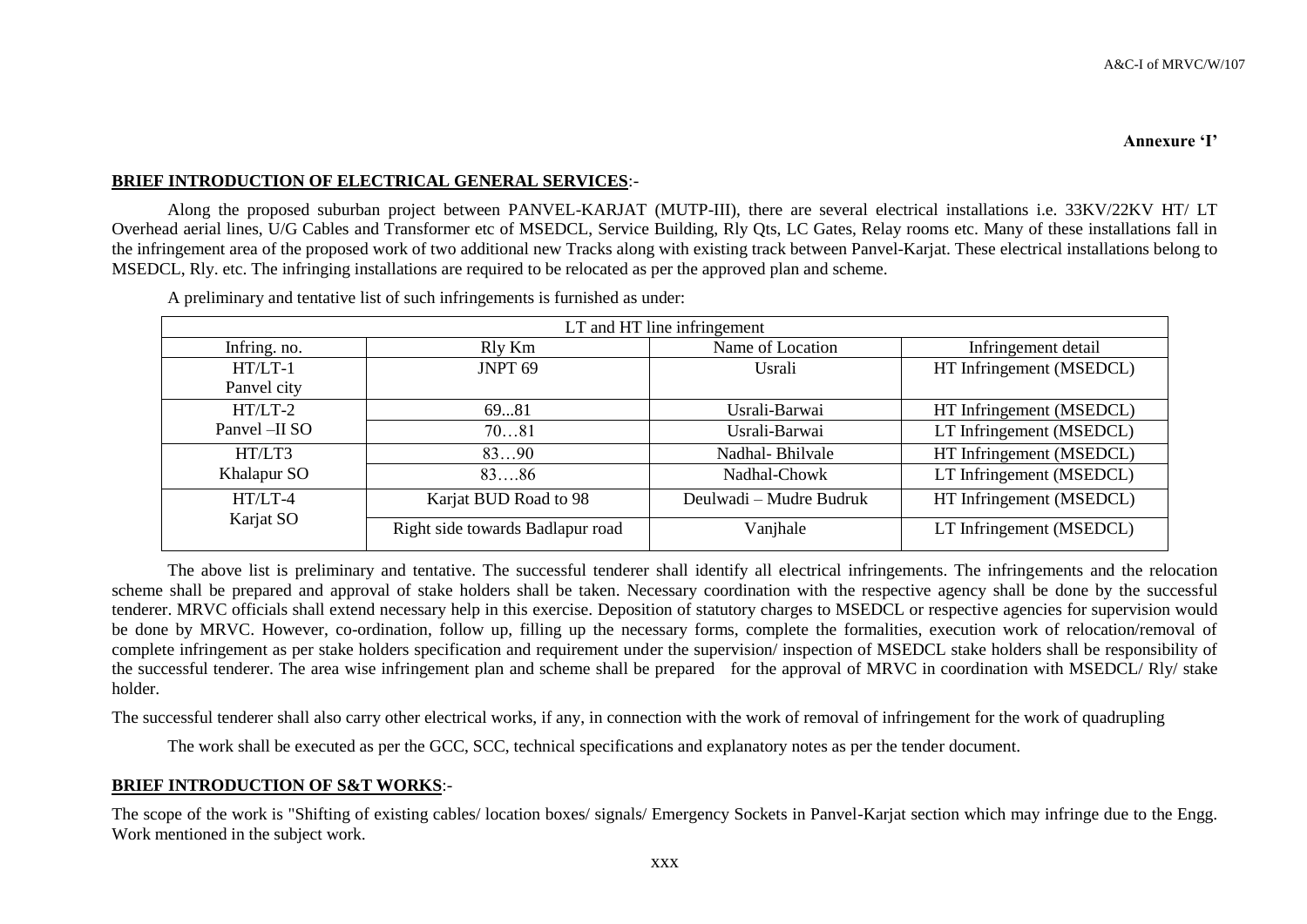#### **Annexure 'I'**

### **BRIEF INTRODUCTION OF ELECTRICAL GENERAL SERVICES**:-

Along the proposed suburban project between PANVEL-KARJAT (MUTP-III), there are several electrical installations i.e. 33KV/22KV HT/ LT Overhead aerial lines, U/G Cables and Transformer etc of MSEDCL, Service Building, Rly Qts, LC Gates, Relay rooms etc. Many of these installations fall in the infringement area of the proposed work of two additional new Tracks along with existing track between Panvel-Karjat. These electrical installations belong to MSEDCL, Rly. etc. The infringing installations are required to be relocated as per the approved plan and scheme.

| LT and HT line infringement |                                  |                         |                          |  |  |  |  |  |  |
|-----------------------------|----------------------------------|-------------------------|--------------------------|--|--|--|--|--|--|
| Infring. no.                | Rly Km                           | Name of Location        | Infringement detail      |  |  |  |  |  |  |
| $HT/LT-1$                   | JNPT <sub>69</sub>               | Usrali                  | HT Infringement (MSEDCL) |  |  |  |  |  |  |
| Panvel city                 |                                  |                         |                          |  |  |  |  |  |  |
| $HT/LT-2$                   | 6981                             | Usrali-Barwai           | HT Infringement (MSEDCL) |  |  |  |  |  |  |
| Panvel -II SO               | 7081                             | Usrali-Barwai           | LT Infringement (MSEDCL) |  |  |  |  |  |  |
| HT/LT3                      | 8390                             | Nadhal-Bhilvale         | HT Infringement (MSEDCL) |  |  |  |  |  |  |
| Khalapur SO                 | 8386                             | Nadhal-Chowk            | LT Infringement (MSEDCL) |  |  |  |  |  |  |
| $HT/LT-4$                   | Karjat BUD Road to 98            | Deulwadi - Mudre Budruk | HT Infringement (MSEDCL) |  |  |  |  |  |  |
| Karjat SO                   | Right side towards Badlapur road | Vanjhale                | LT Infringement (MSEDCL) |  |  |  |  |  |  |

A preliminary and tentative list of such infringements is furnished as under:

The above list is preliminary and tentative. The successful tenderer shall identify all electrical infringements. The infringements and the relocation scheme shall be prepared and approval of stake holders shall be taken. Necessary coordination with the respective agency shall be done by the successful tenderer. MRVC officials shall extend necessary help in this exercise. Deposition of statutory charges to MSEDCL or respective agencies for supervision would be done by MRVC. However, co-ordination, follow up, filling up the necessary forms, complete the formalities, execution work of relocation/removal of complete infringement as per stake holders specification and requirement under the supervision/ inspection of MSEDCL stake holders shall be responsibility of the successful tenderer. The area wise infringement plan and scheme shall be prepared for the approval of MRVC in coordination with MSEDCL/ Rly/ stake holder.

The successful tenderer shall also carry other electrical works, if any, in connection with the work of removal of infringement for the work of quadrupling

The work shall be executed as per the GCC, SCC, technical specifications and explanatory notes as per the tender document.

### **BRIEF INTRODUCTION OF S&T WORKS**:-

The scope of the work is "Shifting of existing cables/ location boxes/ signals/ Emergency Sockets in Panvel-Karjat section which may infringe due to the Engg. Work mentioned in the subject work.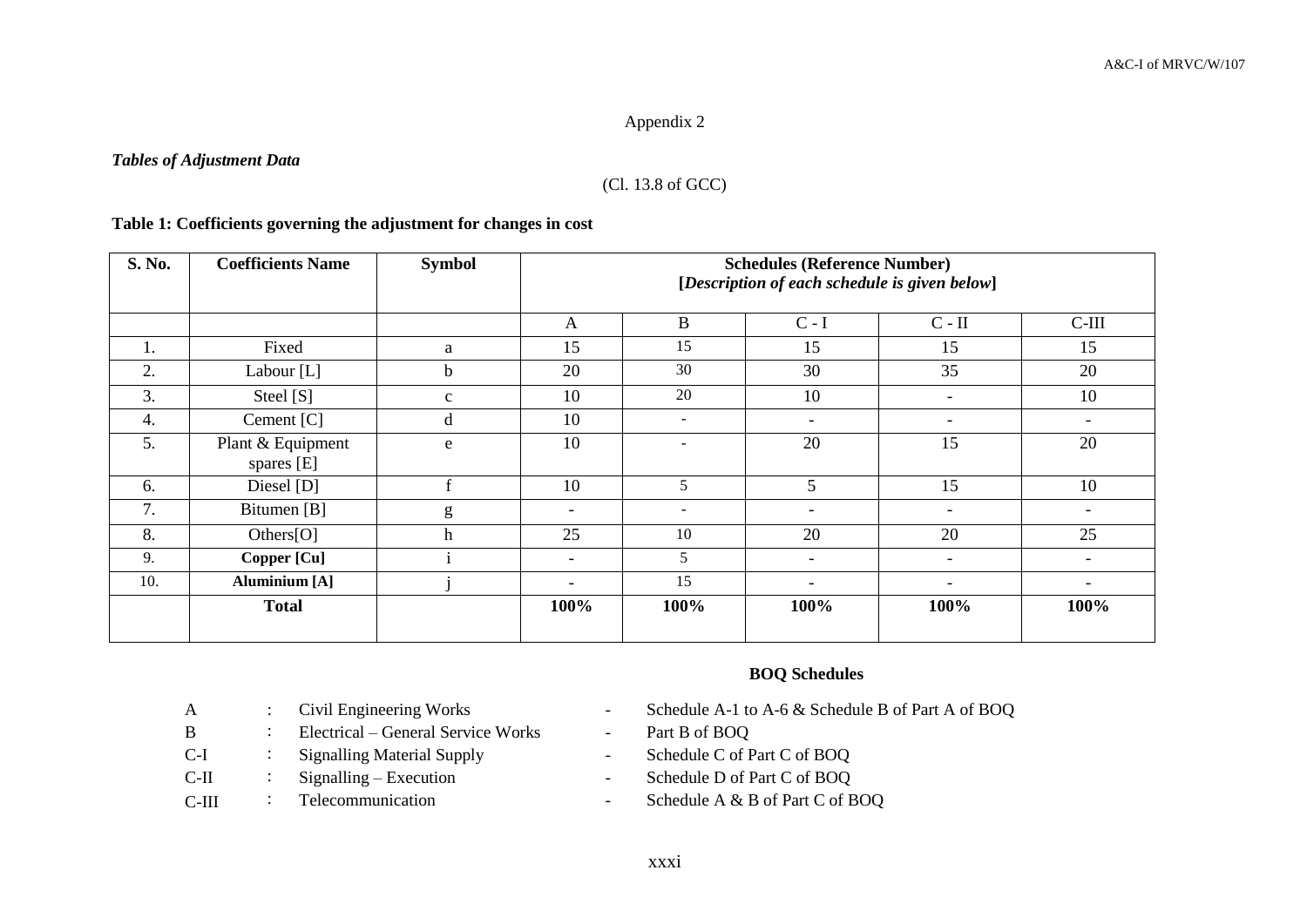## Appendix 2

### *Tables of Adjustment Data*

# (Cl. 13.8 of GCC)

## **Table 1: Coefficients governing the adjustment for changes in cost**

| S. No. | <b>Coefficients Name</b>        | <b>Symbol</b> |                          | <b>Schedules (Reference Number)</b><br>[Description of each schedule is given below] |                          |                          |                          |  |  |  |
|--------|---------------------------------|---------------|--------------------------|--------------------------------------------------------------------------------------|--------------------------|--------------------------|--------------------------|--|--|--|
|        |                                 |               | A                        | B                                                                                    | $C - I$                  | $C - II$                 | $C-III$                  |  |  |  |
| 1.     | Fixed                           | a             | 15                       | 15                                                                                   | 15                       | 15                       | 15                       |  |  |  |
| 2.     | Labour [L]                      | $\mathbf b$   | 20                       | 30                                                                                   | 30                       | 35                       | 20                       |  |  |  |
| 3.     | Steel [S]                       | $\mathbf{C}$  | 10                       | 20                                                                                   | 10                       | $\overline{\phantom{0}}$ | 10                       |  |  |  |
| 4.     | Cement [C]                      | d             | 10                       | $\sim$                                                                               | $\overline{\phantom{a}}$ | $\qquad \qquad -$        | $\overline{\phantom{0}}$ |  |  |  |
| 5.     | Plant & Equipment<br>spares [E] | e             | 10                       |                                                                                      | 20                       | 15                       | 20                       |  |  |  |
| 6.     | Diesel [D]                      | $\mathbf{f}$  | 10                       | 5                                                                                    | 5                        | 15                       | 10                       |  |  |  |
| 7.     | Bitumen [B]                     | g             | $\overline{\phantom{a}}$ | $\overline{\phantom{a}}$                                                             | $\overline{\phantom{a}}$ | $\overline{\phantom{a}}$ |                          |  |  |  |
| 8.     | Others[O]                       | $\mathbf h$   | 25                       | 10                                                                                   | 20                       | 20                       | 25                       |  |  |  |
| 9.     | Copper [Cu]                     |               | $\overline{\phantom{a}}$ | 5                                                                                    | $\overline{\phantom{a}}$ | $\overline{\phantom{a}}$ |                          |  |  |  |
| 10.    | <b>Aluminium</b> [A]            |               | $\overline{\phantom{0}}$ | 15                                                                                   | $\overline{\phantom{a}}$ | $\overline{\phantom{a}}$ | $\overline{\phantom{0}}$ |  |  |  |
|        | <b>Total</b>                    |               | 100%                     | 100%                                                                                 | 100%                     | 100%                     | 100%                     |  |  |  |

### **BOQ Schedules**

- A : Civil Engineering Works Schedule A-1 to A-6 & Schedule B of Part A of BOQ
	-
	-
- C-II : Signalling Execution Schedule D of Part C of BOQ
- C-III : Telecommunication Schedule A & B of Part C of BOQ
- B : Electrical General Service Works Part B of BOQ C-I : Signalling Material Supply - Schedule C of Part C of BOQ
- 
-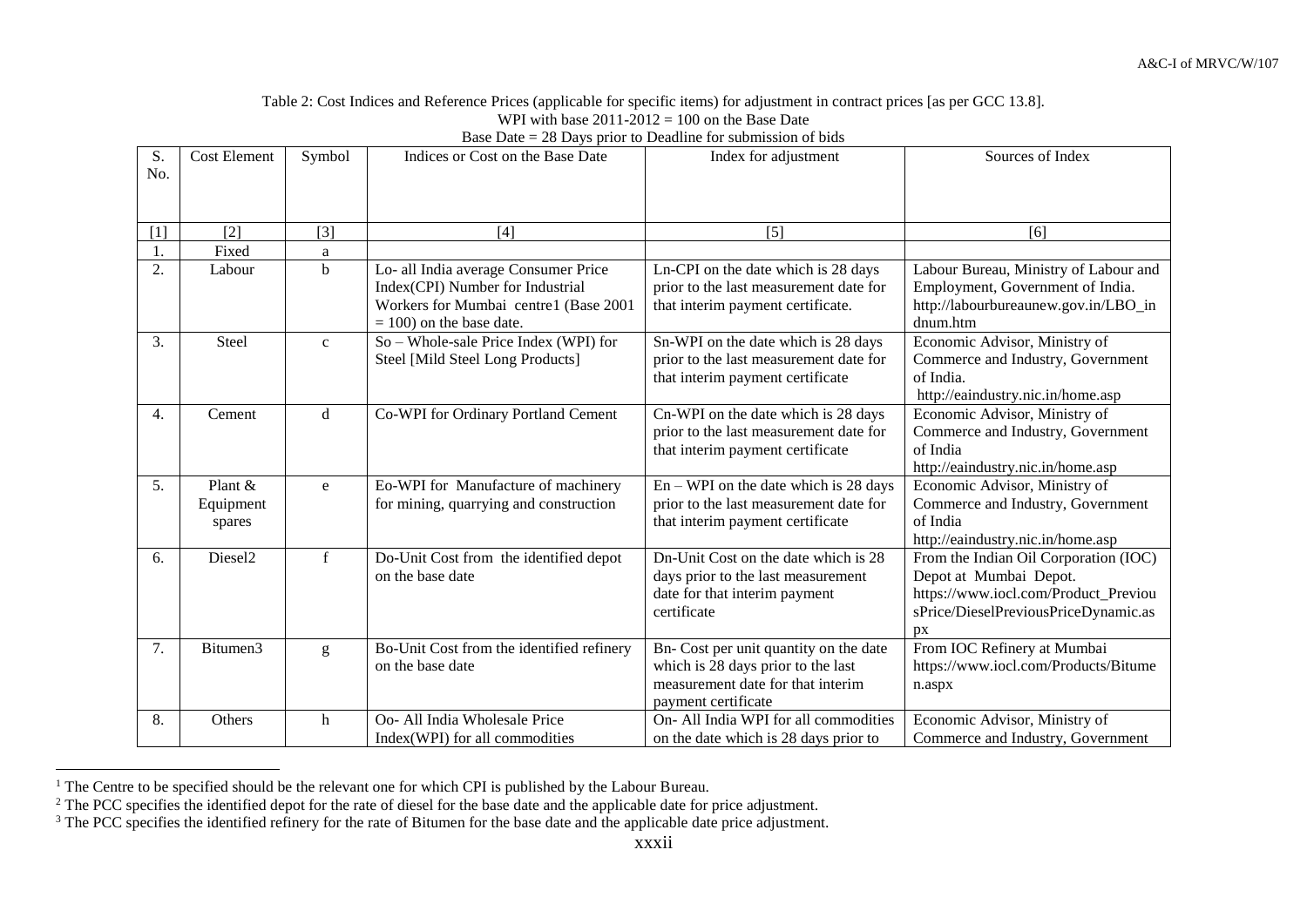Table 2: Cost Indices and Reference Prices (applicable for specific items) for adjustment in contract prices [as per GCC 13.8]. WPI with base  $2011-2012 = 100$  on the Base Date

| S.<br>No.        | <b>Cost Element</b>              | Symbol       | Indices or Cost on the Base Date                                                                                                                 | Index for adjustment                                                                                                                     | Sources of Index                                                                                                                                             |
|------------------|----------------------------------|--------------|--------------------------------------------------------------------------------------------------------------------------------------------------|------------------------------------------------------------------------------------------------------------------------------------------|--------------------------------------------------------------------------------------------------------------------------------------------------------------|
| $[1]$            | [2]                              | $[3]$        | $[4]$                                                                                                                                            | $[5]$                                                                                                                                    | [6]                                                                                                                                                          |
| 1.               | Fixed                            | a            |                                                                                                                                                  |                                                                                                                                          |                                                                                                                                                              |
| 2.               | Labour                           | $\mathbf b$  | Lo- all India average Consumer Price<br>Index(CPI) Number for Industrial<br>Workers for Mumbai centre1 (Base 2001<br>$= 100$ ) on the base date. | Ln-CPI on the date which is 28 days<br>prior to the last measurement date for<br>that interim payment certificate.                       | Labour Bureau, Ministry of Labour and<br>Employment, Government of India.<br>http://labourbureaunew.gov.in/LBO_in<br>dnum.htm                                |
| 3.               | Steel                            | $\mathbf{c}$ | So – Whole-sale Price Index (WPI) for<br>Steel [Mild Steel Long Products]                                                                        | Sn-WPI on the date which is 28 days<br>prior to the last measurement date for<br>that interim payment certificate                        | Economic Advisor, Ministry of<br>Commerce and Industry, Government<br>of India.<br>http://eaindustry.nic.in/home.asp                                         |
| $\overline{4}$ . | Cement                           | d            | Co-WPI for Ordinary Portland Cement                                                                                                              | Cn-WPI on the date which is 28 days<br>prior to the last measurement date for<br>that interim payment certificate                        | Economic Advisor, Ministry of<br>Commerce and Industry, Government<br>of India<br>http://eaindustry.nic.in/home.asp                                          |
| 5.               | Plant $&$<br>Equipment<br>spares | e            | Eo-WPI for Manufacture of machinery<br>for mining, quarrying and construction                                                                    | $En - WPI$ on the date which is 28 days<br>prior to the last measurement date for<br>that interim payment certificate                    | Economic Advisor, Ministry of<br>Commerce and Industry, Government<br>of India<br>http://eaindustry.nic.in/home.asp                                          |
| 6.               | Diesel <sub>2</sub>              | $\mathbf f$  | Do-Unit Cost from the identified depot<br>on the base date                                                                                       | Dn-Unit Cost on the date which is 28<br>days prior to the last measurement<br>date for that interim payment<br>certificate               | From the Indian Oil Corporation (IOC)<br>Depot at Mumbai Depot.<br>https://www.iocl.com/Product_Previou<br>sPrice/DieselPreviousPriceDynamic.as<br><b>px</b> |
| 7.               | Bitumen <sub>3</sub>             | g            | Bo-Unit Cost from the identified refinery<br>on the base date                                                                                    | Bn- Cost per unit quantity on the date<br>which is 28 days prior to the last<br>measurement date for that interim<br>payment certificate | From IOC Refinery at Mumbai<br>https://www.iocl.com/Products/Bitume<br>n.aspx                                                                                |
| 8.               | Others                           | h            | Oo- All India Wholesale Price<br>Index(WPI) for all commodities                                                                                  | On- All India WPI for all commodities<br>on the date which is 28 days prior to                                                           | Economic Advisor, Ministry of<br>Commerce and Industry, Government                                                                                           |

Base Date = 28 Days prior to Deadline for submission of bids

 $\overline{a}$ <sup>1</sup> The Centre to be specified should be the relevant one for which CPI is published by the Labour Bureau.

<sup>&</sup>lt;sup>2</sup> The PCC specifies the identified depot for the rate of diesel for the base date and the applicable date for price adjustment.

<sup>&</sup>lt;sup>3</sup> The PCC specifies the identified refinery for the rate of Bitumen for the base date and the applicable date price adjustment.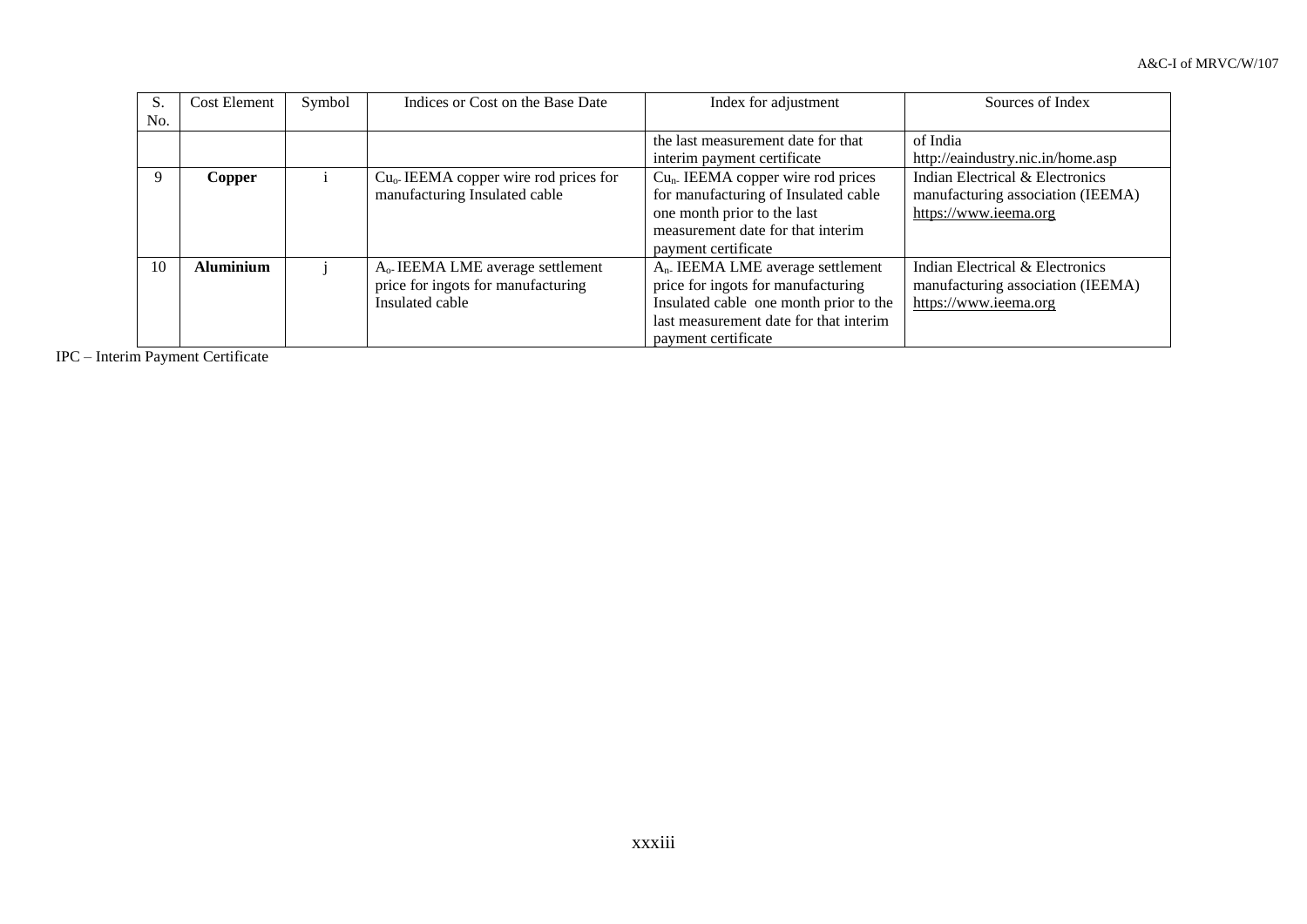| S.  | <b>Cost Element</b> | Symbol | Indices or Cost on the Base Date                  | Index for adjustment                          | Sources of Index                  |
|-----|---------------------|--------|---------------------------------------------------|-----------------------------------------------|-----------------------------------|
| No. |                     |        |                                                   |                                               |                                   |
|     |                     |        |                                                   | the last measurement date for that            | of India                          |
|     |                     |        |                                                   | interim payment certificate                   | http://eaindustry.nic.in/home.asp |
|     | Copper              |        | Cu <sub>o</sub> -IEEMA copper wire rod prices for | $Cun$ . IEEMA copper wire rod prices          | Indian Electrical & Electronics   |
|     |                     |        | manufacturing Insulated cable                     | for manufacturing of Insulated cable          | manufacturing association (IEEMA) |
|     |                     |        |                                                   | one month prior to the last                   | https://www.ieema.org             |
|     |                     |        |                                                   | measurement date for that interim             |                                   |
|     |                     |        |                                                   | payment certificate                           |                                   |
| 10  | <b>Aluminium</b>    |        | A <sub>0</sub> IEEMA LME average settlement       | A <sub>n</sub> . IEEMA LME average settlement | Indian Electrical & Electronics   |
|     |                     |        | price for ingots for manufacturing                | price for ingots for manufacturing            | manufacturing association (IEEMA) |
|     |                     |        | Insulated cable                                   | Insulated cable one month prior to the        | https://www.ieema.org             |
|     |                     |        |                                                   | last measurement date for that interim        |                                   |
|     |                     |        |                                                   | payment certificate                           |                                   |

IPC – Interim Payment Certificate